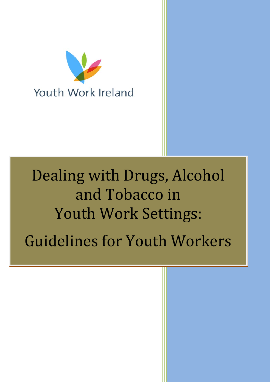

# Dealing with Drugs, Alcohol and Tobacco in Youth Work Settings:

Guidelines for Youth Workers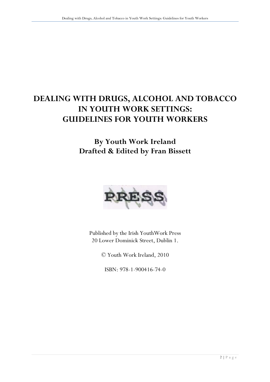## **DEALING WITH DRUGS, ALCOHOL AND TOBACCO IN YOUTH WORK SETTINGS: GUIDELINES FOR YOUTH WORKERS**

### **By Youth Work Ireland Drafted & Edited by Fran Bissett**



Published by the Irish YouthWork Press 20 Lower Dominick Street, Dublin 1.

© Youth Work Ireland, 2010

ISBN: 978-1-900416-74-0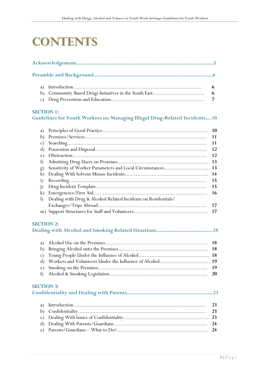## **CONTENTS**

| a)<br>b)<br>$\mathcal{C}$ )                       |                                                                            | 6<br>6<br>7                       |
|---------------------------------------------------|----------------------------------------------------------------------------|-----------------------------------|
| <b>SECTION 1:</b>                                 | Guidelines for Youth Workers on Managing Illegal Drug-Related Incidents 10 |                                   |
| a)<br>b)<br>$\mathcal{C}$ )<br>$\mathbf{d}$<br>e) |                                                                            | <b>10</b><br>11<br>11<br>12<br>12 |
| f<br>$\mathbf{g}$<br>h)                           |                                                                            | 13                                |

| $\mathbf{d}$ |                                                                |  |
|--------------|----------------------------------------------------------------|--|
| e)           |                                                                |  |
| $\pm$        |                                                                |  |
| $\zeta$      |                                                                |  |
| h)           |                                                                |  |
| 1)           |                                                                |  |
| $_{1}$       |                                                                |  |
| $\bf k$      |                                                                |  |
| $_{1}$       | Dealing with Drug & Alcohol Related Incidents on Residentials/ |  |
|              |                                                                |  |
|              |                                                                |  |
|              |                                                                |  |

#### **SECTION 2:**

#### **SECTION 3:**

| . |  |
|---|--|
|   |  |
|   |  |
|   |  |
|   |  |
|   |  |
|   |  |
|   |  |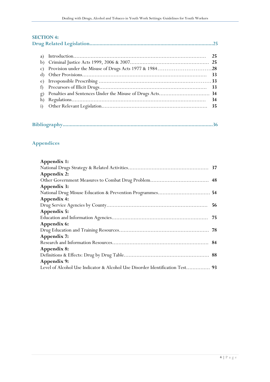## **SECTION 4:**

|--|--|

### **Appendices**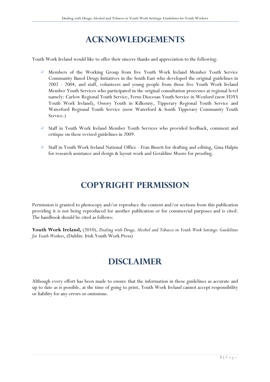## **ACKNOWLEDGEMENTS**

Youth Work Ireland would like to offer their sincere thanks and appreciation to the following:

- ¾ Members of the Working Group from five Youth Work Ireland Member Youth Service Community Based Drugs Initiatives in the South East who developed the original guidelines in 2002 - 2004, and staff, volunteers and young people from those five Youth Work Ireland Member Youth Services who participated in the original consultation processes at regional level namely: Carlow Regional Youth Service, Ferns Diocesan Youth Service in Wexford (now FDYS Youth Work Ireland), Ossory Youth in Kilkenny, Tipperary Regional Youth Service and Waterford Regional Youth Service (now Waterford & South Tipperary Community Youth Service.)
- ¾ Staff in Youth Work Ireland Member Youth Services who provided feedback, comment and critique on these revised guidelines in 2009.
- ¾ Staff in Youth Work Ireland National Office Fran Bissett for drafting and editing, Gina Halpin for research assistance and design & layout work and Geraldine Moore for proofing.

## **COPYRIGHT PERMISSION**

Permission is granted to photocopy and/or reproduce the content and/or sections from this publication providing it is not being reproduced for another publication or for commercial purposes and is cited. The handbook should be cited as follows:

**Youth Work Ireland,** (2010), *Dealing with Drugs, Alcohol and Tobacco in Youth Work Settings: Guidelines for Youth Workers*, (Dublin: Irish Youth Work Press)

## **DISCLAIMER**

Although every effort has been made to ensure that the information in these guidelines as accurate and up to date as is possible, at the time of going to print, Youth Work Ireland cannot accept responsibility or liability for any errors or omissions.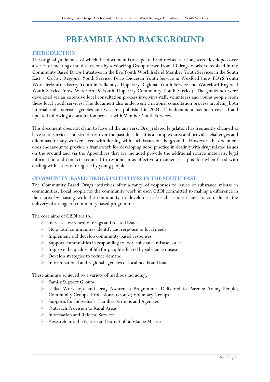## **PREAMBLE AND BACKGROUND**

#### **INTRODUCTION**

The original guidelines, of which this document is an updated and revised version, were developed over a series of meetings and discussions by a Working Group drawn from 10 drugs workers involved in the Community Based Drugs Initiatives in the five Youth Work Ireland Member Youth Services in the South East: - Carlow Regional Youth Service, Ferns Diocesan Youth Service in Wexford (now FDYS Youth Work Ireland), Ossory Youth in Kilkenny, Tipperary Regional Youth Service and Waterford Regional Youth Service (now Waterford & South Tipperary Community Youth Service). The guidelines were developed via an extensive local consultation process involving staff, volunteers and young people from these local youth services. The document also underwent a national consultation process involving both internal and external agencies and was first published in 2004. This document has been revised and updated following a consultation process with Member Youth Services.

This document does not claim to have all the answers. Drug related legislation has frequently changed as have state services and structures over the past decade. It is a complex area and provides challenges and dilemmas for any worker faced with dealing with such issues on the ground. However, the document does endeavour to provide a framework for developing good practice in dealing with drug related issues on the ground and via the Appendices that are included provide the additional source materials, legal information and contacts required to respond in as effective a manner as is possible when faced with dealing with issues of drug use by young people.

#### **COMMUNITY-BASED DRUGS INITIATIVES IN THE SOUTH EAST**

The Community Based Drugs initiatives offer a range of responses to issues of substance misuse in communities. Local people for the community work in each CBDI committed to making a difference in their area by liaising with the community to develop area-based responses and to co-ordinate the delivery of a range of community based programmes.

The core aims of CBDI are to:

- ¾ Increase awareness of drugs and related issues
- ¾ Help local communities identify and response to local needs
- ¾ Implement and develop community-based responses
- ¾ Support communities in responding to local substance misuse issues
- ¾ Improve the quality of life for people affected by substance misuse
- ¾ Develop strategies to reduce demand
- ¾ Inform national and regional agencies of local needs and issues.

These aims are achieved by a variety of methods including:

- ¾ Family Support Groups
- ¾ Talks, Workshops and Drug Awareness Programmes Delivered to Parents; Young People; Community Groups; Professional Groups; Voluntary Groups
- ¾ Supports for Individuals, Families, Groups and Agencies
- ¾ Outreach Provision to Rural Areas
- ¾ Information and Referral Services
- ¾ Research into the Nature and Extent of Substance Misuse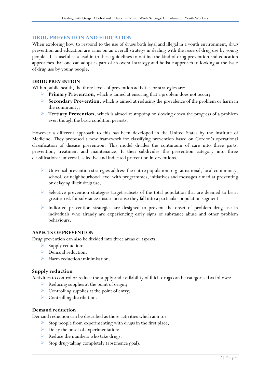#### **DRUG PREVENTION AND EDUCATION**

When exploring how to respond to the use of drugs both legal and illegal in a youth environment, drug prevention and education are arms on an overall strategy in dealing with the issue of drug use by young people. It is useful as a lead in to these guidelines to outline the kind of drug prevention and education approaches that one can adopt as part of an overall strategy and holistic approach to looking at the issue of drug use by young people.

#### **DRUG PREVENTION**

Within public health, the three levels of prevention activities or strategies are:

- ¾ **Primary Prevention**, which is aimed at ensuring that a problem does not occur;
- ¾ **Secondary Prevention**, which is aimed at reducing the prevalence of the problem or harm in the community;
- ¾ **Tertiary Prevention**, which is aimed at stopping or slowing down the progress of a problem even though the basic condition persists.

However a different approach to this has been developed in the United States by the Institute of Medicine. They proposed a new framework for classifying prevention based on Gordon's operational classification of disease prevention. This model divides the continuum of care into three parts: prevention, treatment and maintenance. It then subdivides the prevention category into three classifications: universal, selective and indicated prevention interventions.

- ¾ Universal prevention strategies address the entire population, e.g. at national, local community, school, or neighbourhood level with programmes, initiatives and messages aimed at preventing or delaying illicit drug use.
- ¾ Selective prevention strategies target subsets of the total population that are deemed to be at greater risk for substance misuse because they fall into a particular population segment.
- ¾ Indicated prevention strategies are designed to prevent the onset of problem drug use in individuals who already are experiencing early signs of substance abuse and other problem behaviours.

#### **ASPECTS OF PREVENTION**

Drug prevention can also be divided into three areas or aspects:

- ¾ Supply reduction;
- ▶ Demand reduction;
- $\blacktriangleright$  Harm reduction/minimisation.

#### **Supply reduction**

Activities to control or reduce the supply and availability of illicit drugs can be categorised as follows:

- ¾ Reducing supplies at the point of origin;
- ¾ Controlling supplies at the point of entry;
- $\triangleright$  Controlling distribution.

#### **Demand reduction**

Demand reduction can be described as those activities which aim to:

- ¾ Stop people from experimenting with drugs in the first place;
- ¾ Delay the onset of experimentation;
- $\blacktriangleright$  Reduce the numbers who take drugs;
- ¾ Stop drug-taking completely (abstinence goal).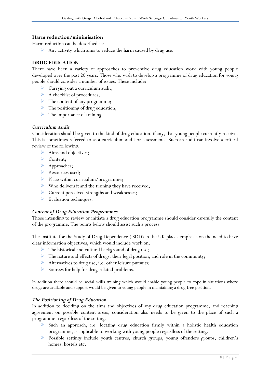#### **Harm reduction/minimisation**

Harm reduction can be described as:

¾ Any activity which aims to reduce the harm caused by drug use.

#### **DRUG EDUCATION**

There have been a variety of approaches to preventive drug education work with young people developed over the past 20 years. Those who wish to develop a programme of drug education for young people should consider a number of issues. These include:

- ▶ Carrying out a curriculum audit;
- ¾ A checklist of procedures;
- $\triangleright$  The content of any programme;
- $\triangleright$  The positioning of drug education;
- $\triangleright$  The importance of training.

#### *Curriculum Audit*

Consideration should be given to the kind of drug education, if any, that young people currently receive. This is sometimes referred to as a curriculum audit or assessment. Such an audit can involve a critical review of the following:

- $\triangleright$  Aims and objectives;
- ¾ Content;
- ¾ Approaches;
- ▶ Resources used;
- ¾ Place within curriculum/programme;
- ¾ Who delivers it and the training they have received;
- ¾ Current perceived strengths and weaknesses;
- $\triangleright$  Evaluation techniques.

#### *Content of Drug Education Programmes*

Those intending to review or initiate a drug education programme should consider carefully the content of the programme. The points below should assist such a process.

The Institute for the Study of Drug Dependence (ISDD) in the UK places emphasis on the need to have clear information objectives, which would include work on:

- ¾ The historical and cultural background of drug use;
- ¾ The nature and effects of drugs, their legal position, and role in the community;
- ¾ Alternatives to drug use, i.e. other leisure pursuits;
- ¾ Sources for help for drug-related problems.

In addition there should be social skills training which would enable young people to cope in situations where drugs are available and support would be given to young people in maintaining a drug-free position.

#### *The Positioning of Drug Education*

In addition to deciding on the aims and objectives of any drug education programme, and reaching agreement on possible content areas, consideration also needs to be given to the place of such a programme, regardless of the setting.

- ¾ Such an approach, i.e. locating drug education firmly within a holistic health education programme, is applicable to working with young people regardless of the setting.
- ¾ Possible settings include youth centres, church groups, young offenders groups, children's homes, hostels etc.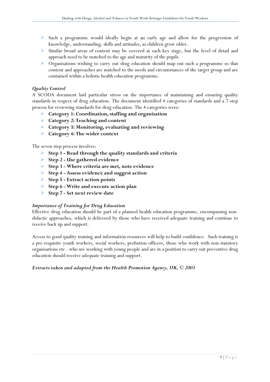- $\triangleright$  Such a programme would ideally begin at an early age and allow for the progression of knowledge, understanding, skills and attitudes, as children grow older.
- ¾ Similar broad areas of content may be covered at each key stage, but the level of detail and approach need to be matched to the age and maturity of the pupils.
- ¾ Organisations wishing to carry out drug education should map out such a programme so that content and approaches are matched to the needs and circumstances of the target group and are contained within a holistic health education programme.

#### *Quality Control*

A SCODA document laid particular stress on the importance of maintaining and ensuring quality standards in respect of drug education. The document identified 4 categories of standards and a 7-step process for reviewing standards for drug education. The 4 categories were:

- ¾ **Category 1: Coordination, staffing and organisation**
- ¾ **Category 2: Teaching and content**
- ¾ **Category 3: Monitoring, evaluating and reviewing**
- ¾ **Category 4: The wider context**

The seven-step process involves:

- ¾ **Step 1 Read through the quality standards and criteria**
- ¾ **Step 2 Use gathered evidence**
- ¾ **Step 3 Where criteria are met, note evidence**
- ¾ **Step 4 Assess evidence and suggest action**
- ¾ **Step 5 Extract action points**
- ¾ **Step 6 Write and execute action plan**
- ¾ **Step 7 Set next review date**

#### *Importance of Training for Drug Education*

Effective drug education should be part of a planned health education programme, encompassing nondidactic approaches, which is delivered by those who have received adequate training and continue to receive back up and support.

Access to good quality training and information resources will help to build confidence. Such training is a pre-requisite youth workers, social workers, probation officers, those who work with non-statutory organisations etc - who are working with young people and are in a position to carry out preventive drug education should receive adequate training and support.

*Extracts taken and adapted from the Health Promotion Agency, UK, © 2003*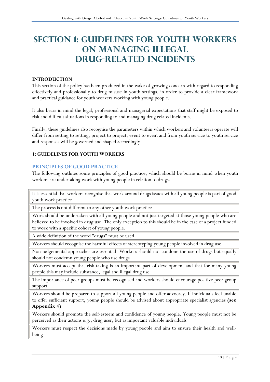## **SECTION 1: GUIDELINES FOR YOUTH WORKERS ON MANAGING ILLEGAL DRUG-RELATED INCIDENTS**

#### **INTRODUCTION**

This section of the policy has been produced in the wake of growing concern with regard to responding effectively and professionally to drug misuse in youth settings, in order to provide a clear framework and practical guidance for youth workers working with young people.

It also bears in mind the legal, professional and managerial expectations that staff might be exposed to risk and difficult situations in responding to and managing drug related incidents.

Finally, these guidelines also recognise the parameters within which workers and volunteers operate will differ from setting to setting, project to project, event to event and from youth service to youth service and responses will be governed and shaped accordingly.

#### **1: GUIDELINES FOR YOUTH WORKERS**

#### **PRINCIPLES OF GOOD PRACTICE**

The following outlines some principles of good practice, which should be borne in mind when youth workers are undertaking work with young people in relation to drugs.

It is essential that workers recognise that work around drugs issues with all young people is part of good youth work practice

The process is not different to any other youth work practice

Work should be undertaken with all young people and not just targeted at those young people who are believed to be involved in drug use. The only exception to this should be in the case of a project funded to work with a specific cohort of young people.

A wide definition of the word "drugs" must be used

Workers should recognise the harmful effects of stereotyping young people involved in drug use

Non-judgemental approaches are essential. Workers should not condone the use of drugs but equally should not condemn young people who use drugs

Workers must accept that risk-taking is an important part of development and that for many young people this may include substance, legal and illegal drug use

The importance of peer groups must be recognised and workers should encourage positive peer group support

Workers should be prepared to support all young people and offer advocacy. If individuals feel unable to offer sufficient support, young people should be advised about appropriate specialist agencies **(see Appendix 4)** 

Workers should promote the self-esteem and confidence of young people. Young people must not be perceived as their actions e.g., drug user, but as important valuable individuals

Workers must respect the decisions made by young people and aim to ensure their health and wellbeing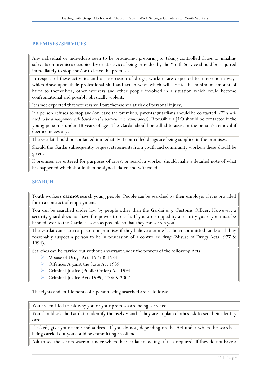#### **PREMISES/SERVICES**

Any individual or individuals seen to be producing, preparing or taking controlled drugs or inhaling solvents on premises occupied by or at services being provided by the Youth Service should be required immediately to stop and/or to leave the premises.

In respect of these activities and on possession of drugs, workers are expected to intervene in ways which draw upon their professional skill and act in ways which will create the minimum amount of harm to themselves, other workers and other people involved in a situation which could become confrontational and possibly physically violent.

It is not expected that workers will put themselves at risk of personal injury.

If a person refuses to stop and/or leave the premises, parents/guardians should be contacted. *(This will need to be a judgement call based on the particular circumstances)*. If possible a JLO should be contacted if the young person is under 18 years of age. The Gardaí should be called to assist in the person's removal if deemed necessary.

The Gardaí should be contacted immediately if controlled drugs are being supplied in the premises.

Should the Gardaí subsequently request statements from youth and community workers these should be given.

If premises are entered for purposes of arrest or search a worker should make a detailed note of what has happened which should then be signed, dated and witnessed.

#### **SEARCH**

Youth workers **cannot** search young people. People can be searched by their employer if it is provided for in a contract of employment.

You can be searched under law by people other than the Gardaí e.g. Customs Officer. However, a security guard does not have the power to search. If you are stopped by a security guard you must be handed over to the Gardai as soon as possible so that they can search you.

The Gardai can search a person or premises if they believe a crime has been committed, and/or if they reasonably suspect a person to be in possession of a controlled drug (Misuse of Drugs Acts 1977 & 1994).

Searches can be carried out without a warrant under the powers of the following Acts:

- ¾ Misuse of Drugs Acts 1977 & 1984
- ▶ Offences Against the State Act 1939
- ▶ Criminal Justice (Public Order) Act 1994
- ¾ Criminal Justice Acts 1999, 2006 & 2007

The rights and entitlements of a person being searched are as follows:

You are entitled to ask why you or your premises are being searched

You should ask the Gardaí to identify themselves and if they are in plain clothes ask to see their identity cards

If asked, give your name and address. If you do not, depending on the Act under which the search is being carried out you could be committing an offence

Ask to see the search warrant under which the Gardaí are acting, if it is required. If they do not have a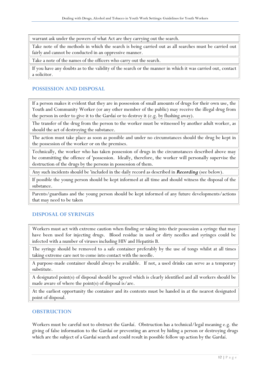warrant ask under the powers of what Act are they carrying out the search.

Take note of the methods in which the search is being carried out as all searches must be carried out fairly and cannot be conducted in an oppressive manner.

Take a note of the names of the officers who carry out the search.

If you have any doubts as to the validity of the search or the manner in which it was carried out, contact a solicitor.

#### **POSSESSION AND DISPOSAL**

If a person makes it evident that they are in possession of small amounts of drugs for their own use, the Youth and Community Worker (or any other member of the public) may receive the illegal drug from the person in order to give it to the Gardaí or to destroy it (e.g. by flushing away).

The transfer of the drug from the person to the worker must be witnessed by another adult worker, as should the act of destroying the substance.

The action must take place as soon as possible and under no circumstances should the drug be kept in the possession of the worker or on the premises.

Technically, the worker who has taken possession of drugs in the circumstances described above may be committing the offence of 'possession. Ideally, therefore, the worker will personally supervise the destruction of the drugs by the persons in possession of them.

Any such incidents should be 'included in the daily record as described in *Recording* (see below).

If possible the young person should be kept informed at all time and should witness the disposal of the substance.

Parents/guardians and the young person should be kept informed of any future developments/actions that may need to be taken

#### **DISPOSAL OF SYRINGES**

Workers must act with extreme caution when finding or taking into their possession a syringe that may have been used for injecting drugs. Blood residue in used or dirty needles and syringes could be infected with a number of viruses including HIV and Hepatitis B.

The syringe should be removed to a safe container preferably by the use of tongs whilst at all times taking extreme care not to come into contact with the needle.

A purpose-made container should always be available. If not, a used drinks can serve as a temporary substitute.

A designated point(s) of disposal should be agreed which is clearly identified and all workers should be made aware of where the point(s) of disposal is/are.

At the earliest opportunity the container and its contents must be handed in at the nearest designated point of disposal.

#### **OBSTRUCTION**

Workers must be careful not to obstruct the Gardaí. Obstruction has a technical/legal meaning e.g. the giving of false information to the Gardaí or preventing an arrest by hiding a person or destroying drugs which are the subject of a Gardaí search and could result in possible follow up action by the Gardaí.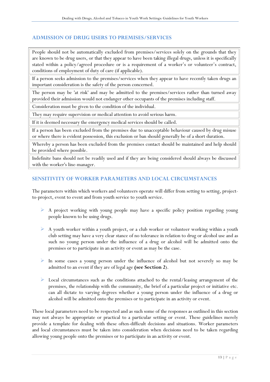#### **ADMISSION OF DRUG USERS TO PREMISES/SERVICES**

People should not be automatically excluded from premises/services solely on the grounds that they are known to be drug users, or that they appear to have been taking illegal drugs, unless it is specifically stated within a policy/agreed procedure or is a requirement of a worker's or volunteer's contract, conditions of employment of duty of care (if applicable).

If a person seeks admission to the premises/services when they appear to have recently taken drugs an important consideration is the safety of the person concerned.

The person may be 'at risk' and may be admitted to the premises/services rather than turned away provided their admission would not endanger other occupants of the premises including staff.

Consideration must be given to the condition of the individual.

They may require supervision or medical attention to avoid serious harm.

If it is deemed necessary the emergency medical services should be called.

If a person has been excluded from the premises due to unacceptable behaviour caused by drug misuse or where there is evident possession, this exclusion or ban should generally be of a short duration.

Whereby a person has been excluded from the premises contact should be maintained and help should be provided where possible.

Indefinite bans should not be readily used and if they are being considered should always be discussed with the worker's line-manager.

#### **SENSITIVITY OF WORKER PARAMETERS AND LOCAL CIRCUMSTANCES**

The parameters within which workers and volunteers operate will differ from setting to setting, projectto-project, event to event and from youth service to youth service.

- ¾ A project working with young people may have a specific policy position regarding young people known to be using drugs.
- ¾ A youth worker within a youth project, or a club worker or volunteer working within a youth club setting may have a very clear stance of no tolerance in relation to drug or alcohol use and as such no young person under the influence of a drug or alcohol will be admitted onto the premises or to participate in an activity or event as may be the case.
- ¾ In some cases a young person under the influence of alcohol but not severely so may be admitted to an event if they are of legal age **(see Section 2**).
- ¾ Local circumstances such as the conditions attached to the rental/leasing arrangement of the premises, the relationship with the community, the brief of a particular project or initiative etc. can all dictate to varying degrees whether a young person under the influence of a drug or alcohol will be admitted onto the premises or to participate in an activity or event.

These local parameters need to be respected and as such some of the responses as outlined in this section may not always be appropriate or practical to a particular setting or event. These guidelines merely provide a template for dealing with these often-difficult decisions and situations. Worker parameters and local circumstances must be taken into consideration when decisions need to be taken regarding allowing young people onto the premises or to participate in an activity or event.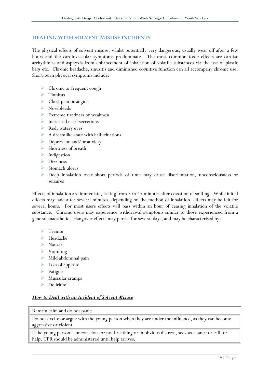#### **DEALING WITH SOLVENT MISUSE INCIDENTS**

The physical effects of solvent misuse, whilst potentially very dangerous, usually wear off after a few hours and the cardiovascular symptoms predominate. The most common toxic effects are cardiac arrhythmias and asphyxia from enhancement of inhalation of volatile substances via the use of plastic bags etc. Chronic headache, sinusitis and diminished cognitive function can all accompany chronic use. Short-term physical symptoms include:

- ¾ Chronic or frequent cough
- $\triangleright$  Tinnitus
- $\triangleright$  Chest pain or angina
- $\triangleright$  Nosebleeds
- $\triangleright$  Extreme tiredness or weakness
- ¾ Increased nasal secretions
- Red, watery eyes
- $\blacktriangleright$  A dreamlike state with hallucinations
- $\triangleright$  Depression and/or anxiety
- ¾ Shortness of breath
- ¾ Indigestion
- ¾ Dizziness
- $\triangleright$  Stomach ulcers
- ¾ Deep inhalation over short periods of time may cause disorientation, unconsciousness or seizures

Effects of inhalation are immediate, lasting from 5 to 45 minutes after cessation of sniffing. While initial effects may fade after several minutes, depending on the method of inhalation, effects may be felt for several hours. For most users effects will pass within an hour of ceasing inhalation of the volatile substance. Chronic users may experience withdrawal symptoms similar to those experienced from a general anaesthetic. Hangover effects may persist for several days, and may be characterised by:

- $\triangleright$  Tremor
- ¾ Headache
- $\triangleright$  Nausea
- $\triangleright$  Vomiting
- $\triangleright$  Mild abdominal pain
- Eoss of appetite
- $\blacktriangleright$  Fatigue
- $\blacktriangleright$  Muscular cramps
- $\triangleright$  Delirium

#### *How to Deal with an Incident of Solvent Misuse*

#### Remain calm and do not panic

Do not excite or argue with the young person when they are under the influence, as they can become aggressive or violent

If the young person is unconscious or not breathing or in obvious distress, seek assistance or call for help. CPR should be administered until help arrives.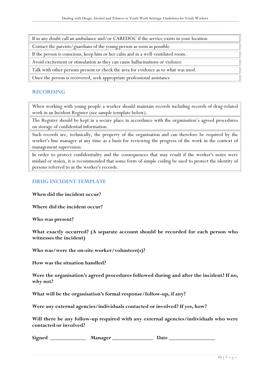If in any doubt call an ambulance and/or CAREDOC if the service exists in your location

Contact the parents/guardians of the young person as soon as possible

If the person is conscious, keep him or her calm and in a well-ventilated room.

Avoid excitement or stimulation as they can cause hallucinations or violence

Talk with other persons present or check the area for evidence as to what was used.

Once the person is recovered, seek appropriate professional assistance

#### **RECORDING**

When working with young people a worker should maintain records including records of drug-related work in an Incident Register (see sample template below).

The Register should be kept in a secure place in accordance with the organisation's agreed procedures on storage of confidential information.

Such records are, technically, the property of the organisation and can therefore be required by the worker's line manager at any time as a basis for reviewing the progress of the work in the context of management supervision.

In order to protect confidentiality and the consequences that may result if the worker's notes were mislaid or stolen, it is recommended that some form of simple coding be used to protect the identity of persons referred to in the worker's records.

#### **DRUG INCIDENT TEMPLATE**

**When did the incident occur?** 

**Where did the incident occur?** 

**Who was present?** 

**What exactly occurred? (A separate account should be recorded for each person who witnesses the incident)** 

**Who was/were the on-site worker/volunteer(s)?** 

**How was the situation handled?** 

**Were the organisation's agreed procedures followed during and after the incident? If no, why not?** 

**What will be the organisation's formal response/follow-up, if any?** 

**Were any external agencies/individuals contacted or involved? If yes, how?** 

**Will there be any follow-up required with any external agencies/individuals who were contacted or involved?** 

| Signed | Manager | Jate |
|--------|---------|------|
|        |         |      |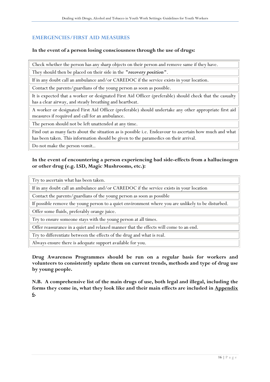#### **EMERGENCIES/FIRST AID MEASURES**

#### **In the event of a person losing consciousness through the use of drugs:**

Check whether the person has any sharp objects on their person and remove same if they have.

They should then be placed on their side in the *"recovery position"*.

If in any doubt call an ambulance and/or CAREDOC if the service exists in your location.

Contact the parents/guardians of the young person as soon as possible.

It is expected that a worker or designated First Aid Officer (preferable) should check that the casualty has a clear airway, and steady breathing and heartbeat.

A worker or designated First Aid Officer (preferable) should undertake any other appropriate first aid measures if required and call for an ambulance.

The person should not be left unattended at any time.

Find out as many facts about the situation as is possible i.e. Endeavour to ascertain how much and what has been taken. This information should be given to the paramedics on their arrival.

Do not make the person vomit..

#### **In the event of encountering a person experiencing bad side-effects from a hallucinogen or other drug (e.g. LSD, Magic Mushrooms, etc.):**

Try to ascertain what has been taken.

If in any doubt call an ambulance and/or CAREDOC if the service exists in your location

Contact the parents/guardians of the young person as soon as possible

If possible remove the young person to a quiet environment where you are unlikely to be disturbed.

Offer some fluids, preferably orange juice.

Try to ensure someone stays with the young person at all times.

Offer reassurance in a quiet and relaxed manner that the effects will come to an end.

Try to differentiate between the effects of the drug and what is real.

Always ensure there is adequate support available for you.

**Drug Awareness Programmes should be run on a regular basis for workers and volunteers to consistently update them on current trends, methods and type of drug use by young people.** 

**N.B. A comprehensive list of the main drugs of use, both legal and illegal, including the forms they come in, what they look like and their main effects are included in Appendix 6.**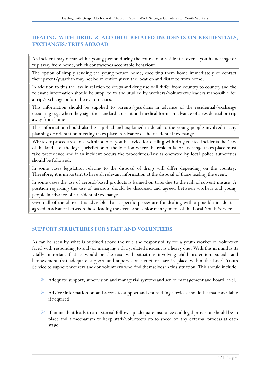#### **DEALING WITH DRUG & ALCOHOL RELATED INCIDENTS ON RESIDENTIALS, EXCHANGES/TRIPS ABROAD**

An incident may occur with a young person during the course of a residential event, youth exchange or trip away from home, which contravenes acceptable behaviour.

The option of simply sending the young person home, escorting them home immediately or contact their parent/guardian may not be an option given the location and distance from home.

In addition to this the law in relation to drugs and drug use will differ from country to country and the relevant information should be supplied to and studied by workers/volunteers/leaders responsible for a trip/exchange before the event occurs.

This information should be supplied to parents/guardians in advance of the residential/exchange occurring e.g. when they sign the standard consent and medical forms in advance of a residential or trip away from home.

This information should also be supplied and explained in detail to the young people involved in any planning or orientation meeting takes place in advance of the residential/exchange.

Whatever procedures exist within a local youth service for dealing with drug related incidents the 'law of the land' i.e. the legal jurisdiction of the location where the residential or exchange takes place must take precedence and if an incident occurs the procedures/law as operated by local police authorities should be followed.

In some cases legislation relating to the disposal of drugs will differ depending on the country. Therefore, it is important to have all relevant information at the disposal of those leading the event**.** 

In some cases the use of aerosol-based products is banned on trips due to the risk of solvent misuse. A position regarding the use of aerosols should be discussed and agreed between workers and young people in advance of a residential/exchange.

Given all of the above it is advisable that a specific procedure for dealing with a possible incident is agreed in advance between those leading the event and senior management of the Local Youth Service.

#### **SUPPORT STRUCTURES FOR STAFF AND VOLUNTEERS**

As can be seen by what is outlined above the role and responsibility for a youth worker or volunteer faced with responding to and/or managing a drug related incident is a heavy one. With this in mind is its vitally important that as would be the case with situations involving child protection, suicide and bereavement that adequate support and supervision structures are in place within the Local Youth Service to support workers and/or volunteers who find themselves in this situation. This should include:

- ¾ Adequate support, supervision and managerial systems and senior management and board level.
- $\triangleright$  Advice/information on and access to support and counselling services should be made available if required.
- ¾ If an incident leads to an external follow-up adequate insurance and legal provision should be in place and a mechanism to keep staff/volunteers up to speed on any external process at each stage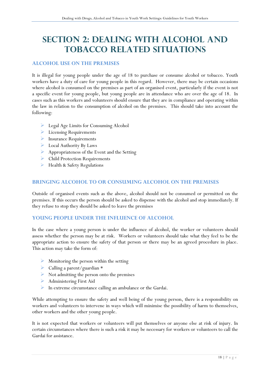## **SECTION 2: DEALING WITH ALCOHOL AND TOBACCO RELATED SITUATIONS**

#### **ALCOHOL USE ON THE PREMISES**

It is illegal for young people under the age of 18 to purchase or consume alcohol or tobacco. Youth workers have a duty of care for young people in this regard. However, there may be certain occasions where alcohol is consumed on the premises as part of an organised event, particularly if the event is not a specific event for young people, but young people are in attendance who are over the age of 18. In cases such as this workers and volunteers should ensure that they are in compliance and operating within the law in relation to the consumption of alcohol on the premises. This should take into account the following:

- ¾ Legal Age Limits for Consuming Alcohol
- ¾ Licensing Requirements
- ¾ Insurance Requirements
- ¾ Local Authority By Laws
- ¾ Appropriateness of the Event and the Setting
- ¾ Child Protection Requirements
- ¾ Health & Safety Regulations

#### **BRINGING ALCOHOL TO OR CONSUMING ALCOHOL ON THE PREMISES**

Outside of organised events such as the above, alcohol should not be consumed or permitted on the premises. If this occurs the person should be asked to dispense with the alcohol and stop immediately. If they refuse to stop they should be asked to leave the premises

#### **YOUNG PEOPLE UNDER THE INFLUENCE OF ALCOHOL**

In the case where a young person is under the influence of alcohol, the worker or volunteers should assess whether the person may be at risk. Workers or volunteers should take what they feel to be the appropriate action to ensure the safety of that person or there may be an agreed procedure in place. This action may take the form of:

- ¾ Monitoring the person within the setting
- ¾ Calling a parent/guardian \*
- ¾ Not admitting the person onto the premises
- $\blacktriangleright$  Administering First Aid
- ¾ In extreme circumstance calling an ambulance or the Gardai.

While attempting to ensure the safety and well being of the young person, there is a responsibility on workers and volunteers to intervene in ways which will minimise the possibility of harm to themselves, other workers and the other young people.

It is not expected that workers or volunteers will put themselves or anyone else at risk of injury. In certain circumstances where there is such a risk it may be necessary for workers or volunteers to call the Gardai for assistance.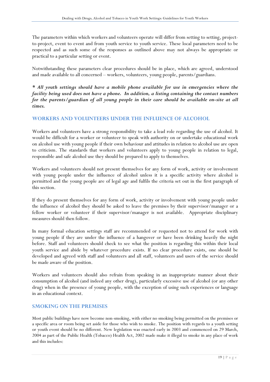The parameters within which workers and volunteers operate will differ from setting to setting, projectto-project, event to event and from youth service to youth service. These local parameters need to be respected and as such some of the responses as outlined above may not always be appropriate or practical to a particular setting or event.

Notwithstanding these parameters clear procedures should be in place, which are agreed, understood and made available to all concerned – workers, volunteers, young people, parents/guardians.

*\* All youth settings should have a mobile phone available for use in emergencies where the facility being used does not have a phone. In addition, a listing containing the contact numbers for the parents/guardian of all young people in their care should be available on-site at all times.* 

#### **WORKERS AND VOLUNTEERS UNDER THE INFLUENCE OF ALCOHOL**

Workers and volunteers have a strong responsibility to take a lead role regarding the use of alcohol. It would be difficult for a worker or volunteer to speak with authority on or undertake educational work on alcohol use with young people if their own behaviour and attitudes in relation to alcohol use are open to criticism. The standards that workers and volunteers apply to young people in relation to legal, responsible and safe alcohol use they should be prepared to apply to themselves.

Workers and volunteers should not present themselves for any form of work, activity or involvement with young people under the influence of alcohol unless it is a specific activity where alcohol is permitted and the young people are of legal age and fulfils the criteria set out in the first paragraph of this section.

If they do present themselves for any form of work, activity or involvement with young people under the influence of alcohol they should be asked to leave the premises by their supervisor/manager or a fellow worker or volunteer if their supervisor/manager is not available. Appropriate disciplinary measures should then follow.

In many formal education settings staff are recommended or requested not to attend for work with young people if they are under the influence of a hangover or have been drinking heavily the night before. Staff and volunteers should check to see what the position is regarding this within their local youth service and abide by whatever procedure exists. If no clear procedure exists, one should be developed and agreed with staff and volunteers and all staff, volunteers and users of the service should be made aware of the position.

Workers and volunteers should also refrain from speaking in an inappropriate manner about their consumption of alcohol (and indeed any other drug), particularly excessive use of alcohol (or any other drug) when in the presence of young people, with the exception of using such experiences or language in an educational context.

#### **SMOKING ON THE PREMISES**

Most public buildings have now become non-smoking, with either no smoking being permitted on the premises or a specific area or room being set aside for those who wish to smoke. The position with regards to a youth setting or youth event should be no different. New legislation was enacted early in 2003 and commenced on 29 March, 2004 as part of the Public Health (Tobacco) Health Act, 2002 made make it illegal to smoke in any place of work and this includes: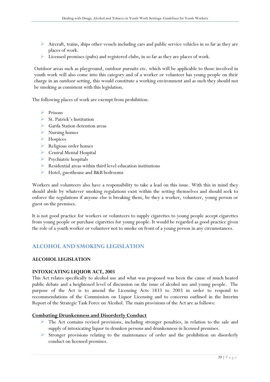- $\triangleright$  Aircraft, trains, ships other vessels including cars and public service vehicles in so far as they are places of work.
- ¾ Licensed premises (pubs) and registered clubs, in so far as they are places of work.

Outdoor areas such as playground, outdoor pursuits etc. which will be applicable to those involved in youth work will also come into this category and of a worker or volunteer has young people on their charge in an outdoor setting, this would constitute a working environment and as such they should not be smoking as consistent with this legislation.

The following places of work are exempt from prohibition:

- $\triangleright$  Prisons
- $\triangleright$  St. Patrick's Institution
- ¾ Garda Station detention areas
- ¾ Nursing homes
- ¾ Hospices
- ¾ Religious order homes
- ▶ Central Mental Hospital
- ¾ Psychiatric hospitals
- $\triangleright$  Residential areas within third level education institutions
- ¾ Hotel, guesthouse and B&B bedrooms

Workers and volunteers also have a responsibility to take a lead on this issue. With this in mind they should abide by whatever smoking regulations exist within the setting themselves and should seek to enforce the regulations if anyone else is breaking them, be they a worker, volunteer, young person or guest on the premises.

It is not good practice for workers or volunteers to supply cigarettes to young people accept cigarettes from young people or purchase cigarettes for young people. It would be regarded as good practice given the role of a youth worker or volunteer not to smoke on front of a young person in any circumstances.

#### **ALCOHOL AND SMOKING LEGISLATION**

#### **ALCOHOL LEGISLATION**

#### **INTOXICATING LIQUOR ACT, 2003**

This Act relates specifically to alcohol use and what was proposed was been the cause of much heated public debate and a heightened level of discussion on the issue of alcohol use and young people. The purpose of the Act is to amend the Licensing Acts 1833 to 2003 in order to respond to recommendations of the Commission on Liquor Licensing and to concerns outlined in the Interim Report of the Strategic Task Force on Alcohol. The main provisions of the Act are as follows:

#### **Combating Drunkenness and Disorderly Conduct**

- ¾ The Act contains revised provisions, including stronger penalties, in relation to the sale and supply of intoxicating liquor to drunken persons and drunkenness in licensed premises.
- ¾ Stronger provisions relating to the maintenance of order and the prohibition on disorderly conduct on licensed premises.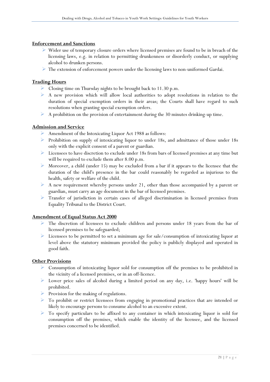#### **Enforcement and Sanctions**

- ¾ Wider use of temporary closure orders where licensed premises are found to be in breach of the licensing laws, e.g. in relation to permitting drunkenness or disorderly conduct, or supplying alcohol to drunken persons.
- ¾ The extension of enforcement powers under the licensing laws to non-uniformed Gardai.

#### **Trading Hours**

- ¾ Closing time on Thursday nights to be brought back to 11.30 p.m.
- ¾ A new provision which will allow local authorities to adopt resolutions in relation to the duration of special exemption orders in their areas; the Courts shall have regard to such resolutions when granting special exemption orders.
- ¾ A prohibition on the provision of entertainment during the 30 minutes drinking-up time.

#### **Admission and Service**

- ¾ Amendment of the Intoxicating Liquor Act 1988 as follows:
- ¾ Prohibition on supply of intoxicating liquor to under 18s, and admittance of those under 18s only with the explicit consent of a parent or guardian.
- ¾ Licensees to have discretion to exclude under 18s from bars of licensed premises at any time but will be required to exclude them after 8.00 p.m.
- ¾ Moreover, a child (under 15) may be excluded from a bar if it appears to the licensee that the duration of the child's presence in the bar could reasonably be regarded as injurious to the health, safety or welfare of the child.
- $\triangleright$  A new requirement whereby persons under 21, other than those accompanied by a parent or guardian, must carry an age document in the bar of licensed premises.
- ¾ Transfer of jurisdiction in certain cases of alleged discrimination in licensed premises from Equality Tribunal to the District Court.

#### **Amendment of Equal Status Act 2000**

- ¾ The discretion of licensees to exclude children and persons under 18 years from the bar of licensed premises to be safeguarded;
- ¾ Licensees to be permitted to set a minimum age for sale/consumption of intoxicating liquor at level above the statutory minimum provided the policy is publicly displayed and operated in good faith.

#### **Other Provisions**

- $\triangleright$  Consumption of intoxicating liquor sold for consumption off the premises to be prohibited in the vicinity of a licensed premises, or in an off-licence.
- ¾ Lower price sales of alcohol during a limited period on any day, i.e. 'happy hours' will be prohibited.
- ¾ Provision for the making of regulations.
- ¾ To prohibit or restrict licensees from engaging in promotional practices that are intended or likely to encourage persons to consume alcohol to an excessive extent.
- ¾ To specify particulars to be affixed to any container in which intoxicating liquor is sold for consumption off the premises, which enable the identity of the licensee, and the licensed premises concerned to be identified.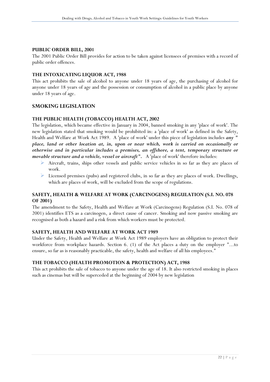#### **PUBLIC ORDER BILL, 2001**

The 2001 Public Order Bill provides for action to be taken against licensees of premises with a record of public order offences.

#### **THE INTOXICATING LIQUOR ACT, 1988**

This act prohibits the sale of alcohol to anyone under 18 years of age, the purchasing of alcohol for anyone under 18 years of age and the possession or consumption of alcohol in a public place by anyone under 18 years of age.

#### **SMOKING LEGISLATION**

#### **THE PUBLIC HEALTH (TOBACCO) HEALTH ACT, 2002**

The legislation, which became effective in January in 2004, banned smoking in any 'place of work'. The new legislation stated that smoking would be prohibited in: a 'place of work' as defined in the Safety, Health and Welfare at Work Act 1989. A 'place of work' under this piece of legislation includes *any " place, land or other location at, in, upon or near which, work is carried on occasionally or otherwise and in particular includes a premises, an offshore, a tent, temporary structure or movable structure and a vehicle, vessel or aircraft".* A 'place of work' therefore includes:

- ¾ Aircraft, trains, ships other vessels and public service vehicles in so far as they are places of work.
- ¾ Licensed premises (pubs) and registered clubs, in so far as they are places of work. Dwellings, which are places of work, will be excluded from the scope of regulations.

#### **SAFETY, HEALTH & WELFARE AT WORK (CARCINOGENS) REGULATION (S.I. NO. 078 OF 2001)**

The amendment to the Safety, Health and Welfare at Work (Carcinogens) Regulation (S.I. No. 078 of 2001) identifies ETS as a carcinogen, a direct cause of cancer. Smoking and now passive smoking are recognised as both a hazard and a risk from which workers must be protected.

#### **SAFETY, HEALTH AND WELFARE AT WORK ACT 1989**

Under the Safety, Health and Welfare at Work Act 1989 employers have an obligation to protect their workforce from workplace hazards. Section 6. (1) of the Act places a duty on the employer "...to ensure, so far as is reasonably practicable, the safety, health and welfare of all his employees."

#### **THE TOBACCO (HEALTH PROMOTION & PROTECTION) ACT, 1988**

This act prohibits the sale of tobacco to anyone under the age of 18. It also restricted smoking in places such as cinemas but will be superceded at the beginning of 2004 by new legislation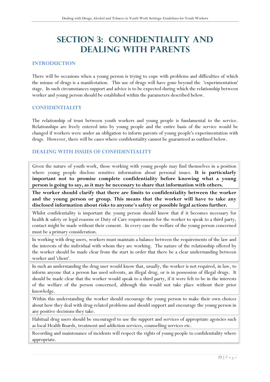## **SECTION 3: CONFIDENTIALITY AND DEALING WITH PARENTS**

#### **INTRODUCTION**

There will be occasions when a young person is trying to cope with problems and difficulties of which the misuse of drugs is a manifestation. This use of drugs will have gone beyond the 'experimentation' stage. In such circumstances support and advice is to be expected during which the relationship between worker and young person should be established within the parameters described below.

#### **CONFIDENTIALITY**

The relationship of trust between youth workers and young people is fundamental to the service. Relationships are freely entered into by young people and the entire basis of the service would be changed if workers were under an obligation to inform parents of young people's experimentation with drugs. However, there will be cases where confidentiality cannot be guaranteed as outlined below.

#### **DEALING WITH ISSUES OF CONFIDENTIALITY**

Given the nature of youth work, those working with young people may find themselves in a position where young people disclose sensitive information about personal issues. **It is particularly important not to promise complete confidentiality before knowing what a young person is going to say, as it may be necessary to share that information with others.** 

**The worker should clarify that there are limits to confidentiality between the worker and the young person or group. This means that the worker will have to take any disclosed information about risks to anyone's safety or possible legal actions further.** 

Whilst confidentiality is important the young person should know that if it becomes necessary for health & safety or legal reasons or Duty of Care requirements for the worker to speak to a third party, contact might be made without their consent. In every case the welfare of the young person concerned must be a primary consideration.

In working with drug users, workers must maintain a balance between the requirements of the law and the interests of the individual with whom they are working. The nature of the relationship offered by the worker should be made clear from the start in order that there be a clear understanding between worker and 'client'.

In such an understanding the drug user would know that, usually, the worker is not required, in law, to inform anyone that a person has used solvents, an illegal drug, or is in possession of illegal drugs. It should be made clear that the worker would speak to a third party, if it were felt to be in the interests of the welfare of the person concerned, although this would not take place without their prior knowledge.

Within this understanding the worker should encourage the young person to make their own choices about how they deal with drug-related problems and should support and encourage the young person in any positive decisions they take.

Habitual drug users should be encouraged to use the support and services of appropriate agencies such as local Health Boards, treatment and addiction services, counselling services etc.

Recording and maintenance of incidents will respect the rights of young people to confidentiality where appropriate.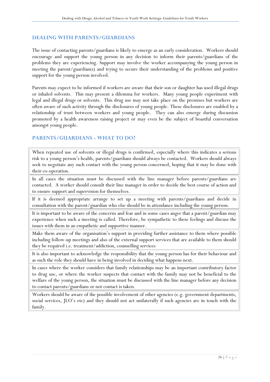#### **DEALING WITH PARENTS/GUARDIANS**

The issue of contacting parents/guardians is likely to emerge as an early consideration. Workers should encourage and support the young person in any decision to inform their parents/guardians of the problems they are experiencing. Support may involve the worker accompanying the young person in meeting the parent/guardian(s) and trying to secure their understanding of the problems and positive support for the young person involved.

Parents may expect to be informed if workers are aware that their son or daughter has used illegal drugs or inhaled solvents. This may present a dilemma for workers. Many young people experiment with legal and illegal drugs or solvents. This drug use may not take place on the premises but workers are often aware of such activity through the disclosures of young people. These disclosures are enabled by a relationship of trust between workers and young people. They can also emerge during discussion promoted by a health awareness raising project or may even be the subject of boastful conversation amongst young people.

#### **PARENTS/GUARDIANS - WHAT TO DO?**

When repeated use of solvents or illegal drugs is confirmed, especially where this indicates a serious risk to a young person's health, parents/guardians should always be contacted. Workers should always seek to negotiate any such contact with the young person concerned, hoping that it may be done with their co-operation.

In all cases the situation must be discussed with the line manager before parents/guardians are contacted. A worker should consult their line manager in order to decide the best course of action and to ensure support and supervision for themselves.

If it is deemed appropriate arrange to set up a meeting with parents/guardians and decide in consultation with the parent/guardian who else should be in attendance including the young person.

It is important to be aware of the concerns and fear and in some cases anger that a parent/guardian may experience when such a meeting is called. Therefore, be sympathetic to these feelings and discuss the issues with them in an empathetic and supportive manner.

Make them aware of the organisation's support in providing further assistance to them where possible including follow-up meetings and also of the external support services that are available to them should they be required i.e. treatment/addiction, counselling services

It is also important to acknowledge the responsibility that the young person has for their behaviour and as such the role they should have in being involved in deciding what happens next.

In cases where the worker considers that family relationships may be an important contributory factor to drug use, or where the worker suspects that contact with the family may not be beneficial to the welfare of the young person, the situation must be discussed with the line manager before any decision to contact parents/guardians or not contact is taken.

Workers should be aware of the possible involvement of other agencies (e.g. government departments, social services, JLO's etc) and they should not act unilaterally if such agencies are in touch with the family.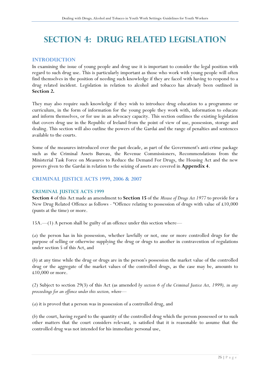## **SECTION 4: DRUG RELATED LEGISLATION**

#### **INTRODUCTION**

In examining the issue of young people and drug use it is important to consider the legal position with regard to such drug use. This is particularly important as those who work with young people will often find themselves in the position of needing such knowledge if they are faced with having to respond to a drug related incident. Legislation in relation to alcohol and tobacco has already been outlined in **Section 2.** 

They may also require such knowledge if they wish to introduce drug education to a programme or curriculum, in the form of information for the young people they work with, information to educate and inform themselves, or for use in an advocacy capacity. This section outlines the existing legislation that covers drug use in the Republic of Ireland from the point of view of use, possession, storage and dealing. This section will also outline the powers of the Gardai and the range of penalties and sentences available to the courts.

Some of the measures introduced over the past decade, as part of the Government's anti-crime package such as the Criminal Assets Bureau, the Revenue Commissioners, Recommendations from the Ministerial Task Force on Measures to Reduce the Demand For Drugs, the Housing Act and the new powers given to the Gardai in relation to the seizing of assets are covered in **Appendix 4**.

#### **CRIMINAL JUSTICE ACTS 1999, 2006 & 2007**

#### **CRIMINAL JUSTICE ACTS 1999**

**Section 4** of this Act made an amendment to **Section 15** of the *Misuse of Drugs Act 1977* to provide for a New Drug Related Offence as follows - "Offence relating to possession of drugs with value of £10,000 (punts at the time) or more.

15A.—(1) A person shall be guilty of an offence under this section where—

(*a*) the person has in his possession, whether lawfully or not, one or more controlled drugs for the purpose of selling or otherwise supplying the drug or drugs to another in contravention of regulations under section 5 of this Act, and

(*b*) at any time while the drug or drugs are in the person's possession the market value of the controlled drug or the aggregate of the market values of the controlled drugs, as the case may be, amounts to £10,000 or more.

(2) Subject to section 29(3) of this Act (as amended *by section 6 of the Criminal Justice Act, 1999), in any proceedings for an offence under this section, where—* 

(*a*) it is proved that a person was in possession of a controlled drug, and

(*b*) the court, having regard to the quantity of the controlled drug which the person possessed or to such other matters that the court considers relevant, is satisfied that it is reasonable to assume that the controlled drug was not intended for his immediate personal use,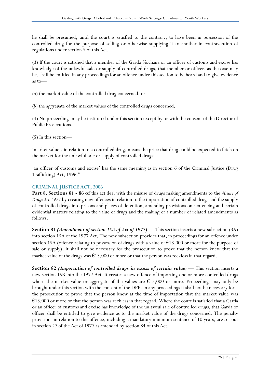he shall be presumed, until the court is satisfied to the contrary, to have been in possession of the controlled drug for the purpose of selling or otherwise supplying it to another in contravention of regulations under section 5 of this Act.

(3) If the court is satisfied that a member of the Garda Síochána or an officer of customs and excise has knowledge of the unlawful sale or supply of controlled drugs, that member or officer, as the case may be, shall be entitled in any proceedings for an offence under this section to be heard and to give evidence as to—

- (*a*) the market value of the controlled drug concerned, or
- (*b*) the aggregate of the market values of the controlled drugs concerned.

(4) No proceedings may be instituted under this section except by or with the consent of the Director of Public Prosecutions.

(5) In this section—

'market value', in relation to a controlled drug, means the price that drug could be expected to fetch on the market for the unlawful sale or supply of controlled drugs;

'an officer of customs and excise' has the same meaning as in section 6 of the Criminal Justice (Drug Trafficking) Act, 1996."

#### **CRIMINAL JUSTICE ACT, 2006**

Part 8, Sections 81 - 86 of this act deal with the misuse of drugs making amendments to the *Misuse of Drugs Act 1977* by creating new offences in relation to the importation of controlled drugs and the supply of controlled drugs into prisons and places of detention, amending provisions on sentencing and certain evidential matters relating to the value of drugs and the making of a number of related amendments as follows:

**Section 81** *(Amendment of section 15A of Act of 1977)* — This section inserts a new subsection (3A) into section 15A of the 1977 Act. The new subsection provides that, in proceedings for an offence under section 15A (offence relating to possession of drugs with a value of  $\epsilon$ 13,000 or more for the purpose of sale or supply), it shall not be necessary for the prosecution to prove that the person knew that the market value of the drugs was  $\epsilon$ 13,000 or more or that the person was reckless in that regard.

**Section 82** *(Importation of controlled drugs in excess of certain value) —* This section inserts a new section 15B into the 1977 Act. It creates a new offence of importing one or more controlled drugs where the market value or aggregate of the values are  $\epsilon$ 13,000 or more. Proceedings may only be brought under this section with the consent of the DPP. In any proceedings it shall not be necessary for the prosecution to prove that the person knew at the time of importation that the market value was  $€13,000$  or more or that the person was reckless in that regard. Where the court is satisfied that a Garda or an officer of customs and excise has knowledge of the unlawful sale of controlled drugs, that Garda or officer shall be entitled to give evidence as to the market value of the drugs concerned. The penalty provisions in relation to this offence, including a mandatory minimum sentence of 10 years, are set out in section 27 of the Act of 1977 as amended by section 84 of this Act.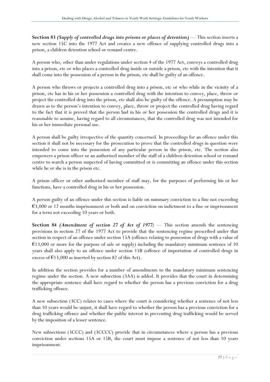**Section 83** *(Supply of controlled drugs into prisons or places of detention)* — This section inserts a new section 15C into the 1977 Act and creates a new offence of supplying controlled drugs into a prison, a children detention school or remand centre.

A person who, other than under regulations under section 4 of the 1977 Act, conveys a controlled drug into a prison, etc or who places a controlled drug inside or outside a prison, etc with the intention that it shall come into the possession of a person in the prison, etc shall be guilty of an offence.

A person who throws or projects a controlled drug into a prison, etc or who while in the vicinity of a prison, etc has in his or her possession a controlled drug with the intention to convey, place, throw or project the controlled drug into the prison, etc shall also be guilty of the offence. A presumption may be drawn as to the person's intention to convey, place, throw or project the controlled drug having regard to the fact that it is proved that the person had in his or her possession the controlled drugs and it is reasonable to assume, having regard to all circumstances, that the controlled drug was not intended for his or her immediate personal use.

A person shall be guilty irrespective of the quantity concerned. In proceedings for an offence under this section it shall not be necessary for the prosecution to prove that the controlled drugs in question were intended to come into the possession of any particular person in the prison, etc. The section also empowers a prison officer or an authorised member of the staff of a children detention school or remand centre to search a person suspected of having committed or is committing an offence under this section while he or she is in the prison etc.

A prison officer or other authorised member of staff may, for the purposes of performing his or her functions, have a controlled drug in his or her possession.

A person guilty of an offence under this section is liable on summary conviction to a fine not exceeding  $\epsilon$ 3,000 or 12 months imprisonment or both and on conviction on indictment to a fine or imprisonment for a term not exceeding 10 years or both.

**Section 84** *(Amendment of section 27 of Act of 1977)* — This section amends the sentencing provisions in section 27 of the 1977 Act to provide that the sentencing regime prescribed under that section in respect of an offence under section 15A (offence relating to possession of drugs with a value of  $€13,000$  or more for the purpose of sale or supply) including the mandatory minimum sentence of 10 years shall also apply to an offence under section 15B (offence of importation of controlled drugs in excess of  $\text{\textsterling}13,000$  as inserted by section 82 of this Act).

In addition the section provides for a number of amendments to the mandatory minimum sentencing regime under the section. A new subsection (3AA) is added. It provides that the court in determining the appropriate sentence shall have regard to whether the person has a previous conviction for a drug trafficking offence.

A new subsection (3CC) relates to cases where the court is considering whether a sentence of not less than 10 years would be unjust, it shall have regard to whether the person has a previous conviction for a drug trafficking offence and whether the public interest in preventing drug trafficking would be served by the imposition of a lesser sentence.

New subsections (3CCC) and (3CCCC) provide that in circumstances where a person has a previous conviction under sections 15A or 15B, the court must impose a sentence of not less than 10 years imprisonment.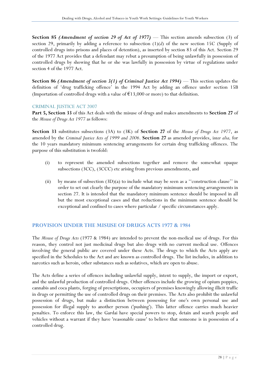**Section 85** *(Amendment of section 29 of Act of 1977)* — This section amends subsection (3) of section 29, primarily by adding a reference to subsection  $(1)(d)$  of the new section 15C (Supply of controlled drugs into prisons and places of detention), as inserted by section 83 of this Act. Section 29 of the 1977 Act provides that a defendant may rebut a presumption of being unlawfully in possession of controlled drugs by showing that he or she was lawfully in possession by virtue of regulations under section 4 of the 1977 Act.

**Section 86** *(Amendment of section 3(1) of Criminal Justice Act 1994)* — This section updates the definition of 'drug trafficking offence' in the 1994 Act by adding an offence under section 15B (Importation of controlled drugs with a value of  $\text{£}13,000$  or more) to that definition.

#### CRIMINAL JUSTICE ACT 2007

**Part 5, Section 33** of this Act deals with the misuse of drugs and makes amendments to **Section 27** of the *Misuse of Drugs Act 1977* as follows:

**Section 33** substitutes subsections (3A) to (3K) of **Section 27** of the *Misuse of Drugs Act 1977*, as amended by the *Criminal Justice Acts of 1999 and 2006*. **Section 27** as amended provides, i*nter alia,* for the 10 years mandatory minimum sentencing arrangements for certain drug trafficking offences. The purpose of this substitution is twofold:

- (i) to represent the amended subsections together and remove the somewhat opaque subsections (3CC), (3CCC) etc arising from previous amendments, and
- (ii) by means of subsection (3D)(a) to include what may be seen as a ''construction clause'' in order to set out clearly the purpose of the mandatory minimum sentencing arrangements in section 27. It is intended that the mandatory minimum sentence should be imposed in all but the most exceptional cases and that reductions in the minimum sentence should be exceptional and confined to cases where particular / specific circumstances apply.

#### **PROVISION UNDER THE MISUSE OF DRUGS ACTS 1977 & 1984**

The *Misuse of Drugs Acts* (1977 & 1984) are intended to prevent the non-medical use of drugs. For this reason, they control not just medicinal drugs but also drugs with no current medical use. Offences involving the general public are covered under these Acts. The drugs to which the Acts apply are specified in the Schedules to the Act and are known as controlled drugs. The list includes, in addition to narcotics such as heroin, other substances such as sedatives, which are open to abuse.

The Acts define a series of offences including unlawful supply, intent to supply, the import or export, and the unlawful production of controlled drugs. Other offences include the growing of opium poppies, cannabis and coca plants, forging of prescriptions, occupiers of premises knowingly allowing illicit traffic in drugs or permitting the use of controlled drugs on their premises. The Acts also prohibit the unlawful possession of drugs, but make a distinction between possessing for one's own personal use and possession for illegal supply to another person ('pushing'). This latter offence carries much heavier penalties. To enforce this law, the Gardai have special powers to stop, detain and search people and vehicles without a warrant if they have 'reasonable cause' to believe that someone is in possession of a controlled drug.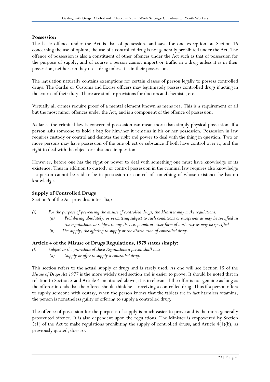#### **Possession**

The basic offence under the Act is that of possession, and save for one exception, at Section 16 concerning the use of opium, the use of a controlled drug is not generally prohibited under the Act. The offence of possession is also a constituent of other offences under the Act such as that of possession for the purpose of supply, and of course a person cannot import or traffic in a drug unless it is in their possession, neither can they use a drug unless it is in their possession.

The legislation naturally contains exemptions for certain classes of person legally to possess controlled drugs. The Gardai or Customs and Excise officers may legitimately possess controlled drugs if acting in the course of their duty. There are similar provisions for doctors and chemists, etc.

Virtually all crimes require proof of a mental element known as mens rea. This is a requirement of all but the most minor offences under the Act, and is a component of the offence of possession.

As far as the criminal law is concerned possession can mean more than simply physical possession. If a person asks someone to hold a bag for him/her it remains in his or her possession. Possession in law requires custody or control and denotes the right and power to deal with the thing in question. Two or more persons may have possession of the one object or substance if both have control over it, and the right to deal with the object or substance in question.

However, before one has the right or power to deal with something one must have knowledge of its existence. Thus in addition to custody or control possession in the criminal law requires also knowledge - a person cannot be said to be in possession or control of something of whose existence he has no knowledge.

#### **Supply of Controlled Drugs**

Section 5 of the Act provides, inter alia,:

- *(i) For the purpose of preventing the misuse of controlled drugs, the Minister may make regulations:* 
	- *(a) Prohibiting absolutely, or permitting subject to such conditions or exceptions as may be specified in the regulations, or subject to any licence, permit or other form of authority as may be specified*
	- *(b) The supply, the offering to supply or the distribution of controlled drugs.*

#### **Article 4 of the Misuse of Drugs Regulations, 1979 states simply:**

- *(i) Subject to the provisions of these Regulations a person shall not:* 
	- *(a) Supply or offer to supply a controlled drug.*

This section refers to the actual supply of drugs and is rarely used. As one will see Section 15 of the *Misuse of Drugs Act 1977* is the more widely used section and is easier to prove. It should be noted that in relation to Section 5 and Article 4 mentioned above, it is irrelevant if the offer is not genuine as long as the offeror intends that the offeree should think he is receiving a controlled drug. Thus if a person offers to supply someone with ecstasy, when the person knows that the tablets are in fact harmless vitamins, the person is nonetheless guilty of offering to supply a controlled drug.

The offence of possession for the purposes of supply is much easier to prove and is the more generally prosecuted offence. It is also dependent upon the regulations. The Minister is empowered by Section 5(1) of the Act to make regulations prohibiting the supply of controlled drugs, and Article 4(1)(b), as previously quoted, does so.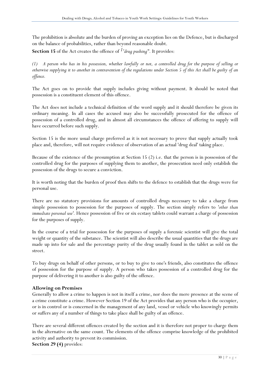The prohibition is absolute and the burden of proving an exception lies on the Defence, but is discharged on the balance of probabilities, rather than beyond reasonable doubt.

**Section 15** of the Act creates the offence of *1'drug pushing".* It provides:

*(1) A person who has in his possession, whether lawfully or not, a controlled drug for the purpose of selling or otherwise supplying it to another in contravention of the regulations under Section 5 of this Act shall be guilty of an offence.* 

The Act goes on to provide that supply includes giving without payment. It should be noted that possession is a constituent element of this offence.

The Act does not include a technical definition of the word supply and it should therefore be given its ordinary meaning. In all cases the accused may also be successfully prosecuted for the offence of possession of a controlled drug, and in almost all circumstances the offence of offering to supply will have occurred before such supply.

Section 15 is the more usual charge preferred as it is not necessary to prove that supply actually took place and, therefore, will not require evidence of observation of an actual 'drug deal' taking place.

Because of the existence of the presumption at Section 15 (2) i.e. that the person is in possession of the controlled drug for the purposes of supplying them to another, the prosecution need only establish the possession of the drugs to secure a conviction.

It is worth noting that the burden of proof then shifts to the defence to establish that the drugs were for personal use.

There are no statutory provisions for amounts of controlled drugs necessary to take a charge from simple possession to possession for the purposes of supply. The section simply refers to *'other than immediate personal use'.* Hence possession of five or six ecstasy tablets could warrant a charge of possession for the purposes of supply.

In the course of a trial for possession for the purposes of supply a forensic scientist will give the total weight or quantity of the substance. The scientist will also describe the usual quantities that the drugs are made up into for sale and the percentage purity of the drug usually found in the tablet as sold on the street.

To buy drugs on behalf of other persons, or to buy to give to one's friends, also constitutes the offence of possession for the purpose of supply. A person who takes possession of a controlled drug for the purpose of delivering it to another is also guilty of the offence.

#### **Allowing on Premises**

Generally to allow a crime to happen is not in itself a crime, nor does the mere presence at the scene of a crime constitute a crime. However Section 19 of the Act provides that any person who is the occupier, or is in control or is concerned in the management of any land, vessel or vehicle who knowingly permits or suffers any of a number of things to take place shall be guilty of an offence.

There are several different offences created by the section and it is therefore not proper to charge them in the alternative on the same count. The elements of the offence comprise knowledge of the prohibited activity and authority to prevent its commission. **Section 29 (4)** provides: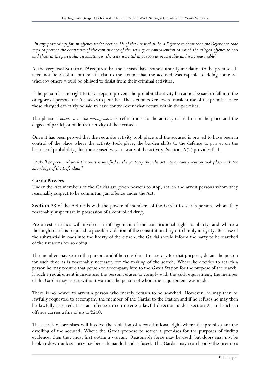*"In any proceedings for an offence under Section 19 of the Act it shall be a Defence to show that the Defendant took steps to prevent the occurrence of the continuance of the activity or contravention to which the alleged offence relates and that, in the particular circumstances, the steps were taken as soon as practicable and were reasonable"* 

At the very least **Section 19** requires that the accused have some authority in relation to the premises. It need not be absolute but must exist to the extent that the accused was capable of doing some act whereby others would be obliged to desist from their criminal activities.

If the person has no right to take steps to prevent the prohibited activity he cannot be said to fall into the category of persons the Act seeks to penalise. The section covers even transient use of the premises once those charged can fairly be said to have control over what occurs within the premises.

The phrase *"concerned in the management or'* refers more to the activity carried on in the place and the degree of participation in that activity of the accused.

Once it has been proved that the requisite activity took place and the accused is proved to have been in control of the place where the activity took place, the burden shifts to the defence to prove, on the balance of probability, that the accused was unaware of the activity. Section 19(2) provides that:

*"it shall be presumed until the court is satisfied to the contrary that the activity or contravention took place with the knowledge of the Defendant"* 

#### **Garda Powers**

Under the Act members of the Gardaí are given powers to stop, search and arrest persons whom they reasonably suspect to be committing an offence under the Act.

**Section 23** of the Act deals with the power of members of the Gardai to search persons whom they reasonably suspect are in possession of a controlled drug.

Pre arrest searches will involve an infringement of the constitutional right to liberty, and where a thorough search is required, a possible violation of the constitutional right to bodily integrity. Because of the substantial inroads into the liberty of the citizen, the Gardai should inform the party to be searched of their reasons for so doing.

The member may search the person, and if he considers it necessary for that purpose, detain the person for such time as is reasonably necessary for the making of the search. Where he decides to search a person he may require that person to accompany him to the Garda Station for the purpose of the search. If such a requirement is made and the person refuses to comply with the said requirement, the member of the Gardai may arrest without warrant the person of whom the requirement was made.

There is no power to arrest a person who merely refuses to be searched. However, he may then be lawfully requested to accompany the member of the Gardai to the Station and if he refuses he may then be lawfully arrested. It is an offence to contravene a lawful direction under Section 23 and such an offence carries a fine of up to  $\text{\textsterling}200$ .

The search of premises will involve the violation of a constitutional right where the premises are the dwelling of the accused. Where the Garda propose to search a premises for the purposes of finding evidence, then they must first obtain a warrant. Reasonable force may be used, but doors may not be broken down unless entry has been demanded and refused. The Gardai may search only the premises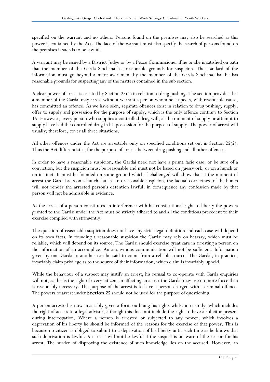specified on the warrant and no others. Persons found on the premises may also be searched as this power is contained by the Act. The face of the warrant must also specify the search of persons found on the premises if such is to be lawful.

A warrant may be issued by a District Judge or by a Peace Commissioner if he or she is satisfied on oath that the member of the Garda Siochana has reasonable grounds for suspicion. The standard of the information must go beyond a mere averement by the member of the Garda Siochana that he has reasonable grounds for suspecting any of the matters contained in the sub section.

A clear power of arrest is created by Section 25(1) in relation to drug pushing. The section provides that a member of the Gardai may arrest without warrant a person whom he suspects, with reasonable cause, has committed an offence. As we have seen, separate offences exist in relation to drug pushing, supply, offer to supply and possession for the purpose of supply, which is the only offence contrary to Section 15. However, every person who supplies a controlled drug will, at the moment of supply or attempt to supply have had the controlled drug in his possession for the purpose of supply. The power of arrest will usually, therefore, cover all three situations.

All other offences under the Act are arrestable only on specified conditions set out in Section 25(2). Thus the Act differentiates, for the purpose of arrest, between drug pushing and all other offences.

In order to have a reasonable suspicion, the Gardai need not have a prima facie case, or be sure of a conviction, but the suspicion must be reasonable and must not be based on guesswork, or on a hunch or on instinct. It must be founded on some ground which if challenged will show that at the moment of arrest the Gardai acts on a hunch, but has no reasonable suspicion, the factual correctness of the hunch will not render the arrested person's detention lawful, in consequence any confession made by that person will not be admissible in evidence.

As the arrest of a person constitutes an interference with his constitutional right to liberty the powers granted to the Gardai under the Act must be strictly adhered to and all the conditions precedent to their exercise complied with stringently.

The question of reasonable suspicion does not have any strict legal definition and each case will depend on its own facts. In founding a reasonable suspicion the Gardai may rely on hearsay, which must be reliable, which will depend on its source. The Gardai should exercise great care in arresting a person on the information of an accomplice. An anonymous communication will not be sufficient. Information given by one Garda to another can be said to come from a reliable source. The Gardai, in practice, invariably claim privilege as to the source of their information, which claim is invariably upheld.

While the behaviour of a suspect may justify an arrest, his refusal to co-operate with Garda enquiries will not, as this is the right of every citizen. In effecting an arrest the Gardai may use no more force than is reasonably necessary. The purpose of the arrest is to have a person charged with a criminal offence. The powers of arrest under **Section 25** should not be used for the purpose of questioning.

A person arrested is now invariably given a form outlining his rights whilst in custody, which includes the right of access to a legal advisor, although this does not include the right to have a solicitor present during interrogation. Where a person is arrested or subjected to any power, which involves a deprivation of his liberty he should be informed of the reasons for the exercise of that power. This is because no citizen is obliged to submit to a deprivation of his liberty until such time as he knows that such deprivation is lawful. An arrest will not be lawful if the suspect is unaware of the reason for his arrest. The burden of disproving the existence of such knowledge lies on the accused. However, an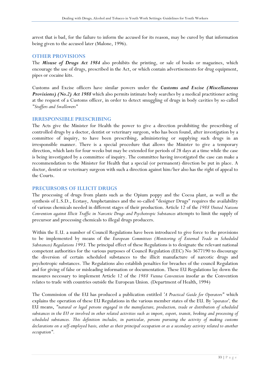arrest that is bad, for the failure to inform the accused for its reason, may be cured by that information being given to the accused later (Malone, 1996).

#### **OTHER PROVISIONS**

The *Misuse of Drugs Act 1984* also prohibits the printing, or sale of books or magazines, which encourage the use of drugs, prescribed in the Act, or which contain advertisements for drug equipment, pipes or cocaine kits.

Customs and Excise officers have similar powers under the *Customs and Excise (Miscellaneous Provisions) (No.2) Act 1988* which also permits intimate body searches by a medical practitioner acting at the request of a Customs officer, in order to detect smuggling of drugs in body cavities by so-called *"Stuffers and Swallowers"* 

#### **IRRESPONSIBLE PRESCRIBING**

The Acts give the Minister for Health the power to give a direction prohibiting the prescribing of controlled drugs by a doctor, dentist or veterinary surgeon, who has been found, after investigation by a committee of inquiry, to have been prescribing, administering or supplying such drugs in an irresponsible manner. There is a special procedure that allows the Minister to give a temporary direction, which lasts for four weeks but may be extended for periods of 28 days at a time while the case is being investigated by a committee of inquiry. The committee having investigated the case can make a recommendation to the Minister for Health that a special (or permanent) direction be put in place. A doctor, dentist or veterinary surgeon with such a direction against him/her also has the right of appeal to the Courts.

#### **PRECURSORS OF ILLICIT DRUGS**

The processing of drugs from plants such as the Opium poppy and the Cocoa plant, as well as the synthesis of L.S.D., Ecstasy, Amphetamines and the so-called "designer Drugs" requires the availability of various chemicals needed in different stages of their production. Article 12 of the *1988 United Nations Convention against Illicit Traffic in Narcotic Drugs and Psychotropic Substances* attempts to limit the supply of precursor and processing chemicals to illegal drugs producers.

Within the E.U. a number of Council Regulations have been introduced to give force to the provisions to be implemented by means of the *European Committees (Monitoring of External Trade in Scheduled Substances) Regulations 1993.* The principal effect of these Regulations is to designate the relevant national competent authorities for the various purposes of Council Regulation (EEC) No 3677190 to discourage the diversion of certain scheduled substances to the illicit manufacture of narcotic drugs and psychotropic substances. The Regulations also establish penalties for breaches of the council Regulation and for giving of false or misleading information or documentation. These EU Regulations lay down the measures necessary to implement Article 12 of the *1988 Vienna Convention* insofar as the Convention relates to trade with countries outside the European Union. (Department of Health, 1994)

The Commission of the EU has produced a publication entitled *'A Practical Guide for Operators"* which explains the operation of these EU Regulations in the various member states of the EU. By *'operator',* the EU means, *"natural or legal persons engaged in the manufacture, production, trade or distribution of scheduled substances in the EU or involved in other related activities such as import, export, transit, broking and processing of scheduled substances. This definition includes, in particular, persons pursuing the activity of making customs declarations on a self-employed basis, either as their principal occupation or as a secondary activity related to another occupation".*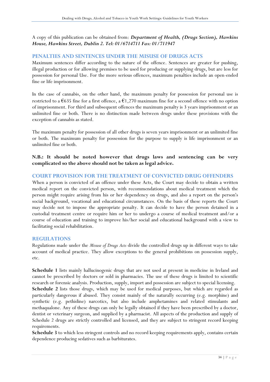A copy of this publication can be obtained from: *Department of Health, (Drugs Section), Hawkins House, Hawkins Street, Dublin 2. Tel: 01/6714711 Fax: 01/711947* 

#### **PENALTIES AND SENTENCES UNDER THE MISUSE OF DRUGS ACTS**

Maximum sentences differ according to the nature of the offence. Sentences are greater for pushing, illegal production or for allowing premises to be used for producing or supplying drugs, but are less for possession for personal Use. For the more serious offences, maximum penalties include an open-ended fine or life imprisonment.

In the case of cannabis, on the other hand, the maximum penalty for possession for personal use is restricted to a €635 fine for a first offence, a €1,270 maximum fine for a second offence with no option of imprisonment. For third and subsequent offences the maximum penalty is 3 years imprisonment or an unlimited fine or both. There is no distinction made between drugs under these provisions with the exception of cannabis as stated.

The maximum penalty for possession of all other drugs is seven years imprisonment or an unlimited fine or both. The maximum penalty for possession for the purpose to supply is life imprisonment or an unlimited fine or both.

#### **N.B.: It should be noted however that drugs laws and sentencing can be very complicated so the above should not be taken as legal advice.**

#### **COURT PROVISION FOR THE TREATMENT OF CONVICTED DRUG OFFENDERS**

When a person is convicted of an offence under these Acts, the Court may decide to obtain a written medical report on the convicted person, with recommendations about medical treatment which the person might require arising from his or her dependency on drugs, and also a report on the person's social background, vocational and educational circumstances. On the basis of these reports the Court may decide not to impose the appropriate penalty. It can decide to have the person detained in a custodial treatment centre or require him or her to undergo a course of medical treatment and/or a course of education and training to improve his/her social and educational background with a view to facilitating social rehabilitation.

#### **REGULATIONS**

Regulations made under the *Misuse of Drugs Acts* divide the controlled drugs up in different ways to take account of medical practice. They allow exceptions to the general prohibitions on possession supply, etc.

**Schedule 1** lists mainly hallucinogenic drugs that are not used at present in medicine in Ireland and cannot be prescribed by doctors or sold in pharmacies. The use of these drugs is limited to scientific research or forensic analysis. Production, supply, import and possession are subject to special licensing.

**Schedule 2** lists those drugs, which may be used for medical purposes, but which are regarded as particularly dangerous if abused. They consist mainly of the naturally occurring (e.g. morphine) and synthetic (e.g. pethidine) narcotics, but also include amphetamines and related stimulants and methaqualone. Any of these drugs can only be legally obtained if they have been prescribed by a doctor, dentist or veterinary surgeon, and supplied by a pharmacist. All aspects of the production and supply of Schedule 2 drugs are strictly controlled and licensed, and they are subject to stringent record keeping requirements.

Schedule 3 to which less stringent controls and no record keeping requirements apply, contains certain dependence producing sedatives such as barbiturates.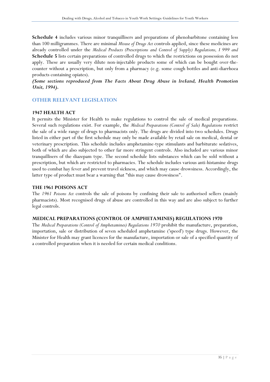**Schedule 4** includes various minor tranquillisers and preparations of phenobarbitone containing less than 100 milligrammes. There are minimal *Misuse of Drugs Act* controls applied, since these medicines are already controlled under the *Medical Products (Prescriptions and Control of Supply) Regulations, I 999 and*  **Schedule 5** lists certain preparations of controlled drugs to which the restrictions on possession do not apply. These are usually very dilute non-injectable products some of which can be bought over-thecounter without a prescription, but only from a pharmacy (e.g. some cough bottles and anti-diarrhoea products containing opiates).

*(Some sections reproduced from The Facts About Drug Abuse in lreIand, Health Promotion Unit, 1994).* 

#### **OTHER RELEVANT LEGISLATION**

#### **1947 HEALTH ACT**

It permits the Minister for Health to make regulations to control the sale of medical preparations. Several such regulations exist. For example, the *Medical Preparations (Control of Sale) Regulations* restrict the sale of a wide range of drugs to pharmacists only. The drugs are divided into two schedules. Drugs listed in either part of the first schedule may only be made available by retail sale on medical, dental or veterinary prescription. This schedule includes amphetamine-type stimulants and barbiturate sedatives, both of which are also subjected to other far more stringent controls. Also included are various minor tranquillisers of the diazepam type. The second schedule lists substances which can be sold without a prescription, but which are restricted to pharmacies. The schedule includes various anti-histamine drugs used to combat hay fever and prevent travel sickness, and which may cause drowsiness. Accordingly, the latter type of product must bear a warning that "this may cause drowsiness".

#### **THE 1961 POISONS ACT**

The *1961 Poisons Act* controls the sale of poisons by confining their sale to authorised sellers (mainly pharmacists). Most recognised drugs of abuse are controlled in this way and are also subject to further legal controls.

#### **MEDICAL PREPARATIONS (CONTROL OF AMPHETAMINES) REGULATIONS 1970**

The *Medical Preparations (Control of Amphetamines) Regulations 1970* prohibit the manufacture, preparation, importation, sale or distribution of seven scheduled amphetamine ('speed') type drugs. However, the Minister for Health may grant licences for the manufacture, importation or sale of a specified quantity of a controlled preparation when it is needed for certain medical conditions.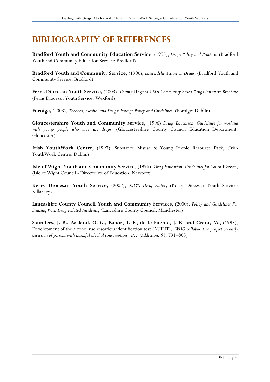## **BIBLIOGRAPHY OF REFERENCES**

**Bradford Youth and Community Education Service**, (1995), *Drugs Policy and Practice*, (Bradford Youth and Community Education Service: Bradford)

**Bradford Youth and Community Service**, (1996), *Laisterdyke Action on Drugs*, (Bradford Youth and Community Service: Bradford)

**Ferns Diocesan Youth Service,** (2003), *County Wexford CBDI Community Based Drugs Initiative Brochure* (Ferns Diocesan Youth Service: Wexford)

**Foroige,** (2003), *Tobacco, Alcohol and Drugs: Foroige Policy and Guidelines*, (Foroige: Dublin)

**Gloucestershire Youth and Community Service**, (1996) *Drugs Education: Guidelines for working with young people who may use drugs*, (Gloucestershire County Council Education Department: Gloucester)

**Irish YouthWork Centre,** (1997), Substance Misuse & Young People Resource Pack, (Irish YouthWork Centre: Dublin)

**Isle of Wight Youth and Community Service**, (1996), *Drug Education: Guidelines for Youth Workers*, (Isle of Wight Council - Directorate of Education: Newport)

**Kerry Diocesan Youth Service,** (2002), *KDYS Drug Policy***,** (Kerry Diocesan Youth Service: Killarney)

**Lancashire County Council Youth and Community Services,** (2000), *Policy and Guidelines For Dealing With Drug Related Incidents*, (Lancashire County Council: Manchester)

**Saunders, J. B., Aasland, O. G., Babor, T. F., de le Fuente, J. R. and Grant, M.,** (1993), Development of the alcohol use disorders identification test (AUDIT): *WHO collaborative project on early detection of persons with harmful alcohol consumption - II*., (*Addiction, 88,* 791–803)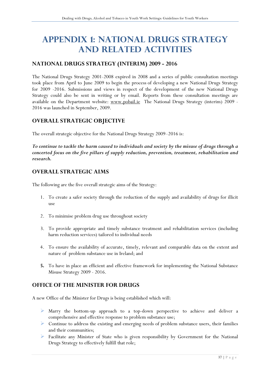# **Appendix 1: National Drugs Strategy AND Related Activities**

# **NATIONAL DRUGS STRATEGY (INTERIM) 2009 - 2016**

The National Drugs Strategy 2001-2008 expired in 2008 and a series of public consultation meetings took place from April to June 2009 to begin the process of developing a new National Drugs Strategy for 2009 -2016. Submissions and views in respect of the development of the new National Drugs Strategy could also be sent in writing or by email. Reports from these consultation meetings are available on the Department website: www.pobail.ie The National Drugs Strategy (interim) 2009 -2016 was launched in September, 2009.

# **OVERALL STRATEGIC OBJECTIVE**

The overall strategic objective for the National Drugs Strategy 2009–2016 is:

*To continue to tackle the harm caused to individuals and society by the misuse of drugs through a concerted focus on the five pillars of supply reduction, prevention, treatment, rehabilitation and research.* 

# **OVERALL STRATEGIC AIMS**

The following are the five overall strategic aims of the Strategy:

- 1. To create a safer society through the reduction of the supply and availability of drugs for illicit use
- 2. To minimise problem drug use throughout society
- 3. To provide appropriate and timely substance treatment and rehabilitation services (including harm reduction services) tailored to individual needs
- 4. To ensure the availability of accurate, timely, relevant and comparable data on the extent and nature of problem substance use in Ireland; and
- **5.** To have in place an efficient and effective framework for implementing the National Substance Misuse Strategy 2009 - 2016.

# **OFFICE OF THE MINISTER FOR DRUGS**

A new Office of the Minister for Drugs is being established which will:

- ¾ Marry the bottom-up approach to a top-down perspective to achieve and deliver a comprehensive and effective response to problem substance use;
- ¾ Continue to address the existing and emerging needs of problem substance users, their families and their communities;
- ¾ Facilitate any Minister of State who is given responsibility by Government for the National Drugs Strategy to effectively fulfill that role;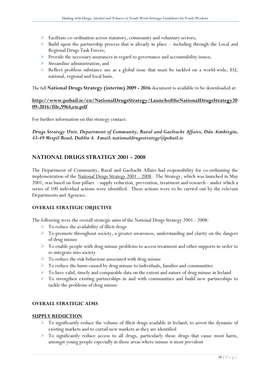- ¾ Facilitate co-ordination across statutory, community and voluntary sectors;
- $\triangleright$  Build upon the partnership process that is already in place including through the Local and Regional Drugs Task Forces;
- ¾ Provide the necessary assurances in regard to governance and accountability issues;
- ¾ Streamline administration; and
- ¾ Reflect problem substance use as a global issue that must be tackled on a world-wide, EU, national, regional and local basis.

The full **National Drugs Strategy (interim) 2009 - 2016** document is available to be downloaded at:

# **http://www.pobail.ie/en/NationalDrugsStrategy/LaunchoftheNationalDrugsStrategy20 09-2016/file,9964,en.pdf**

For further information on this strategy contact:

*Drugs Strategy Unit, Department of Community, Rural and Gaeltacht Affairs, Dún Aimhirgin, 43-49 Mespil Road, Dublin 4. Email: nationaldrugsstrategy@pobail.ie* 

# **NATIONAL DRUGS STRATEGY 2001 - 2008**

The Department of Community, Rural and Gaeltacht Affairs had responsibility for co-ordinating the implementation of the National Drugs Strategy 2001 - 2008. The Strategy, which was launched in May 2001, was based on four pillars - supply reduction, prevention, treatment and research - under which a series of 100 individual actions were identified. These actions were to be carried out by the relevant Departments and Agencies.

# **OVERALL STRATEGIC OBJECTIVE**

The following were the overall strategic aims of the National Drugs Strategy 2001 - 2008:

- $\triangleright$  To reduce the availability of illicit drugs
- ¾ To promote throughout society, a greater awareness, understanding and clarity on the dangers of drug misuse
- ¾ To enable people with drug misuse problems to access treatment and other supports in order to re-integrate into society
- ¾ To reduce the risk behaviour associated with drug misuse
- ¾ To reduce the harm caused by drug misuse to individuals, families and communities
- ¾ To have valid, timely and comparable data on the extent and nature of drug misuse in Ireland
- ¾ To strengthen existing partnerships in and with communities and build new partnerships to tackle the problems of drug misuse

#### **OVERALL STRATEGIC AIMS**

#### **SUPPLY REDUCTION**

- $\triangleright$  To significantly reduce the volume of illicit drugs available in Ireland; to arrest the dynamic of existing markets and to curtail new markets as they are identified
- ¾ To significantly reduce access to all drugs, particularly those drugs that cause most harm, amongst young people especially in those areas where misuse is most prevalent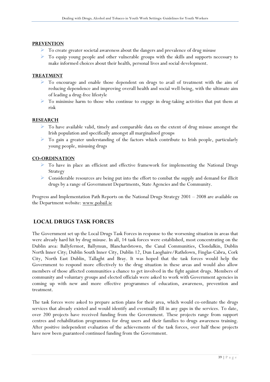#### **PREVENTION**

- ¾ To create greater societal awareness about the dangers and prevalence of drug misuse
- ¾ To equip young people and other vulnerable groups with the skills and supports necessary to make informed choices about their health, personal lives and social development.

# **TREATMENT**

- ¾ To encourage and enable those dependent on drugs to avail of treatment with the aim of reducing dependence and improving overall health and social well-being, with the ultimate aim of leading a drug-free lifestyle
- ¾ To minimise harm to those who continue to engage in drug-taking activities that put them at risk

# **RESEARCH**

- $\triangleright$  To have available valid, timely and comparable data on the extent of drug misuse amongst the Irish population and specifically amongst all marginalised groups
- ¾ To gain a greater understanding of the factors which contribute to Irish people, particularly young people, misusing drugs

# **CO-ORDINATION**

- $\triangleright$  To have in place an efficient and effective framework for implementing the National Drugs Strategy
- ¾ Considerable resources are being put into the effort to combat the supply and demand for illicit drugs by a range of Government Departments, State Agencies and the Community.

Progress and Implementation Path Reports on the National Drugs Strategy 2001 – 2008 are available on the Department website: www.pobail.ie

# **LOCAL DRUGS TASK FORCES**

The Government set up the Local Drugs Task Forces in response to the worsening situation in areas that were already hard hit by drug misuse. In all, 14 task forces were established, most concentrating on the Dublin area: Ballyfermot, Ballymun, Blanchardstown, the Canal Communities, Clondalkin, Dublin North Inner City; Dublin South Inner City, Dublin 12, Dun Laoghaire/Rathdown, Finglas-Cabra, Cork City, North East Dublin, Tallaght and Bray. It was hoped that the task forces would help the Government to respond more effectively to the drug situation in these areas and would also allow members of those affected communities a chance to get involved in the fight against drugs. Members of community and voluntary groups and elected officials were asked to work with Government agencies in coming up with new and more effective programmes of education, awareness, prevention and treatment.

The task forces were asked to prepare action plans for their area, which would co-ordinate the drugs services that already existed and would identify and eventually fill in any gaps in the services. To date, over 200 projects have received funding from the Government. These projects range from support centres and rehabilitation programmes for drug users and their families to drugs awareness training. After positive independent evaluation of the achievements of the task forces, over half these projects have now been guaranteed continued funding from the Government.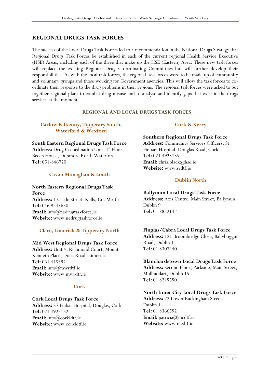# **REGIONAL DRUGS TASK FORCES**

The success of the Local Drugs Task Forces led to a recommendation in the National Drugs Strategy that Regional Drugs Task Forces be established in each of the current regional Health Service Executive (HSE) Areas, including each of the three that make up the HSE (Eastern) Area. These new task forces will replace the existing Regional Drug Co-ordinating Committees but will further develop their responsibilities. As with the local task forces, the regional task forces were to be made up of community and voluntary groups and those working for Government agencies. This will allow the task forces to coordinate their response to the drug problems in their regions. The regional task forces were asked to put together regional plans to combat drug misuse and to analyse and identify gaps that exist in the drugs services at the moment.

## **REGIONAL AND LOCAL DRUGS TASK FORCES**

# **Carlow Kilkenny, Tipperary South, Waterford & Wexford**

**South Eastern Regional Drugs Task Force**  Address: Drug Co-ordination Unit, 1<sup>st</sup> Floor, Beech House, Dunmore Road, Waterford **Tel:** 051-846720

# **Cavan Monaghan & Louth**

**North Eastern Regional Drugs Task Force Address:** 1 Castle Street, Kells, Co. Meath **Tel:** 046 9248630 **Email:** info@nedrugtaskforce.ie **Website:** www.nedrugtaskforce.ie

# **Clare, Limerick & Tipperary North**

#### **Mid West Regional Drugs Task Force**

**Address:** Unit 4, Richmond Court, Mount Kenneth Place, Dock Road, Limerick **Tel:** 061 445392 **Email:** info@mwrdtf.ie **Website:** www.mwrdtf.ie

#### **Cork**

## **Cork Local Drugs Task Force**

**Address:** 57 Finbar Hospital, Douglas, Cork **Tel:** 021 4923132 **Email:** info@corkldtf.ie **Website:** www.corkldtf.ie

#### **Cork & Kerry**

# **Southern Regional Drugs Task Force**

**Address:** Community Services Officers, St. Finbars Hospital, Douglas Road, Cork **Tel:** 021 4923135 **Email:** chris.black@hse.ie **Website:** www.srdtf.ie

## **Dublin North**

## **Ballymun Local Drugs Task Force**

**Address:** Axis Centre, Main Street, Ballymun, Dublin 9 **Tel:** 01 8832142

#### **Finglas/Cabra Local Drugs Task Force**

**Address:** 121 Broombridge Close, Ballyboggin Road, Dublin 11 **Tel:** 01 8307440

# **Blanchardstown Local Drugs Task Force**

**Address:** Second Floor, Parkside, Main Street, Mulhuddart, Dublin 15 **Tel:** 01 8249590

# **North Inner City Local Drugs Task Force**

**Address:** 22 Lower Buckingham Street, Dublin 1 **Tel:** 01 8366592 **Email:** patricia@nicdtf.ie **Website:** www.nicdtf.ie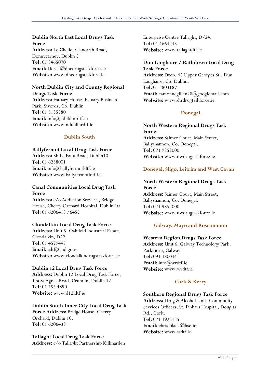# **Dublin North East Local Drugs Task Force**

**Address:** Le Cheile, Clancarth Road, Donnycarney, Dublin 5 **Tel:** 01 8465070 **Email:** Derek@dnedrugstaskforce.ie **Website:** www.dnedrugstaskforc.ie

# **North Dublin City and County Regional Drugs Task Force**

**Address:** Estuary House, Estuary Business Park, Swords, Co. Dublin **Tel:** 01 8135580 Email: info@ndublinrdtf.ie **Website:** www.ndublinrdtf.ie

# **Dublin South**

# **Ballyfermot Local Drug Task Force**

**Address:** 3b Le Fanu Road, Dublin10 **Tel:** 01 6238001 **Email:** info@ballyfermotldtf.ie **Website:** www.ballyfermotldtf.ie

# **Canal Communities Local Drug Task Force**

**Address:** c/o Addiction Services, Bridge House, Cherry Orchard Hospital, Dublin 10 **Tel:** 01 6206413 /6455

#### **Clondalkin Local Drug Task Force**

**Address:** Unit 5, Oakfield Industrial Estate, Clondalkin, D22. **Tel:** 01 4579445 **Email:** cdtf@indigo.ie **Website:** www.clondalkindrugstaskforce.ie

#### **Dublin 12 Local Drug Task Force**

**Address:** Dublin 12 Local Drug Task Force, 17a St Agnes Road, Crumlin, Dublin 12 **Tel:** 01 455 4890 **Website:** www.d12ldtf.ie

# **Dublin South Inner City Local Drug Task Force Address:** Bridge House, Cherry Orchard, Dublin 10. **Tel:** 01 6206438

# **Tallaght Local Drug Task Force**

**Address:** c/o Tallaght Partnership Killinarden

Enterprise Centre Tallaght, D/24. **Tel:** 01 4664243 **Website:** www.tallaghtdtf.ie

# **Dun Laoghaire / Rathdown Local Drug Task Force Address:** Drop, 45 Upper Georges St., Dun Laoghaire, Co. Dublin. **Tel:** 01 2803187 **Email:** eamonnegillen28@googlemail.com **Website:** www.dlrdrugtaskforce.ie

## **Donegal**

# **North Western Regional Drugs Task Force Address:** Saimer Court, Main Street, Ballyshannon, Co. Donegal. **Tel:** 071 9852000 **Website:** www.nwdrugtaskforce.ie

## **Donegal, Sligo, Leitrim and West Cavan**

## **North Western Regional Drugs Task**

**Force Address:** Saimer Court, Main Street, Ballyshannon, Co. Donegal. **Tel:** 071 9852000 **Website:** www.nwdrugtaskforce.ie

#### **Galway, Mayo and Roscommon**

## **Western Region Drugs Task Force**

**Address:** Unit 6, Galway Technology Park, Parkmore, Galway. **Tel:** 091 480044 **Email:** info@wrdtf.ie **Website:** www.wrdtf.ie

#### **Cork & Kerry**

#### **Southern Regional Drugs Task Force**

**Address:** Drug & Alcohol Unit, Community Services Officers, St. Finbars Hospital, Douglas Rd., Cork. **Tel:** 021 4923135 **Email:** chris.black@hse.ie **Website:** www.srdtf.ie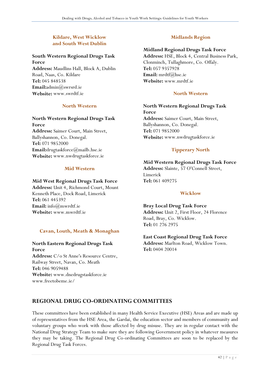# **Kildare, West Wicklow and South West Dublin**

# **South Western Regional Drugs Task Force**

**Address:** Maudlins Hall, Block A, Dublin Road, Naas, Co. Kildare **Tel:** 045 848538 **Email:**admin@swrsrd.ie **Website:** www.swrdtf.ie

## **North Western**

**North Western Regional Drugs Task Force Address:** Saimer Court, Main Street, Ballyshannon, Co. Donegal. **Tel:** 071 9852000 **Email:**drugtaskforce@mailb.hse.ie **Website:** www.nwdrugtaskforce.ie

## **Mid Western**

## **Mid West Regional Drugs Task Force**

**Address:** Unit 4, Richmond Court, Mount Kenneth Place, Dock Road, Limerick **Tel:** 061 445392 **Email:** info@mwrdtf.ie **Website:** www.mwrdtf.ie

# **Cavan, Louth, Meath & Monaghan**

#### **North Eastern Regional Drugs Task Force**

**Address:** C/o St Anne's Resource Centre, Railway Street, Navan, Co. Meath **Tel:** 046 9059488 **Website:** www.dnedrugstaskforce.ie www.freetobeme.ie/

# **Midlands Region**

#### **Midland Regional Drugs Task Force**

**Address:** HSE, Block 4, Central Business Park, Clonminch, Tullaghmore, Co. Offaly. **Tel:** 057 9357928 **Email:** mrdtf@hse.ie **Website:** www.mrdtf.ie

## **North Western**

**North Western Regional Drugs Task Force Address:** Saimer Court, Main Street, Ballyshannon, Co. Donegal. **Tel:** 071 9852000 **Website:** www.nwdrugtaskforce.ie

# **Tipperary North**

**Mid Western Regional Drugs Task Force Address:** Slainte, 57 O'Connell Street, Limerick **Tel:** 061 409275

#### **Wicklow**

# **Bray Local Drug Task Force**

**Address:** Unit 2, First Floor, 24 Florence Road, Bray, Co. Wicklow. **Tel:** 01 276 2975

## **East Coast Regional Drug Task Force Address:** Marlton Road, Wicklow Town. **Tel:** 0404 20014

# **REGIONAL DRUG CO-ORDINATING COMMITTEES**

These committees have been established in many Health Service Executive (HSE) Areas and are made up of representatives from the HSE Area, the Gardai, the education sector and members of community and voluntary groups who work with those affected by drug misuse. They are in regular contact with the National Drug Strategy Team to make sure they are following Government policy in whatever measures they may be taking. The Regional Drug Co-ordinating Committees are soon to be replaced by the Regional Drug Task Forces.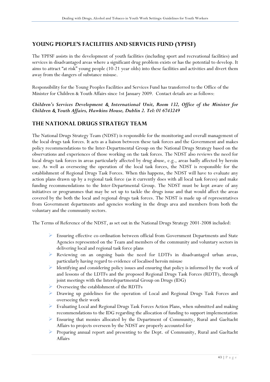# **YOUNG PEOPLE'S FACILITIES AND SERVICES FUND (YPFSF)**

The YPFSF assists in the development of youth facilities (including sport and recreational facilities) and services in disadvantaged areas where a significant drug problem exists or has the potential to develop. It aims to attract "at risk" young people (10-21 year olds) into these facilities and activities and divert them away from the dangers of substance misuse.

Responsibility for the Young Peoples Facilities and Services Fund has transferred to the Office of the Minister for Children & Youth Affairs since 1st January 2009. Contact details are as follows:

*Children's Services Development & International Unit, Room 132, Office of the Minister for Children & Youth Affairs, Hawkins House, Dublin 2. Tel: 01 6743249* 

# **THE NATIONAL DRUGS STRATEGY TEAM**

The National Drugs Strategy Team (NDST) is responsible for the monitoring and overall management of the local drugs task forces. It acts as a liaison between these task forces and the Government and makes policy recommendations to the Inter-Departmental Group on the National Drugs Strategy based on the observations and experiences of those working on the task forces. The NDST also reviews the need for local drugs task forces in areas particularly affected by drug abuse, e.g., areas badly affected by heroin use. As well as overseeing the operation of the local task forces, the NDST is responsible for the establishment of Regional Drugs Task Forces. When this happens, the NDST will have to evaluate any action plans drawn up by a regional task force (as it currently does with all local task forces) and make funding recommendations to the Inter-Departmental Group. The NDST must be kept aware of any initiatives or programmes that may be set up to tackle the drugs issue and that would affect the areas covered by the both the local and regional drugs task forces. The NDST is made up of representatives from Government departments and agencies working in the drugs area and members from both the voluntary and the community sectors.

The Terms of Reference of the NDST, as set out in the National Drugs Strategy 2001-2008 included:

- ¾ Ensuring effective co-ordination between official from Government Departments and State Agencies represented on the Team and members of the community and voluntary sectors in delivering local and regional task force plans
- ¾ Reviewing on an ongoing basis the need for LDTFs in disadvantaged urban areas, particularly having regard to evidence of localised heroin misuse
- ¾ Identifying and considering policy issues and ensuring that policy is informed by the work of and lessons of the LDTFs and the proposed Regional Drugs Task Forces (RDTF), through joint meetings with the Interdepartmental Group on Drugs (IDG)
- ¾ Overseeing the establishment of the RDTFs
- ¾ Drawing up guidelines for the operation of Local and Regional Drugs Task Forces and overseeing their work
- ¾ Evaluating Local and Regional Drugs Task Forces Action Plans, when submitted and making recommendations to the IDG regarding the allocation of funding to support implementation
- ¾ Ensuring that monies allocated by the Department of Community, Rural and Gaeltacht Affairs to projects overseen by the NDST are properly accounted for
- ¾ Preparing annual report and presenting to the Dept. of Community, Rural and Gaeltacht Affairs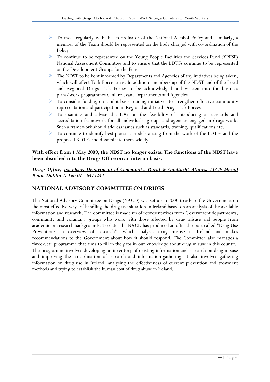- $\triangleright$  To meet regularly with the co-ordinator of the National Alcohol Policy and, similarly, a member of the Team should be represented on the body charged with co-ordination of the **Policy**
- ¾ To continue to be represented on the Young People Facilities and Services Fund (YPFSF) National Assessment Committee and to ensure that the LDTFs continue to be represented on the Development Groups for the Fund
- The NDST to be kept informed by Departments and Agencies of any initiatives being taken, which will affect Task Force areas. In addition, membership of the NDST and of the Local and Regional Drugs Task Forces to be acknowledged and written into the business plans/work programmes of all relevant Departments and Agencies
- ¾ To consider funding on a pilot basis training initiatives to strengthen effective community representation and participation in Regional and Local Drugs Task Forces
- ¾ To examine and advise the IDG on the feasibility of introducing a standards and accreditation framework for all individuals, groups and agencies engaged in drugs work. Such a framework should address issues such as standards, training, qualifications etc.
- ¾ To continue to identify best practice models arising from the work of the LDTFs and the proposed RDTFs and disseminate them widely

# **With effect from 1 May 2009, the NDST no longer exists. The functions of the NDST have been absorbed into the Drugs Office on an interim basis:**

# *Drugs Office, 1st Floor, Department of Community, Rural & Gaeltacht Affairs, 43/49 Mespil Road, Dublin 4. Tel: 01 - 6473244*

# **NATIONAL ADVISORY COMMITTEE ON DRUGS**

The National Advisory Committee on Drugs (NACD) was set up in 2000 to advise the Government on the most effective ways of handling the drug use situation in Ireland based on an analysis of the available information and research. The committee is made up of representatives from Government departments, community and voluntary groups who work with those affected by drug misuse and people from academic or research backgrounds. To date, the NACD has produced an official report called "Drug Use Prevention: an overview of research", which analyses drug misuse in Ireland and makes recommendations to the Government about how it should respond. The Committee also manages a three-year programme that aims to fill in the gaps in our knowledge about drug misuse in this country. The programme involves developing an inventory of existing information and research on drug misuse and improving the co-ordination of research and information-gathering. It also involves gathering information on drug use in Ireland, analysing the effectiveness of current prevention and treatment methods and trying to establish the human cost of drug abuse in Ireland.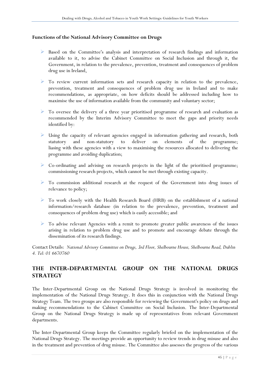## **Functions of the National Advisory Committee on Drugs**

- $\triangleright$  Based on the Committee's analysis and interpretation of research findings and information available to it, to advise the Cabinet Committee on Social Inclusion and through it, the Government, in relation to the prevalence, prevention, treatment and consequences of problem drug use in Ireland,
- ¾ To review current information sets and research capacity in relation to the prevalence, prevention, treatment and consequences of problem drug use in Ireland and to make recommendations, as appropriate, on how deficits should be addressed including how to maximise the use of information available from the community and voluntary sector;
- ¾ To oversee the delivery of a three year prioritised programme of research and evaluation as recommended by the Interim Advisory Committee to meet the gaps and priority needs identified by:
- ¾ Using the capacity of relevant agencies engaged in information gathering and research, both statutory and non-statutory to deliver on elements of the programme; liasing with these agencies with a view to maximising the resources allocated to delivering the programme and avoiding duplication;
- ¾ Co-ordinating and advising on research projects in the light of the prioritised programme; commissioning research projects, which cannot be met through existing capacity.
- ¾ To commission additional research at the request of the Government into drug issues of relevance to policy;
- ¾ To work closely with the Health Research Board (HRB) on the establishment of a national information/research database (in relation to the prevalence, prevention, treatment and consequences of problem drug use) which is easily accessible; and
- ¾ To advise relevant Agencies with a remit to promote greater public awareness of the issues arising in relation to problem drug use and to promote and encourage debate through the dissemination of its research findings.

Contact Details: *National Advisory Committee on Drugs, 3rd Floor, Shelbourne House, Shelbourne Road, Dublin 4. Tel: 01 6670760*

# **THE INTER-DEPARTMENTAL GROUP ON THE NATIONAL DRUGS STRATEGY**

The Inter-Departmental Group on the National Drugs Strategy is involved in monitoring the implementation of the National Drugs Strategy. It does this in conjunction with the National Drugs Strategy Team. The two groups are also responsible for reviewing the Government's policy on drugs and making recommendations to the Cabinet Committee on Social Inclusion. The Inter-Departmental Group on the National Drugs Strategy is made up of representatives from relevant Government departments.

The Inter-Departmental Group keeps the Committee regularly briefed on the implementation of the National Drugs Strategy. The meetings provide an opportunity to review trends in drug misuse and also in the treatment and prevention of drug misuse. The Committee also assesses the progress of the various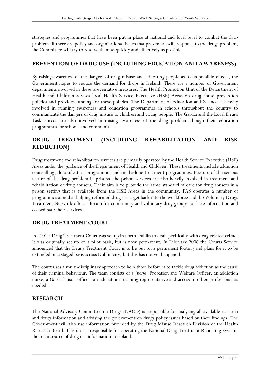strategies and programmes that have been put in place at national and local level to combat the drug problem. If there are policy and organisational issues that prevent a swift response to the drugs problem, the Committee will try to resolve them as quickly and effectively as possible.

# **PREVENTION OF DRUG USE (INCLUDING EDUCATION AND AWARENESS)**

By raising awareness of the dangers of drug misuse and educating people as to its possible effects, the Government hopes to reduce the demand for drugs in Ireland. There are a number of Government departments involved in these preventative measures. The Health Promotion Unit of the Department of Health and Children advises local Health Service Executive (HSE) Areas on drug abuse prevention policies and provides funding for these policies. The Department of Education and Science is heavily involved in running awareness and education programmes in schools throughout the country to communicate the dangers of drug misuse to children and young people. The Gardai and the Local Drugs Task Forces are also involved in raising awareness of the drug problem though their education programmes for schools and communities.

# **DRUG TREATMENT (INCLUDING REHABILITATION AND RISK REDUCTION)**

Drug treatment and rehabilitation services are primarily operated by the Health Service Executive (HSE) Areas under the guidance of the Department of Health and Children. These treatments include addiction counselling, detoxification programmes and methadone treatment programmes. Because of the serious nature of the drug problem in prisons, the prison services are also heavily involved in treatment and rehabilitation of drug abusers. Their aim is to provide the same standard of care for drug abusers in a prison setting that is available from the HSE Areas in the community. **FAS** operates a number of programmes aimed at helping reformed drug users get back into the workforce and the Voluntary Drugs Treatment Network offers a forum for community and voluntary drug groups to share information and co-ordinate their services.

# **DRUG TREATMENT COURT**

In 2001 a Drug Treatment Court was set up in north Dublin to deal specifically with drug-related crime. It was originally set up on a pilot basis, but is now permanent. In February 2006 the Courts Service announced that the Drugs Treatment Court is to be put on a permanent footing and plans for it to be extended on a staged basis across Dublin city, but this has not yet happened.

The court uses a multi-disciplinary approach to help those before it to tackle drug addiction as the cause of their criminal behaviour. The team consists of a Judge, Probation and Welfare Officer, an addiction nurse, a Garda liaison officer, an education/ training representative and access to other professional as needed.

# **RESEARCH**

The National Advisory Committee on Drugs (NACD) is responsible for analysing all available research and drugs information and advising the government on drugs policy issues based on their findings. The Government will also use information provided by the Drug Misuse Research Division of the Health Research Board. This unit is responsible for operating the National Drug Treatment Reporting System, the main source of drug use information in Ireland.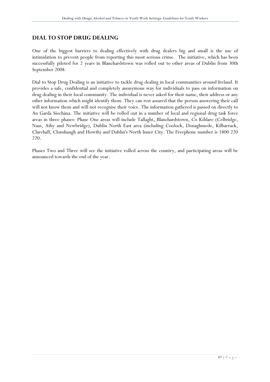# **DIAL TO STOP DRUG DEALING**

One of the biggest barriers to dealing effectively with drug dealers big and small is the use of intimidation to prevent people from reporting this most serious crime. The initiative, which has been successfully piloted for 2 years in Blanchardstown was rolled out to other areas of Dublin from 30th September 2008.

Dial to Stop Drug Dealing is an initiative to tackle drug dealing in local communities around Ireland. It provides a safe, confidential and completely anonymous way for individuals to pass on information on drug dealing in their local community. The individual is never asked for their name, their address or any other information which might identify them. They can rest assured that the person answering their call will not know them and will not recognise their voice. The information gathered is passed on directly to An Garda Síochána. The initiative will be rolled out in a number of local and regional drug task force areas in three phases: Phase One areas will include Tallaght, Blanchardstown, Co Kildare (Celbridge, Naas, Athy and Newbridge), Dublin North East area (including Coolock, Donaghmede, Kilbarrack, Clarehall, Clonshaugh and Howth) and Dublin's North Inner City. The Freephone number is 1800 220 220.

Phases Two and Three will see the initiative rolled across the country, and participating areas will be announced towards the end of the year.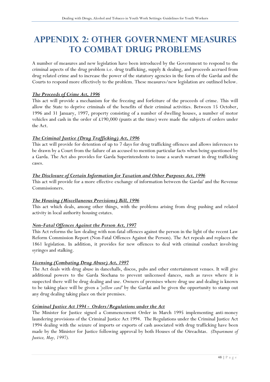# **Appendix 2: Other Government Measures to Combat Drug Problems**

A number of measures and new legislation have been introduced by the Government to respond to the criminal aspects of the drug problem i.e. drug trafficking, supply & dealing, and proceeds accrued from drug related crime and to increase the power of the statutory agencies in the form of the Gardai and the Courts to respond more effectively to the problem. These measures/new legislation are outlined below.

# *The Proceeds of Crime Act, 1996*

This act will provide a mechanism for the freezing and forfeiture of the proceeds of crime. This will allow the State to deprive criminals of the benefits of their criminal activities. Between 15 October, 1996 and 31 January, 1997, property consisting of a number of dwelling houses, a number of motor vehicles and cash in the order of £190,000 (punts at the time) were made the subjects of orders under the Act.

# *The Criminal Justice (Drug Trafficking) Act, 1996*

This act will provide for detention of up to 7 days for drug trafficking offences and allows inferences to be drawn by a Court from the failure of an accused to mention particular facts when being questioned by a Garda. The Act also provides for Garda Superintendents to issue a search warrant in drug trafficking cases.

# *The Disclosure of Certain Information for Taxation and Other Purposes Act, 1996*

This act will provide for a more effective exchange of information between the Gardai' and the Revenue Commissioners.

# *The Housing (Miscellaneous Provisions) Bill, 1996*

This act which deals, among other things, with the problems arising from drug pushing and related activity in local authority housing estates.

# *Non-Fatal Offences Against the Person Act, 1997*

This Act reforms the law dealing with non-fatal offences against the person in the light of the recent Law Reform Commission Report (Non-Fatal Offences Against the Person). The Act repeals and replaces the 1861 legislation. In addition, it provides for new offences to deal with criminal conduct involving syringes and stalking.

# *Licensing (Combating Drug Abuse) Act, 1997*

The Act deals with drug abuse in dancehalls, discos, pubs and other entertainment venues. It will give additional powers to the Garda Siochana to prevent unlicensed dances, such as raves where it is suspected there will be drug dealing and use. Owners of premises where drug use and dealing is known to be taking place will be given a *'yellow card'* by the Gardai and be given the opportunity to stamp out any drug dealing taking place on their premises.

# *Criminal Justice Act 1994 - Orders/Regulations under the Act*

The Minister for Justice signed a Commencement Order in March 1995 implementing anti-money laundering provisions of the Criminal Justice Act 1994. The Regulations under the Criminal Justice Act 1994 dealing with the seizure of imports or exports of cash associated with drug trafficking have been made by the Minister for Justice following approval by both Houses of the Oireachtas. *(Department of Justice, May, 1997).*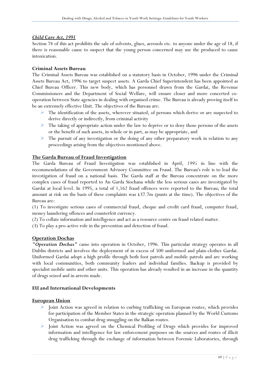#### *Child Care Act, 1991*

Section 74 of this act prohibits the sale of solvents, glues, aerosols etc. to anyone under the age of 18, if there is reasonable cause to suspect that the young person concerned may use the produced to cause intoxication.

## **Criminal Assets Bureau**

The Criminal Assets Bureau was established on a statutory basis in October, 1996 under the Criminal Assets Bureau Act, 1996 to target suspect assets. A Garda Chief Superintendent has been appointed as Chief Bureau Officer. This new body, which has personnel drawn from the Gardai, the Revenue Commissioners and the Department of Social Welfare, will ensure closer and more concerted cooperation between State agencies in dealing with organised crime. The Bureau is already proving itself to be an extremely effective Unit. The objectives of the Bureau are:

- ¾ The identification of the assets, wherever situated, of persons which derive or are suspected to derive directly or indirectly, from criminal activity
- ¾ The taking of appropriate action under the law to deprive or to deny those persons of the assets or the benefit of such assets, in whole or in part, as may be appropriate, and
- $\triangleright$  The pursuit of any investigation or the doing of any other preparatory work in relation to any proceedings arising from the objectives mentioned above.

# **The Garda Bureau of Fraud Investigation**

The Garda Bureau of Fraud Investigation was established in April, *1995* in line with the recommendations of the Government Advisory Committee on Fraud. The Bureau's role is to lead the investigation of fraud on a national basis. The Garda staff at the Bureau concentrate on the more complex cases of fraud reported to An Garda Siochana while the less serious cases are investigated by Gardai at local level. In 1995, a total of 1,162 fraud offences were reported to the Bureau; the total amount at risk on the basis of these complaints was  $\pounds 37.7m$  (punts at the time). The objectives of the Bureau are:

(1) To investigate serious cases of commercial fraud, cheque and credit card fraud, computer fraud, money laundering offences and counterfeit currency.

(2) To collate information and intelligence and act as a resource centre on fraud related matter.

(3) To play a pro-active role in the prevention and detection of fraud.

# **Operation Dochas**

*"Operation Dochas"* came into operation in October, 1996. This particular strategy operates in all Dublin districts and involves the deployment of in excess of 500 uniformed and plain-clothes Gardai. Uniformed Gardai adopt a high profile through both foot patrols and mobile patrols and are working with local communities, both community leaders and individual families. Backup is provided by specialist mobile units and other units. This operation has already resulted in an increase in the quantity of drugs seized and in arrests made.

#### **EU and International Developments**

#### **European Union**

- ¾ Joint Action was agreed in relation to curbing trafficking on European routes, which provides for participation of the Member States in the strategic operation planned by the World Customs Organisation to combat drug smuggling on the Balkan routes.
- ¾ Joint Action was agreed on the Chemical Profiling of Drugs which provides for improved information and intelligence for law enforcement purposes on the sources and routes of illicit drug trafficking through the exchange of information between Forensic Laboratories, through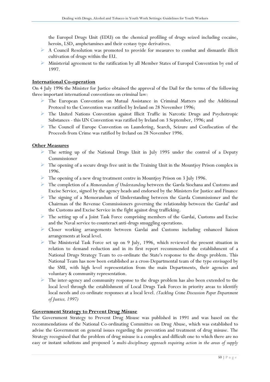the Europol Drugs Unit (EDU) on the chemical profiling of drugs seized including cocaine, heroin, LSD, amphetamines and their ecstasy type derivatives.

- ¾ A Council Resolution was promoted to provide for measures to combat and dismantle illicit cultivation of drugs within the EU.
- $\triangleright$  Ministerial agreement to the ratification by all Member States of Europol Convention by end of 1997.

# **International Co-operation**

On 4 July 1996 the Minister for Justice obtained the approval of the Dail for the terms of the following three important international conventions on criminal law:

- ¾ The European Convention on Mutual Assistance in Criminal Matters and the Additional Protocol to the Convention was ratified by Ireland on 28 November 1996;
- ¾ The United Nations Convention against Illicit Traffic in Narcotic Drugs and Psychotropic Substances - this UN Convention was ratified by Ireland on 3 September, 1996; and
- ¾ The Council of Europe Convention on Laundering, Search, Seizure and Confiscation of the Proceeds from Crime was ratified by Ireland on 28 November 1996.

## **Other Measures**

- $\triangleright$  The setting up of the National Drugs Unit in July 1995 under the control of a Deputy Commissioner
- ¾ The opening of a secure drugs free unit in the Training Unit in the Mountjoy Prison complex in 1996.
- ¾ The opening of a new drug treatment centre in Mountjoy Prison on 3 July 1996.
- ¾ The completion of a *Memorandum of Understanding* between the Garda Siochana and Customs and Excise Service, signed by the agency heads and endorsed by the Ministers for Justice and Finance
- ¾ The signing of a Memorandum of Understanding between the Garda Commissioner and the Chairman of the Revenue Commissioners governing the relationship between the Gardai' and the Customs and Excise Service in the fight against drug trafficking.
- ¾ The setting up of a Joint Task Force comprising members of the Gardai, Customs and Excise and the Naval service to counteract anti-drugs smuggling operations.
- ¾ Closer working arrangements between Gardai and Customs including enhanced liaison arrangements at local level.
- ¾ The Ministerial Task Force set up on 9 July, 1996, which reviewed the present situation in relation to demand reduction and in its first report recommended the establishment of a National Drugs Strategy Team to co-ordinate the State's response to the drugs problem. This National Team has now been established as a cross-Departmental team of the type envisaged by the SMI, with high level representation from the main Departments, their agencies and voluntary & community representation.
- $\triangleright$  The inter-agency and community response to the drugs problem has also been extended to the local level through the establishment of Local Drugs Task Forces in priority areas to identify local needs and co-ordinate responses at a local level. *(Tackling Crime Discussion Paper Department of Justice, 1997)*

#### **Government Strategy to Prevent Drug Misuse**

The Government Strategy to Prevent Drug Misuse was published in 1991 and was based on the recommendations of the National Co-ordinating Committee on Drug Abuse, which was established to advise the Government on general issues regarding the prevention and treatment of drug misuse. The Strategy recognised that the problem of drug misuse is a complex and difficult one to which there are no easy or instant solutions and proposed *'a multi-disciplinary approach requiring action in the areas of supply*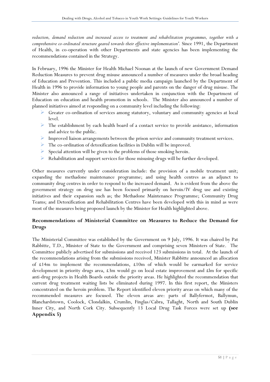*reduction, demand reduction and increased access to treatment and rehabilitation programmes, together with a comprehensive co-ordinated structure geared towards their effective implementation'.* Since 1991, the Department of Health, in co-operation with other Departments and state agencies has been implementing the recommendations contained in the Strategy.

In February, 1996 the Minister for Health Michael Noonan at the launch of new Government Demand Reduction Measures to prevent drug misuse announced a number of measures under the broad heading of Education and Prevention. This included a public media campaign launched by the Department of Health in 1996 to provide information to young people and parents on the danger of drug misuse. The Minister also announced a range of initiatives undertaken in conjunction with the Department of Education on education and health promotion in schools. The Minister also announced a number of planned initiatives aimed at responding on a community level including the following:

- ¾ Greater co-ordination of services among statutory, voluntary and community agencies at local level.
- $\triangleright$  The establishment by each health board of a contact service to provide assistance, information and advice to the public.
- ¾ Improved liaison arrangements between the prison service and community treatment services.
- $\triangleright$  The co-ordination of detoxification facilities in Dublin will be improved.
- ¾ Special attention will be given to the problems of those smoking heroin.
- ¾ Rehabilitation and support services for those misusing drugs will be further developed.

Other measures currently under consideration include: the provision of a mobile treatment unit; expanding the methadone maintenance programme; and using health centres as an adjunct to community drug centres in order to respond to the increased demand. As is evident from the above the government strategy on drug use has been focused primarily on heroin/lV drug use and existing initiatives and their expansion such as; the Methadone Maintenance Programme; Community Drug Teams; and Detoxification and Rehabilitation Centres have been developed with this in mind as were most of the measures being proposed launch by the Minister for Health highlighted above.

# **Recommendations of Ministerial Committee on Measures to Reduce the Demand for Drugs**

The Ministerial Committee was established by the Government on 9 July, 1996. It was chaired by Pat Rabbitte, T.D., Minister of State to the Government and comprising seven Ministers of State. The Committee publicly advertised for submissions and received 123 submissions in total. At the launch of the recommendations arising from the submissions received, Minister Rabbitte announced an allocation of £14m to implement the recommendations, £10m of which would be earmarked for service development in priority drugs area, £3m would go on local estate improvement and £lm for specific anti-drug projects in Health Boards outside the priority areas. He highlighted the recommendation that current drug treatment waiting lists be eliminated during 1997. In this first report, the Ministers concentrated on the heroin problem. The Report identified eleven priority areas on which many of the recommended measures are focused. The eleven areas are: parts of Ballyfermot, Ballymun, Blanchardstown, Coolock, Clondalkin, Crumlin, Finglas/Cabra, Tallaght, North and South Dublin Inner City, and North Cork City. Subsequently 13 Local Drug Task Forces were set up **(see Appendix 5)**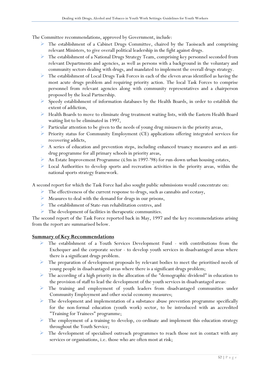The Committee recommendations, approved by Government, include:

- $\triangleright$  The establishment of a Cabinet Drugs Committee, chaired by the Taoiseach and comprising relevant Ministers, to give overall political leadership in the fight against drugs.
- ¾ The establishment of a National Drugs Strategy Team, comprising key personnel seconded from relevant Departments and agencies, as well as persons with a background in the voluntary and community sectors dealing with drugs, and mandated to implement the overall drugs strategy.
- $\triangleright$  The establishment of Local Drugs Task Forces in each of the eleven areas identified as having the most acute drugs problem and requiring priority action. The local Task Forces to comprise personnel from relevant agencies along with community representatives and a chairperson proposed by the local Partnership.
- ¾ Speedy establishment of information databases by the Health Boards, in order to establish the extent of addiction,
- ¾ Health Boards to move to eliminate drug treatment waiting lists, with the Eastern Health Board waiting list to be eliminated in 1997,
- ¾ Particular attention to be given to the needs of young drug misusers in the priority areas,
- ¾ Priority status for Community Employment (CE) applications offering integrated services for recovering addicts,
- ¾ A series of education and prevention steps, including enhanced truancy measures and an antidrug programme for all primary schools in priority areas,
- An Estate Improvement Programme (£3m in 1997-'98) for run-down urban housing estates,
- ¾ Local Authorities to develop sports and recreation activities in the priority areas, within the national sports strategy framework.

A second report for which the Task Force had also sought public submissions would concentrate on:

- ¾ The effectiveness of the current response to drugs, such as cannabis and ecstasy,
- ¾ Measures to deal with the demand for drugs in our prisons,
- ¾ The establishment of State-run rehabilitation centres, and
- ¾ The development of facilities in therapeutic communities.

The second report of the Task Force reported back in May, 1997 and the key recommendations arising from the report are summarised below.

#### **Summary of Key Recommendations**

- The establishment of a Youth Services Development Fund with contributions from the Exchequer and the corporate sector - to develop youth services in disadvantaged areas where there is a significant drugs problem.
- ¾ The preparation of development proposals by relevant bodies to meet the prioritised needs of young people in disadvantaged areas where there is a significant drugs problem;
- ¾ The according of a high priority in the allocation of the "demographic dividend" in education to the provision of staff to lead the development of the youth services in disadvantaged areas:
- ¾ The training and employment of youth leaders from disadvantaged communities under Community Employment and other social economy measures;
- $\triangleright$  The development and implementation of a substance abuse prevention programme specifically for the non-formal education (youth work) sector, to be introduced with an accredited "Training for Trainees" programme;
- ¾ The employment of a training to develop, co-ordinate and implement this education strategy throughout the Youth Service;
- ¾ The development of specialised outreach programmes to reach those not in contact with any services or organisations, i.e. those who are often most at risk;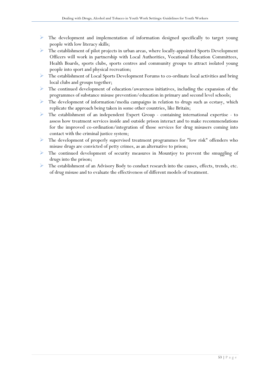- $\triangleright$  The development and implementation of information designed specifically to target young people with low literacy skills;
- ¾ The establishment of pilot projects in urban areas, where locally-appointed Sports Development Officers will work in partnership with Local Authorities, Vocational Education Committees, Health Boards, sports clubs, sports centres and community groups to attract isolated young people into sport and physical recreation;
- ¾ The establishment of Local Sports Development Forums to co-ordinate local activities and bring local clubs and groups together;
- $\triangleright$  The continued development of education/awareness initiatives, including the expansion of the programmes of substance misuse prevention/education in primary and second level schools;
- $\triangleright$  The development of information/media campaigns in relation to drugs such as ecstasy, which replicate the approach being taken in some other countries, like Britain;
- ¾ The establishment of an independent Expert Group containing international expertise to assess how treatment services inside and outside prison interact and to make recommendations for the improved co-ordination/integration of those services for drug misusers coming into contact with the criminal justice system;
- ¾ The development of properly supervised treatment programmes for "low risk" offenders who misuse drugs are convicted of petty crimes, as an alternative to prison;
- ¾ The continued development of security measures in Mountjoy to prevent the smuggling of drugs into the prison;
- ¾ The establishment of an Advisory Body to conduct research into the causes, effects, trends, etc. of drug misuse and to evaluate the effectiveness of different models of treatment.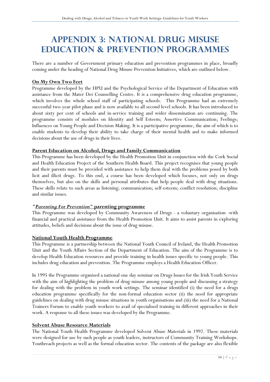# **Appendix 3: National Drug Misuse Education & Prevention Programmes**

There are a number of Government primary education and prevention programmes in place, broadly coming under the heading of National Drug Misuse Prevention Initiatives, which are outlined below.

## **On My Own Two Feet**

Programme developed by the HPU and the Psychological Service of the Department of Education with assistance from the Mater Dei Counselling Centre. It is a comprehensive drug education programme, which involves the whole school staff of participating schools. This Programme had an extremely successful two-year pilot phase and is now available to all second level schools. It has been introduced to about sixty per cent of schools and in-service training and wider dissemination are continuing. The programme consists of modules on Identity and Self Esteem; Assertive Communication; Feelings; Influences on Young People and Decision Making. It is a participative programme, the aim of which is to enable students to develop their ability to take charge of their mental health and to make informed decisions about the use of drugs in their lives.

## **Parent Education on Alcohol, Drugs and Family Communication**

This Programme has been developed by the Health Promotion Unit in conjunction with the Cork Social and Health Education Project of the Southern Health Board. This project recognises that young people and their parents must be provided with assistance to help them deal with the problems posed by both licit and illicit drugs. To this end, a course has been developed which focuses, not only on drugs themselves, but also on the skills and personal attributes that help people deal with drug situations. These skills relate to such areas as listening; communication; self-esteem; conflict resolution; discipline and similar issues.

#### *"Parenting For Prevention"* **parenting programme**

This Programme was developed by Community Awareness of Drugs - a voluntary organisation -with financial and practical assistance from the Health Promotion Unit. It aims to assist parents in exploring attitudes, beliefs and decisions about the issue of drug misuse.

#### **National Youth Health Programme**

This Programme is a partnership between the National Youth Council of Ireland, the Health Promotion Unit and the Youth Affairs Section of the Department of Education. The aim of the Programme is to develop Health Education resources and provide training in health issues specific to young people. This includes drug education and prevention. The Programme employs a Health Education Officer.

In 1995 the Programme organised a national one day seminar on Drugs Issues for the Irish Youth Service with the aim of highlighting the problem of drug misuse among young people and discussing a strategy for dealing with the problem in youth work settings. The seminar identified (i) the need for a drugs education programme specifically for the non-formal education sector (ii) the need for appropriate guidelines on dealing with drug misuse situations in youth organisations and (iii) the need for a National Trainers Forum to enable youth workers to avail of specialised training in different approaches in their work. A response to all these issues was developed by the Programme.

#### **Solvent Abuse Resource Materials**

The National Youth Health Programme developed Solvent Abuse Materials in 1992. These materials were designed for use by such people as youth leaders, instructors of Community Training Workshops. Youthreach projects as well as the formal education sector. The contents of the package are also flexible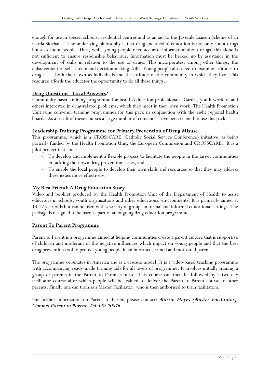enough for use in special schools, residential centres and as an aid to the Juvenile Liaison Scheme of an Garda Siochana. The underlying philosophy is that drug and alcohol education is not only about drugs but also about people. Thus, while young people need accurate information about drugs, this alone is not sufficient to ensure responsible behaviour. Information must be backed up by assistance in the development of skills in relation to the use of drugs. This incorporates, among other things, the enhancement of self-esteem and decision making skills. Young people also need to examine attitudes to drug use - both their own as individuals and the attitude of the community in which they live. This resource affords the educator the opportunity to do all these things.

# **Drug Questions - Local Answers?**

Community-based training programme for health/education professionals, Gardai, youth workers and others interested in drug-related problems, which they meet in their own work. The Health Promotion Unit runs convenor-training programmes for this pack in conjunction with the eight regional health boards. As a result of these courses a large number of convenors have been trained to use this pack.

# **Leadership Training Programme for Primary Prevention of Drug Misuse**

This programme, which is a CROSSCARE (Catholic Social Service Conference) initiative, is being partially funded by the Health Promotion Unit, the European Commission and CROSSCARE. It is a pilot project that aims:

- $\triangleright$  To develop and implement a flexible process to facilitate the people in the target communities in tackling their own drug prevention issues, and
- ¾ To enable the local people to develop their own skills and resources so that they may address these issues more effectively.

# **My Best Friend: A Drug Education Story**

Video and booklet produced by the Health Promotion Unit of the Department of Health to assist educators in schools, youth organisations and other educational environments. It is primarily aimed at 13-17 year olds but can be used with a variety of groups in formal and informal educational settings. The package is designed to be used as part of an ongoing drug education programme.

# **Parent To Parent Programme**

Parent to Parent is a programme aimed at helping communities create a parent culture that is supportive of children and intolerant of the negative influences which impact on young people and that the best drug prevention tool to protect young people in an informed, rained and motivated parent.

The programme originates in America and is a cascade model. It is a video-based teaching programme with accompanying ready-made training aids for all levels of programme. It involves initially training a group of parents in the Parent to Parent Course. This course can then be followed by a two-day facilitator course after which people will be trained to deliver the Parent to Parent course to other parents. Finally one can train as a Master Facilitator, who is then authorised to train facilitators.

Fur further information on Parent to Parent please contact: *Martin Hayes (Master Facilitator), Clonmel Parent to Parent, Tel: 052 70876*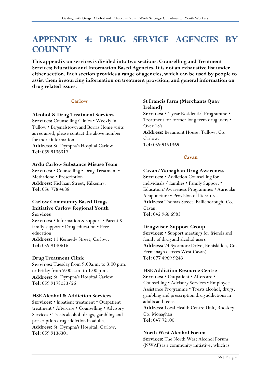# **APPENDIX 4: DRUG SERVICE AGENCIES BY COUNTY**

**This appendix on services is divided into two sections: Counselling and Treatment Services; Education and Information Based Agencies. It is not an exhaustive list under either section. Each section provides a range of agencies, which can be used by people to assist them in sourcing information on treatment provision, and general information on drug related issues.** 

# **Carlow**

# **Alcohol & Drug Treatment Services**

**Services:** Counselling Clinics • Weekly in Tullow • Bagenalstown and Borris Home visits as required, please contact the above number for more information.

**Address:** St. Dympna's Hospital Carlow **Tel:** 059 9136317

#### **Ardu Carlow Substance Misuse Team**

**Services:** • Counselling • Drug Treatment • Methadone • Prescription **Address:** Kickham Street, Kilkenny. **Tel:** 056 778 4638

#### **Carlow Community Based Drugs Initiative Carlow Regional Youth Services**

**Services:** • Information & support • Parent & family support • Drug education • Peer education **Address:** 11 Kennedy Street, Carlow. **Tel:** 059 9140616

#### **Drug Treatment Clinic**

**Services:** Tuesday from 9.00a.m. to 3.00 p.m. or Friday from 9.00 a.m. to 1.00 p.m. **Address:** St. Dympna's Hospital Carlow **Tel:** 059 9178053/56

#### **HSE Alcohol & Addiction Services**

**Services:** • Inpatient treatment • Outpatient treatment • Aftercare • Counselling • Advisory Services • Treats alcohol, drugs, gambling and prescription drug addiction in adults. **Address:** St. Dympna's Hospital, Carlow. **Tel:** 059 9136301

# **St Francis Farm (Merchants Quay Ireland)**

**Services:** • 1 year Residential Programme • Treatment for former long term drug users • Over 18's **Address:** Beaumont House, Tullow, Co. Carlow. **Tel:** 059 9151369

#### **Cavan**

## **Cavan/Monaghan Drug Awareness**

**Services:** • Addiction Counselling for individuals / families • Family Support • Education/Awareness Programmes • Auricular Acupuncture • Provision of literature. **Address:** Thomas Street, Bailieborough, Co. Cavan. **Tel:** 042 966 6983

#### **Drugwiser Support Group**

**Services:** • Support meetings for friends and family of drug and alcohol users **Address:** 74 Sycamore Drive, Enniskillen, Co. Fermanagh (serves West Cavan) **Tel:** 077 4969 9243

## **HSE Addiction Resource Centre**

**Services:** • Outpatient • Aftercare • Counselling • Advisory Services • Employee Assistance Programme • Treats alcohol, drugs, gambling and prescription drug addictions in adults and teens **Address:** Local Health Centre Unit, Rooskey, Co. Monaghan. **Tel:** 047 72100

#### **North West Alcohol Forum**

**Services:** The North West Alcohol Forum (NWAF) is a community initiative, which is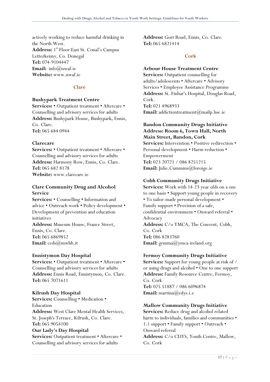actively working to reduce harmful drinking in the North West. Address: 1<sup>st</sup> Floor East St. Conal's Campus Letterkenny, Co. Donegal **Tel:** 074-9104447 **Email:** info@nwaf.ie **Website:** www.nwaf.ie

## **Clare**

#### **Bushypark Treatment Centre**

**Services:** • Outpatient treatment • Aftercare • Counselling and advisory services for adults **Address:** Bushypark House, Bushypark*,* Ennis, Co. Clare. **Tel:** 065 684 0944

#### **Clarecare**

**Services:** • Outpatient treatment • Aftercare • Counselling and advisory services for adults **Address:** Harmony Row, Ennis, Co. Clare. **Tel:** 065 682 8178 **Website:** www.clarecare.ie

## **Clare Community Drug and Alcohol Service**

**Services:** • Counselling • Information and advice • Outreach work • Policy development • Development of prevention and education initiatives **Address:** Museum House, France Street, Ennis, Co. Clare. **Tel:** 065 6869852 **Email:** ccds@mwhb.it

#### **Ennistymon Day Hospital**

**Services:** • Outpatient treatment • Aftercare • Counselling and advisory services for adults **Address:** Ennis Road, Ennistymon, Co. Clare. **Tel:** 065 7071611

#### **Kilrush Day Hospital**

**Services:** Counselling • Medication • Education **Address:** West Clare Mental Health Services, St. Joseph's Terrace, Kilrush, Co. Clare. **Tel:** 065 9054100

# **Our Lady's Day Hospital**

**Services:** Outpatient treatment • Aftercare • Counselling and advisory services for adults

**Address:** Gort Road, Ennis, Co. Clare. **Tel:** 065 6821414

## **Cork**

#### **Arbour House Treatment Centre**

**Services:** Outpatient counselling for adults/adolescents • Aftercare • Advisory Services • Employee Assistance Programme **Address:** St. Finbar's Hospital, Douglas Road, Cork. **Tel:** 021 4968933 Email: addictiontreatment@mailp.hse.ie

# **Bandon Community Drugs Initiative Address: Room 6, Town Hall, North**

**Main Street, Bandon, Cork Services:** Intervention • Positive redirection • Personal development • Harm reduction • Empowerment **Tel:** 023 20721 / 086 8251215 **Email:** Julie.Cummins@foroige.ie

## **Cobh Community Drugs Initiative**

**Services:** Work with 14-23 year olds on a one to one basis • Support young people in recovery • To tailor-made personal development • Family support • Provision of a safe, confidential environment • Onward referral • Advocacy **Address:** C/o YMCA, The Convent, Cobh, Co. Cork **Tel:** 086 8283760 **Email:** gemma@ymca-ireland.org

#### **Fermoy Community Drugs Initiative**

**Services:** Support for young people at risk of / or using drugs and alcohol • One to one support **Address:** Family Resource Centre, Fermoy, Co. Cork **Tel:** 025 51887 / 086 6096874 **Email:** martina@cdys.i.e

#### **Mallow Community Drugs Initiative**

**Services:** Reduce drug and alcohol related harm to individuals, families and communities • 1:1 support • Family support • Outreach • Onward referral **Address:** C/o CDYS, Youth Centre, Mallow, Co. Cork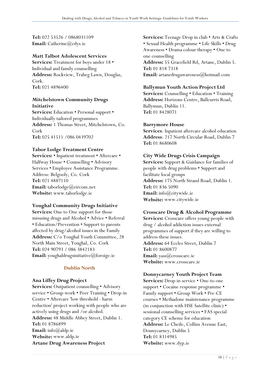**Tel:** 022 53526 / 0868031109 Email: Catherine@cdys.ie

#### **Matt Talbot Adolescent Services**

**Services:** Treatment for boys under 18 • Individual and family counselling **Address:** Rockview, Trabeg Lawn, Douglas, Cork. **Tel:** 021 4896400

## **Mitchelstown Community Drugs Initiative**

**Services:** Education • Personal support • Individually tailored programmes **Address:** 1 Thomas Street, Mitchelstown, Co. Cork **Tel:** 025 41511 /086 0439702

## **Tabor Lodge Treatment Centre**

**Services:** • Inpatient treatment • Aftercare • Halfway House • Counselling • Advisory Services • Employee Assistance Programme. Address: Belgooly, Co. Cork **Tel:** 021 4887110 **Email:** taborlodge@eircom.net **Website:** www.taborlodge.ie

#### **Youghal Community Drugs Initiative**

**Services:** One to One support for those misusing drugs and Alcohol • Advice • Referral • Education/Prevention • Support to parents affected by drug/alcohol issues in the Family **Address:** C/o Youghal Youth Committee, 28 North Main Street, Youghal, Co. Cork **Tel:** 024 90793 / 086 3842183 **Email:** youghaldrugsinitiative@foroige.ie

# **Dublin North**

#### **Ana Liffey Drug Project**

**Services:** Outpatient counselling • Advisory service • Group-work • Peer Training • Drop-in Centre • Aftercare 'low threshold - harm reduction' project working with people who are actively using drugs and /or alcohol. **Address:** 48 Middle Abbey Street, Dublin 1. **Tel:** 01 8786899 **Email:** info@aldp.ie **Website:** www.aldp.ie **Artane Drug Awareness Project** 

**Services:** Teenage Drop in club • Arts & Crafts • Sexual Health programme • Life Skills • Drug Awareness • Drama colour therapy • One to one counselling **Address:** 55 Gracefield Rd, Artane, Dublin 5. **Tel:** 01 818 7318 **Email:** artanedrugawareness@hotmail.com

## **Ballymun Youth Action Project Ltd**

**Services:** Counselling • Education • Training **Address:** Horizons Centre, Ballcurris Road, Ballymun, Dublin 11. **Tel:** 01 8428071

## **Barrymore House**

**Services**: Inpatient aftercare alcohol education **Address**: 217 North Circular Road, Dublin 7 **Tel:** 01 8680608

#### **City Wide Drugs Crisis Campaign**

**Services:** Support & Guidance for families of people with drug problems • Support and facilitate local groups **Address:** 175 North Strand Road, Dublin 1. **Tel:** 01 836 5090 **Email:** info@citywide.ie **Website:** www.citywide.ie

#### **Crosscare Drug & Alcohol Programme**

**Services:** Crosscare offers young people with drug / alcohol addiction issues external programmes of support if they are willing to address these issues. **Address:** 64 Eccles Street, Dublin 7 **Tel:** 01 8600877 Email: yass@crosscare.ie **Website:** www.crosscare.ie

# **Donnycarney Youth Project Team**

**Services:** Drop-in service • One-to-one support • Cocaine response programme • Family support • Group Work • Pre-CE courses • Methadone maintenance programme (in conjunction with HSE Satellite clinic) • sessional counselling services • FAS special category CE scheme for education **Address:** Le Cheile, Collins Avenue East, Donnycarney, Dublin 5 **Tel:** 01 8314985 **Website:** www.dyp.ie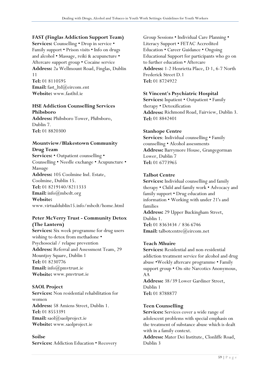# **FAST (Finglas Addiction Support Team)**

**Services:** Counselling • Drop in service • Family support • Prison visits • Info on drugs and alcohol • Massage, reiki & acupuncture • Aftercare support group • Cocaine service **Address:** 2a Wellmount Road, Finglas, Dublin 11

**Tel:** 01 8110595 Email: fast\_ltd@eircom.ent **Website:** www.fastltd.ie

## **HSE Addiction Counselling Services Phibsboro**

**Address:** Phibsboro Tower, Phibsboro, Dublin 7. **Tel:** 01 8820300

## **Mountview/Blakestown Community Drug Team**

**Services:** • Outpatient counselling • Counselling • Needle exchange • Acupuncture • Massage **Address:** 105 Coolmine Ind. Estate, Coolmine, Dublin 15. **Tel:** 01 8219140/8211333 **Email:** info@mbcdt.org **Website:** www.virtualdublin15.info/mbcdt/home.html

## **Peter McVerry Trust - Community Detox (The Lantern)**

**Services:** Six week programme for drug users wishing to detox from methadone • Psychosocial / relapse prevention **Address:** Referral and Assessment Team, 29 Mountjoy Square, Dublin 1 **Tel:** 01 8230776 **Email:** info@pmvtrust.ie **Website:** www.pmvtrust.ie

# **SAOL Project**

**Services:** Non residential rehabilitation for women **Address:** 58 Amiens Street, Dublin 1. **Tel:** 01 8553391 **Email:** saol@saolproject.ie **Website:** www.saolproject.ie

**Soilse Services:** Addiction Education • Recovery Group Sessions • Individual Care Planning • Literacy Support • FETAC Accredited Education • Career Guidance • Ongoing Educational Support for participants who go on to further education • Aftercare **Address:** 1-2 Henrietta Place, D 1, 6-7 North Frederick Street D.1 **Tel:** 01 8724922

#### **St Vincent's Psychiatric Hospital**

**Services:** Inpatient • Outpatient • Family therapy • Detoxification **Address:** Richmond Road, Fairview, Dublin 3. **Tel:** 01 8842401

## **Stanhope Centre**

**Services**: Individual counselling • Family counselling • Alcohol assessments **Address:** Barrymore House, Grangegorman Lower, Dublin 7 **Tel:** 01 6773965

## **Talbot Centre**

**Services:** Individual counselling and family therapy • Child and family work • Advocacy and family support • Drug education and information • Working with under 21's and families **Address:** 29 Upper Buckingham Street, Dublin 1. **Tel:** 01 8363434 / 836 6746 **Email:** talbotcentre@eircom.net

#### **Teach Mhuire**

**Services:** Residential and non-residential addiction treatment service for alcohol and drug abuse •Weekly aftercare programme • Family support group • On-site Narcotics Anonymous, AA **Address:** 38/39 Lower Gardiner Street, Dublin 1 **Tel:** 01 8788877

#### **Teen Counselling**

**Services:** Services cover a wide range of adolescent problems with special emphasis on the treatment of substance abuse which is dealt with in a family context.

**Address:** Mater Dei Institute, Clonliffe Road, Dublin 3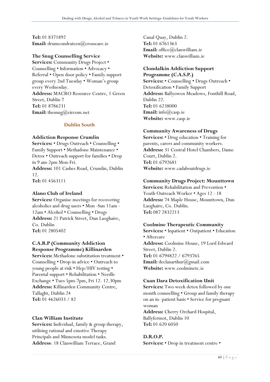**Tel:** 01 8371892 Email: drumcondrateen@crosscare.ie

# **The Snug Counselling Service**

**Services:** Community Drugs Project • Counselling • Information • Advocacy • Referral • Open door policy • Family support group every 2nd Tuesday • Woman's group every Wednesday. **Address:** MACRO Resource Centre, 1 Green Street, Dublin 7 **Tel:** 01 8786231 Email: thesnug@eircom.net

## **Dublin South**

#### **Addiction Response Crumlin**

**Services:** • Drugs Outreach • Counselling • Family Support • Methadone Maintenance • Detox • Outreach support for families • Drop in 9 am-2pm Mon-Fri. **Address:** 101 Cashes Road, Crumlin, Dublin 12. **Tel:** 01 4563111

#### **Alano Club of Ireland**

**Services:** Organise meetings for recovering alcoholics and drug users • Mon -Sun 11am - 12am • Alcohol • Counselling • Drugs **Address:** 21 Patrick Street, Dun Laoghaire, Co. Dublin **Tel:** 01 2805402

# **C.A.R.P (Community Addiction Response Programme) Killinarden**

**Services:** Methadone substitution treatment • Counselling • Drop-in advice • Outreach to young people at risk • Hep/HIV testing • Parental support • Rehabilitation • Needle Exchange • Tues 5pm-7pm, Fri 12- 12.30pm **Address:** Killinarden Community Centre, Tallaght, Dublin 24 **Tel:** 01 4626033 / 82

#### **Clan William Institute**

**Services:** Individual, family & group therapy, utilising rational and emotive Therapy Principals and Minnesota model tasks. **Address**: 18 Clanwilliam Terrace, Grand

Canal Quay, Dublin 2. **Tel:** 01 6761363 Email: office@clanwilliam.ie **Website:** www.clanwilliam.ie

# **Clondalkin Addiction Support**

**Programme (C.A.S.P.) Services:** • Counselling • Drugs Outreach • Detoxification • Family Support **Address:** Ballyowen Meadows, Fonthill Road, Dublin 22. **Tel:** 01 6238000 **Email:** info@casp.ie **Website:** www.casp.ie

#### **Community Awareness of Drugs**

**Services:** • Drug education • Training for parents, carers and community workers. **Address:** 31 Central Hotel Chambers, Dame Court, Dublin 2. **Tel:** 01 6792681 **Website:** www.cadaboutdrugs.ie

## **Community Drugs Project: Mounttown**

**Services:** Rehabilitation and Prevention • Youth Outreach Worker • Ages 12 - 18 **Address:** 74 Maple House, Mounttown, Dun Laoghaire, Co. Dublin. **Tel:** 087 2832213

# **Coolmine Therapeutic Community**

**Services:** • Inpatient • Outpatient • Education • Aftercare **Address:** Coolmine House, 19 Lord Edward Street, Dublin 2. **Tel:** 01 6794822 / 6793765 **Email:** declanarthur@gmail.com **Website:** www.coolminetc.ie

#### **Cuan Dara Detoxification Unit**

Services: Two week detox followed by one month counselling • Group and family therapy on an in- patient basis • Service for pregnant woman

**Address:** Cherry Orchard Hospital, Ballyfermot, Dublin 10 **Tel:** 01 620 6050

# **D.R.O.P.**

**Services:** • Drop in treatment centre •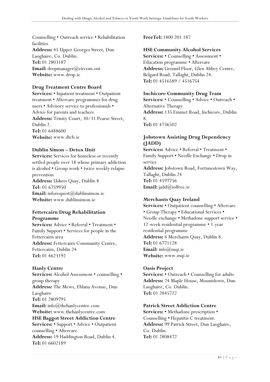Counselling • Outreach service • Rehabilitation facilities **Address:** 45 Upper Georges Street, Dun Laoghaire, Co. Dublin. **Tel:** 01 2803187 **Email:** dropmanager@eircom.ent **Website:** www.drop.ie

## **Drug Treatment Centre Board**

**Services:** • Inpatient treatment • Outpatient treatment • Aftercare programmes for drug users • Advisory service to professionals • Advice for parents and teachers **Address:** Trinity Court, 30/31 Pearse Street, Dublin 2. **Tel:** 01 6488600 **Website:** www.dtcb.ie

## **Dublin Simon – Detox Unit**

Services: Services for homeless or recently settled people over 18 whose primary addiction is alcohol • Group work • twice weekly relapse prevention **Address:** Ushers Quay, Dublin 8

**Tel**: 01 6759950 **Email:** inforequest@dublinsimon.ie **Website:** www.dublinsimon.ie

# **Fettercairn Drug Rehabilitation**

**Programme** 

**Services:** Advice • Referral • Treatment • Family Support • Services for people in the Fettercairn area **Address:** Fettercairn Community Centre, Fettercairn, Dublin 24 **Tel:** 01 4623192

# **Hanly Centre**

**Services:** Alcohol Assessment • counselling • group therapy **Address:** The Mews, Eblana Avenue, Dun Laoghaire **Tel:** 01 2809795 Email: info@thehanlycentre.com **Website:** www.thehanlycentre.com **HSE Baggot Street Addiction Centre Services:** • Support • Advice • Outpatient counselling • Aftercare **Address:** 19 Haddington Road, Dublin 4. **Tel:** 01 6602189

**FreeTel:** 1800 201 187

# **HSE Community Alcohol Services**

**Services:** • Counselling • Assessment • Education programme • Aftercare **Address:** Ground Floor, Glen Abbey Centre, Belgard Road, Tallaght, Dublin 24. **Tel:** 01 4516589 / 4516754

#### **Inchicore Community Drug Team**

**Services:** • Counselling • Advice • Outreach • Alternative Therapy **Address:** 135 Emmet Road, Inchicore, Dublin 8. **Tel:** 01 4736502

# **Jobstown Assisting Drug Dependency (JADD)**

**Services:** Advice • Referral • Treatment • Family Support • Needle Exchange • Drop in service **Address:** Jobstown Road, Fortunestown Way, Tallaght, Dublin 24 **Tel:** 01 4597756 **Email:** jadd@iolfree.ie

# **Merchants Quay Ireland**

**Services:** • Outpatient counselling • Aftercare • Group Therapy • Educational Services • Needle exchange • Methadone support service • 12-week residential programme • 1-year residential programme **Address:** 4 Merchants Quay, Dublin 8. **Tel:** 01 6771128 **Email:** info@mqi.ie **Website:** www.mqi.ie

# **Oasis Project**

**Services:** • Outreach • Counselling for adults **Address:** 74 Maple House, Mountdown, Dun Laoghaire, Co. Dublin. **Tel:** 01 2845722

# **Patrick Street Addiction Centre**

**Services:** • Methadone prescription • Counselling • Hepatitis C treatment. **Address:** 99 Patrick Street, Dun Laoghaire, Co. Dublin. **Tel:** 01 2808472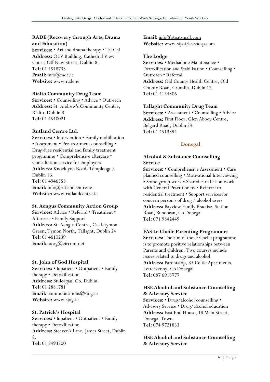# **RADE (Recovery through Arts, Drama and Education)**

**Services:** • Art and drama therapy • Tai Chi **Address:** OLV Building, Cathedral View Court, Off New Street, Dublin 8. **Tel:** 01 4548733 **Email:** info@rade.ie **Website:** www.rade.ie

## **Rialto Community Drug Team**

**Services:** • Counselling • Advice • Outreach **Address:** St. Andrew's Community Centre, Rialto, Dublin 8. **Tel:** 01 4540021

## **Rutland Centre Ltd**.

**Services:** • Intervention • Family mobilisation • Assessment • Pre-treatment counselling • Drug-free residential and family treatment programme • Comprehensive aftercare • Consultation service for employers **Address:** Knocklyon Road, Templeogue, Dublin 16. **Tel:** 01 4946358 Email: info@rutlandcentre.ie **Website:** www.rutlandcentre.ie

#### **St. Aengus Community Action Group**

**Services:** Advice • Referral • Treatment • Aftercare • Family Support **Address:** St. Aengus Centre, Castletymon Green, Tymon North, Tallaght, Dublin 24 **Tel:** 01 4610239 **Email:** sacag@eircom.net

# **St. John of God Hospital**

**Services:** • Inpatient • Outpatient • Family therapy • Detoxification **Address:** Stillorgan, Co. Dublin. **Tel:** 01 2881781 **Email:** communications(*a*)sjog.ie **Website:** www.sjog.ie

# **St. Patrick's Hospital**

**Services:** • Inpatient • Outpatient • Family therapy • Detoxification **Address:** Steeven's Lane, James Street, Dublin 8. **Tel:** 01 2493200

## Email: info@stpatsmail.com **Website:** www.stpatrickshosp.com

## **The Lodge**

**Services:** • Methadone Maintenance • Detoxification and Stabilisation • Counselling • Outreach • Referral **Address:** Old County Health Centre, Old County Road, Crumlin, Dublin 12. **Tel:** 01 4154806

## **Tallaght Community Drug Team**

**Services:** • Assessment • Counselling • Advice **Address:** First Floor, Glen Abbey Centre, Belgard Road, Dublin 24. **Tel:** 01 4513894

# **Donegal**

## **Alcohol & Substance Counselling Service**

**Services:** • Comprehensive Assessment • Care planned counselling • Motivational Interviewing • Some group work • Shared care liaison work with General Practitioners • Referral to residential treatment • Support services for concern person's of drug / alcohol users **Address:** Bayview Family Practise, Station Road, Bundoran, Co Donegal **Tel:** 071 9842449

# **FAS Le Cheile Parenting Programmes**

**Services:** The aim of the le Cheile programme is to promote positive relationships between Parents and children. Two courses include issues related to drugs and alcohol. **Address:** Parentstop, 33 Celtic Apartments, Letterkenny, Co Donegal **Tel:** 087 6913777

# **HSE Alcohol and Substance Counselling & Advisory Service**

**Services:** • Drug/alcohol counselling • Advisory Service • Drug/alcohol education **Address:** East End House, 18 Main Street, Donegal Town. **Tel:** 074 9721833

# **HSE Alcohol and Substance Counselling & Advisory Service**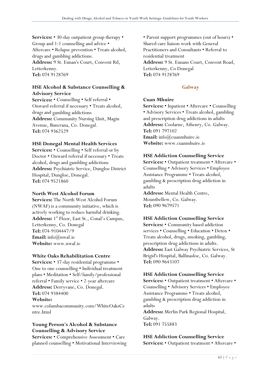**Services:** • 30-day outpatient group therapy • Group and 1:1 counselling and advice • Aftercare • Relapse prevention • Treats alcohol, drugs and gambling addictions. **Address:** 9 St. Eunan's Court, Convent Rd, Letterkenny. **Tel:** 074 9128769

# **HSE Alcohol & Substance Counselling & Advisory Service**

**Services:** • Counselling • Self referral • Onward referral if necessary • Treats alcohol, drugs and gambling addictions **Address:** Community Nursing Unit, Magin Avenue, Buncrana, Co. Donegal. **Tel:** 074 9362529

## **HSE Donegal Mental Health Services**

**Services:** • Counselling • Self referral or by Doctor • Onward referral if necessary • Treats alcohol, drugs and gambling addictions **Address:** Psychiatric Service, Dungloe District Hospital, Dungloe, Donegal. **Tel:** 074 9521860

#### **North West Alcohol Forum**

**Services:** The North West Alcohol Forum (NWAF) is a community initiative, which is actively working to reduce harmful drinking. Address: 1<sup>st</sup> Floor, East St., Conal's Campus, Letterkenny, Co. Donegal **Tel:** 074-9104447/9 **Email:** info@nwaf.ie **Website:** www.nwaf.ie

#### **White Oaks Rehabilitation Centre**

**Services:** • 37-day residential programme • One to one counselling • Individual treatment plans • Meditation • Self/family/professional referral • Family service • 2-year aftercare **Address:** Derryvane, Co. Donegal. **Tel:** 074 9384400 **Website:**  www.columbacommunity.com/WhiteOaksCe

ntre.html

## **Young Person's Alcohol & Substance Counselling & Advisory Service**

**Services:** • Comprehensive Assessment • Care planned counselling • Motivational Interviewing • Parent support programmes (out of hours) • Shared care liaison work with General Practitioners and Consultants • Referral to residential treatment **Address:** 9 St. Eunans Court, Convent Road, Letterkenny, Co Donegal **Tel:** 074 9128769

# **Galway**

## **Cuan Mhuire**

**Services:** • Inpatient • Aftercare • Counselling • Advisory Services • Treats alcohol, gambling and prescription drug addictions in adults **Address:** Coolarne, Athenry, Co. Galway. **Tel:** 091 797102 **Email:** info@cuanmhuire.ie **Website:** www.cuanmhuire.ie

## **HSE Addiction Counselling Service**

**Services:** • Outpatient treatment • Aftercare • Counselling • Advisory Services • Employee Assistance Programme • Treats alcohol, gambling & prescription drug addiction in adults

**Address:** Mental Health Centre, Mountbellew, Co. Galway. **Tel:** 090 9679571

# **HSE Addiction Counselling Service**

**Services:** • Community based addiction services • Counselling • Education • Detox • Treats alcohol, drugs, smoking, gambling, prescription drug addictions in adults. **Address:** East Galway Psychiatric Services, St Brigid's Hospital, Ballinasloe, Co. Galway. **Tel:** 090 9643107

# **HSE Addiction Counselling Service**

**Services:** • Outpatient treatment • Aftercare • Counselling • Advisory Services • Employee Assistance Programme • Treats alcohol, gambling & prescription drug addiction in adults

**Address:** Merlin Park Regional Hospital, Galway. **Tel:** 091 755883

# **HSE Addiction Counselling Service Services:** • Outpatient treatment • Aftercare •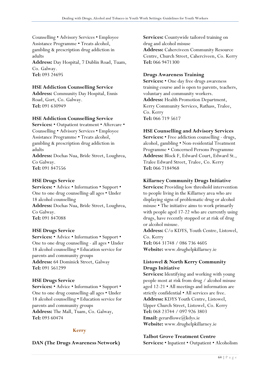Counselling • Advisory Services • Employee Assistance Programme • Treats alcohol, gambling & prescription drug addiction in adults

**Address:** Day Hospital, 7 Dublin Road, Tuam, Co. Galway. **Tel:** 093 24695

## **HSE Addiction Counselling Service**

**Address:** Community Day Hospital, Ennis Road, Gort, Co. Galway. **Tel:** 091 630949

# **HSE Addiction Counselling Service**

**Services:** • Outpatient treatment • Aftercare • Counselling • Advisory Services • Employee Assistance Programme • Treats alcohol, gambling & prescription drug addiction in adults

**Address:** Dochas Nua, Bride Street, Loughrea, Co Galway. **Tel:** 091 847556

#### **HSE Drugs Service**

**Services:** • Advice • Information • Support • One to one drug counselling-all ages • Under 18 alcohol counselling **Address:** Dochas Nua, Bride Street, Loughrea, Co Galway. **Tel:** 091 847088

#### **HSE Drugs Service**

**Services:** • Advice • Information • Support • One to one drug counselling - all ages • Under 18 alcohol counselling • Education service for parents and community groups **Address:** 64 Dominick Street, Galway **Tel:** 091 561299

#### **HSE Drugs Service**

**Services:** • Advice • Information • Support • One to one drug counselling-all ages • Under 18 alcohol counselling • Education service for parents and community groups **Address:** The Mall, Tuam, Co. Galway, **Tel:** 093 60474

#### **Kerry**

**DAN (The Drugs Awareness Network)** 

**Services:** Countywide tailored training on drug and alcohol misuse **Address:** Caherciveen Community Resource Centre, Church Street, Caherciveen, Co. Kerry **Tel:** 066 9471300

#### **Drugs Awareness Training**

**Services:** • One day free drugs awareness training course and is open to parents, teachers, voluntary and community workers. **Address:** Health Promotion Department, Kerry Community Services, Rathass, Tralee, Co. Kerry **Tel:** 066 719 5617

#### **HSE Counselling and Advisory Services**

**Services:** • Free addiction counselling - drugs, alcohol, gambling • Non-residential Treatment Programme • Concerned Persons Programme **Address:** Block F, Edward Court, Edward St., Tralee Edward Street, Tralee, Co. Kerry **Tel:** 066 7184968

## **Killarney Community Drugs Initiative**

**Services:** Providing low threshold intervention to people living in the Killarney area who are displaying signs of problematic drug or alcohol misuse • The initiative aims to work primarily with people aged 17-22 who are currently using drugs, have recently stopped or at risk of drug or alcohol misuse.

**Address:** C/o KDYS, Youth Centre, Listowel, Co. Kerry

**Tel:** 064 31748 / 086 736 4605 **Website:** www.drughelpkillarney.ie

# **Listowel & North Kerry Community Drugs Initiative**

**Services:** Identifying and working with young people most at risk from drug / alcohol misuse aged 12-21 • All meetings and information are strictly confidential • All services are free. **Address:** KDYS Youth Centre, Listowel, Upper Church Street, Listowel, Co. Kerry **Tel:** 068 23744 / 097 926 3803 **Email:** gerardlowe@kdys.ie **Website:** www.drughelpkillarney.ie

## **Talbot Grove Treatment Centre**

**Services:** • Inpatient • Outpatient • Alcoholism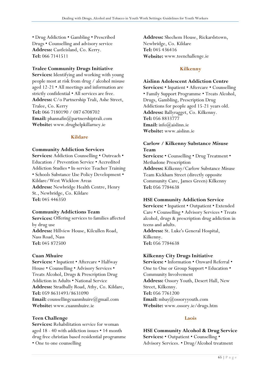• Drug Addiction • Gambling • Prescribed Drugs • Counselling and advisory service **Address:** Castleisland, Co. Kerry. **Tel:** 066 7141511

## **Tralee Community Drugs Initiative**

**Services:** Identifying and working with young people most at risk from drug / alcohol misuse aged 12-21 • All meetings and information are strictly confidential • All services are free. **Address:** C/o Partnership Trali, Ashe Street, Tralee, Co. Kerry **Tel:** 066 7180190 / 087 6708702 **Email:** phannafin(*a*) partnershiptrali.com **Website:** www.drughelpkillarney.ie

# **Kildare**

## **Community Addiction Services**

**Services:** Addiction Counselling • Outreach • Education / Prevention Service • Accredited Addiction Studies • In-service Teacher Training • Schools Substance Use Policy Development • Kildare/West Wicklow Areas **Address:** Newbridge Health Centre, Henry St., Newbridge, Co. Kildare **Tel:** 045 446350

#### **Community Addictions Team**

**Services:** Offering services to families affected by drug use **Address:** Hillview House, Kilcullen Road, Nass Road, Nass **Tel:** 045 872500

#### **Cuan Mhuire**

**Services:** • Inpatient • Aftercare • Halfway House • Counselling • Advisory Services • Treats Alcohol, Drugs & Prescription Drug Addiction in Adults • National Service **Address:** Stradbally Road, Athy, Co. Kildare, **Tel:** 059 8631493/8631090 **Email:** counsellingcuanmhuire@gmail.com **Website:** www.cuanmhuire.ie

# **Teen Challenge**

**Services:** Rehabilitation service for woman aged 18 - 40 with addiction issues • 14 month drug free christian based residential programme

• One to one counselling

**Address:** Shechem House, Rickardstown, Newbridge, Co. Kildare **Tel:** 045 436416 **Website:** www.teenchallenge.ie

## **Kilkenny**

#### **Aislinn Adolescent Addiction Centre**

**Services:** • Inpatient • Aftercare • Counselling • Family Support Programme • Treats Alcohol, Drugs, Gambling, Prescription Drug Addictions for people aged 15-21 years old. **Address:** Ballyragget, Co. Kilkenny. **Tel:** 056 8833777 **Email:** info@aislinn.ie **Website:** www.aislinn.ie

## **Carlow / Kilkenny Substance Misuse Team**

**Services:** • Counselling • Drug Treatment • Methadone Prescription **Address:** Kilkenny/Carlow Substance Misuse Team Kickham Street (directly opposite Community Care, James Green) Kilkenny **Tel:** 056 7784638

# **HSE Community Addiction Service**

**Services:** • Inpatient • Outpatient • Extended Care • Counselling • Advisory Services • Treats alcohol, drugs & prescription drug addiction in teens and adults. **Address:** St. Luke's General Hospital, Kilkenny. **Tel:** 056 7784638

# **Kilkenny City Drugs Initiative**

**Services:** • Information • Onward Referral • One to One or Group Support • Education • Community Involvement **Address:** Ossory Youth, Desert Hall, New Street, Kilkenny. **Tel:** 056 7761200 **Email:** mbay@ossoryyouth.com **Website:** www.ossory.ie/drugs.htm

#### **Laois**

**HSE Community Alcohol & Drug Service Services:** • Outpatient • Counselling • Advisory Services. • Drug/Alcohol treatment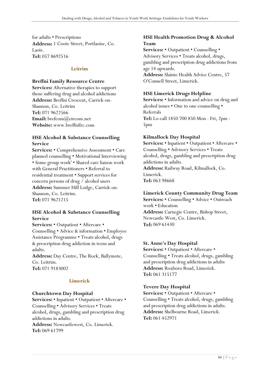for adults • Prescriptions **Address:** 1 Coote Street, Portlaoise, Co. Laois. **Tel:** 057 8692516

#### **Leitrim**

#### **Breffni Family Resource Centre**

**Services:** Alternative therapies to support those suffering drug and alcohol addictions **Address:** Breffni Crescent, Carrick-on-Shannon, Co. Leitrim **Tel:** 071 9622566 **Email:** brefcom@eircom.net **Website:** www.breffnifrc.com

## **HSE Alcohol & Substance Counselling Service**

**Services:** • Comprehensive Assessment • Care planned counselling • Motivational Interviewing • Some group work' • Shared care liaison work with General Practitioners • Referral to residential treatment • Support services for concern persons of drug / alcohol users **Address:** Summer Hill Lodge, Carrick-on-Shannon, Co. Leitrim. **Tel:** 071 9621215

## **HSE Alcohol & Substance Counselling Service**

**Services:** • Outpatient • Aftercare • Counselling • Advice & information • Employee Assistance Programme • Treats alcohol, drugs & prescription drug addiction in teens and adults.

**Address:** Day Centre, The Rock, Ballymote, Co. Leitrim. **Tel:** 071 9183002

#### **Limerick**

#### **Churchtown Day Hospital**

**Services:** • Inpatient • Outpatient • Aftercare • Counselling • Advisory Services • Treats alcohol, drugs, gambling and prescription drug addictions in adults.

**Address:** Newcastlewest, Co. Limerick. **Tel:** 069 61799

# **HSE Health Promotion Drug & Alcohol Team**

**Services:** • Outpatient • Counselling • Advisory Services • Treats alcohol, drugs, gambling and prescription drug addictions from age 14 upwards. **Address:** Slainte Health Advice Centre, 57 O'Connell Street, Limerick.

#### **HSE Limerick Drugs Helpline**

**Services:** • Information and advice on drug and alcohol issues • One to one counselling • Referrals **Tel:** Lo-call 1850 700 850 Mon - Fri, 2pm - 5pm

## **Kilmallock Day Hospital**

**Services:** • Inpatient • Outpatient • Aftercare • Counselling • Advisory Services • Treats alcohol, drugs, gambling and prescription drug addictions in adults. **Address:** Railway Road, Kilmallock, Co. Limerick. **Tel:** 063 98668

# **Limerick County Community Drug Team**

**Services:** • Counselling • Advice • Outreach work • Education **Address:** Carnegie Centre, Bishop Street, Newcastle West, Co. Limerick. **Tel:** 069 61430

#### **St. Anne's Day Hospital**

**Services:** • Outpatient • Aftercare • Counselling • Treats alcohol, drugs, gambling and prescription drug addictions in adults **Address:** Roxboro Road, Limerick. **Tel:** 061 315177

#### **Tevere Day Hospital**

**Services:** • Outpatient • Aftercare • Counselling • Treats alcohol, drugs, gambling and prescription drug addictions in adults. **Address:** Shelbourne Road, Limerick. **Tel:** 061 452971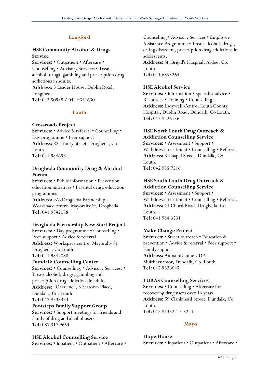# **Longford**

# **HSE Community Alcohol & Drugs Service**

**Services:** • Outpatient • Aftercare • Counselling • Advisory Services • Treats alcohol, drugs, gambling and prescription drug addictions in adults. **Address:** 3 Leader House, Dublin Road, Longford.

**Tel:** 043 50988 / 044 9341630

# **Louth**

## **Crossroads Project**

**Services:** • Advice & referral • Counselling • Day programme • Peer support **Address:** 82 Trinity Street, Drogheda, Co. Louth **Tel:** 041 9846981

# **Drogheda Community Drug & Alcohol Forum**

**Services:** • Public information • Prevention education initiatives • Parental drugs education programmes **Address:** c/o Drogheda Partnership, Workspace centre, Mayoralty St, Drogheda

**Tel:** 041 9842088

#### **Drogheda Partnership New Start Project**

**Services:** • Day programme • Counselling • Peer support • Advice & referral **Address:** Workspace centre, Mayoralty St, Drogheda, Co Louth **Tel:** 041 9842088

# **Dundalk Counselling Centre**

**Services:** • Counselling, • Advisory Services. • Treats alcohol, drugs, gambling and prescription drug addictions in adults. **Address:** "Oakdene", 3 Seatown Place, Dundalk, Co. Louth. **Tel:** 042 9338333

**Footsteps Family Support Group** 

**Services:** • Support meetings for friends and family of drug and alcohol users **Tel:** 087 317 9654

# **HSE Alcohol Counselling Service**

**Services:** • Inpatient • Outpatient • Aftercare •

Counselling • Advisory Services • Employee Assistance Programme • Treats alcohol, drugs, eating disorders, prescription drug addictions in adolescents.

**Address:** St. Brigid's Hospital, Ardee, Co. Louth. **Tel:** 041 6853264

# **HSE Alcohol Service**

**Services:** • Information • Specialist advice • Resources • Training • Counselling **Address:** Ladywell Centre, Louth County Hospital, Dublin Road, Dundalk, Co Louth. **Tel:** 042 9326156

# **HSE North Louth Drug Outreach & Addiction Counselling Service**

**Services:** • Assessment • Support • Withdrawal treatment • Counselling • Referral. **Address:** 3 Chapel Street, Dundalk, Co. Louth. **Tel:** 042 935 7516

# **HSE South Louth Drug Outreach &**

**Addiction Counselling Service Services:** • Assessment • Support • Withdrawal treatment • Counselling • Referral. **Address:** 11 Chord Road, Drogheda, Co Louth. **Tel:** 041 984 3531

# **Make Change Project**

**Services:** • Street outreach • Education & prevention • Advice & referral • Peer support • Family support **Address:** Ait na nDaoine CDP, Muirhevnamor, Dundalk, Co. Louth **Tel:** 042 9326645

# **TURAS Counselling Services**

**Services:** • Counselling • Aftercare for recovering drug users over 16 years **Address:** 59 Clanbrassil Street, Dundalk, Co Louth. **Tel:** 042 9338221/ 8224

# **Mayo**

**Hope House Services:** • Inpatient • Outpatient • Aftercare •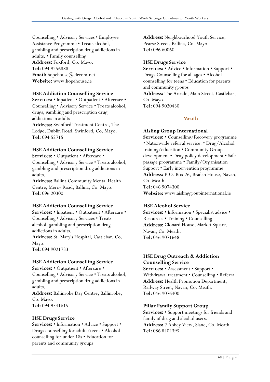Counselling • Advisory Services • Employee Assistance Programme • Treats alcohol, gambling and prescription drug addictions in adults. • Family counselling **Address:** Foxford, Co. Mayo. **Tel:** 094 9256888 **Email:** hopehouse@eircom.net **Website:** www.hopehouse.ie

# **HSE Addiction Counselling Service**

**Services:** • Inpatient • Outpatient • Aftercare • Counselling • Advisory Service • Treats alcohol, drugs, gambling and prescription drug addictions in adults **Address:** Swinford Treatment Centre, The Lodge, Dublin Road, Swinford, Co. Mayo. **Tel:** 094 52715

# **HSE Addiction Counselling Service**

**Services:** • Outpatient • Aftercare • Counselling • Advisory Service • Treats alcohol, gambling and prescription drug addictions in adults.

**Address:** Ballina Community Mental Health Centre, Mercy Road, Ballina, Co. Mayo. **Tel:** 096 20300

#### **HSE Addiction Counselling Service**

**Services:** • Inpatient • Outpatient • Aftercare • Counselling • Advisory Services • Treats alcohol, gambling and prescription drug addictions in adults. **Address:** St. Mary's Hospital, Castlebar, Co. Mayo.

**Tel:** 094 9021733

#### **HSE Addiction Counselling Service**

**Services:** • Outpatient • Aftercare • Counselling • Advisory Service • Treats alcohol, gambling and prescription drug addictions in adults.

**Address:** Ballinrobe Day Centre, Ballinrobe, Co. Mayo. **Tel:** 094 9541615

#### **HSE Drugs Service**

**Services:** • Information • Advice • Support • Drugs counselling for adults/teens • Alcohol counselling for under 18s • Education for parents and community groups

**Address:** Neighbourhood Youth Service, Pearse Street, Ballina, Co. Mayo. **Tel:** 096 60060

#### **HSE Drugs Service**

**Services:** • Advice • Information • Support • Drugs Counselling for all ages • Alcohol counselling for teens • Education for parents and community groups **Address:** The Arcade, Main Street, Castlebar, Co. Mayo. **Tel:** 094 9020430

## **Meath**

# **Aisling Group International**

**Services:** • Counselling/Recovery programme • Nationwide referral service. • Drug/Alcohol training/education • Community Group development • Drug policy development • Safe passage programme • Family/Organisation Support • Early intervention programme **Address:** P.O. Box 26, Bradan House, Navan, Co. Meath. **Tel:** 046 9074300 **Website:** www.aislinggroupinternational.ie

# **HSE Alcohol Service**

**Services:** • Information • Specialist advice • Resources • Training • Counselling **Address:** Clonard House, Market Square, Navan, Co. Meath. **Tel:** 046 9071648

# **HSE Drug Outreach & Addiction Counselling Service**

**Services:** • Assessment • Support • Withdrawal treatment • Counselling • Referral **Address:** Health Promotion Department, Railway Street, Navan, Co. Meath. **Tel:** 046 9076400

# **Pillar Family Support Group**

**Services:** • Support meetings for friends and family of drug and alcohol users. **Address:** 7 Abbey View, Slane, Co. Meath. **Tel:** 086 8404395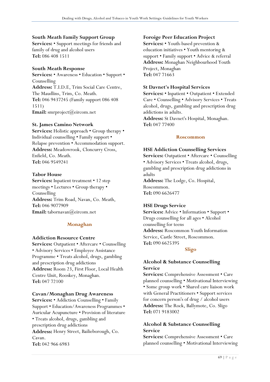## **South Meath Family Support Group**

**Services:** • Support meetings for friends and family of drug and alcohol users **Tel:** 086 408 1511

#### **South Meath Response**

**Services:** • Awareness • Education • Support • Counselling **Address:** T.I.D.E, Trim Social Care Centre, The Maudlins, Trim, Co. Meath. **Tel:** 046 9437245 (Family support 086 408 1511) **Email:** smrproject@eircom.net

# **St. James Camino Network**

**Services:** Holistic approach • Group therapy • Individual counselling • Family support • Relapse prevention • Accommodation support. **Address:** Meadowrook, Cloncurry Cross, Enfield, Co. Meath. **Tel:** 046 9549241

## **Tabor House**

**Services:** Inpatient treatment • 12 step meetings • Lectures • Group therapy • Counselling **Address:** Trim Road, Navan, Co. Meath, **Tel:** 046 9077909 **Email:** tabornavan@eircom.net

# **Monaghan**

#### **Addiction Resource Centre**

**Services:** Outpatient • Aftercare • Counselling • Advisory Services • Employee Assistance Programme • Treats alcohol, drugs, gambling and prescription drug addictions **Address:** Room 23, First Floor, Local Health Centre Unit, Rooskey, Monaghan. **Tel:** 047 72100

## **Cavan/Monaghan Drug Awareness**

**Services:** • Addiction Counselling • Family Support • Education/Awareness Programmes • Auricular Acupuncture • Provision of literature • Treats alcohol, drugs, gambling and prescription drug addictions **Address:** Henry Street, Bailieborough, Co. Cavan. **Tel:** 042 966 6983

#### **Foroige Peer Education Project**

**Services:** • Youth-based prevention & education initiatives • Youth mentoring & support • Family support • Advice & referral **Address:** Monaghan Neighbourhood Youth Project, Monaghan **Tel:** 047 71663

#### **St Davnet's Hospital Services**

**Services:** • Inpatient • Outpatient • Extended Care • Counselling • Advisory Services • Treats alcohol, drugs, gambling and prescription drug addictions in adults.

**Address:** St Davnet's Hospital, Monaghan. **Tel:** 047 77400

#### **Roscommon**

## **HSE Addiction Counselling Services**

**Services:** Outpatient • Aftercare • Counselling • Advisory Services • Treats alcohol, drugs, gambling and prescription drug addictions in adults **Address:** The Lodge, Co. Hospital, Roscommon. **Tel:** 090 6626477

# **HSE Drugs Service**

**Services:** Advice • Information • Support • Drugs counselling for all ages • Alcohol counselling for teens **Address:** Roscommon Youth Information Service, Castle Street, Roscommon. **Tel:** 090 6625395

#### **Sligo**

# **Alcohol & Substance Counselling Service**

**Services:** Comprehensive Assessment • Care planned counselling • Motivational Interviewing • Some group work • Shared care liaison work with General Practitioners • Support services for concern person's of drug / alcohol users **Address:** The Rock, Ballymote, Co. Sligo **Tel:** 071 9183002

# **Alcohol & Substance Counselling Service**

**Services:** Comprehensive Assessment • Care planned counselling • Motivational Interviewing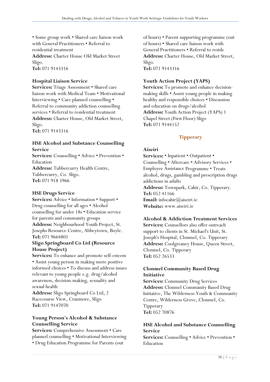• Some group work • Shared care liaison work with General Practitioners • Referral to residential treatment **Address:** Charter House Old Market Street Sligo.

**Tel:** 071 9143316

## **Hospital Liaison Service**

**Services:** Triage Assessment • Shared care liaison work with Medical Team • Motivational Interviewing • Care planned counselling • Referral to community addiction counselling services • Referral to residential treatment **Address:** Charter House, Old Market Street, Sligo.

**Tel:** 071 9143316

## **HSE Alcohol and Substance Counselling Service**

**Services:** Counselling • Advice • Prevention • Education **Address:** Tubbercurry Health Centre, Tubbercurry, Co. Sligo. **Tel:** 071 918 5966

#### **HSE Drugs Service**

**Services:** Advice • Information • Support • Drug counselling for all ages • Alcohol counselling for under 18s • Education service for parents and community groups **Address:** Neighbourhood Youth Project, St. Josephs Resource Centre, Abbeytown, Boyle. **Tel:** 071 9664801

## **Sligo Springboard Co Ltd (Resource House Project)**

**Services:** To enhance and promote self-esteem • Assist young person in making more positive informed choices • To discuss and address issues relevant to young people e.g. drug/alcohol awareness, decision-making, sexuality and sexual health

**Address:** Sligo Springboard Co Ltd, 2 Racecourse View, Cranmore, Sligo **Tel:** 071 9147070

# **Young Person's Alcohol & Substance Counselling Service**

**Services:** Comprehensive Assessment • Care planned counselling • Motivational Interviewing • Drug Education Programme for Parents (out

of hours) • Parent supporting programme (out of hours) • Shared care liaison work with General Practitioners • Referral to reside **Address:** Charter House, Old Market Street, Sligo. **Tel:** 071 9143316

# **Youth Action Project (YAPS)**

**Services:** To promote and enhance decisionmaking skills • Assist young people in making healthy and responsible choices • Discussion and education on drugs/alcohol **Address:** Youth Action Project (YAPS) 1 Chapel Street (First Floor) Sligo **Tel:** 071 9144152

# **Tipperary**

# **Aiseiri**

**Services:** • Inpatient • Outpatient • Counselling • Aftercare • Advisory Services • Employee Assistance Programme • Treats alcohol, drugs, gambling and prescription drugs addictions in adults **Address:** Townpark, Cahir, Co. Tipperary. **Tel:** 052 41166 **Email:** infocahir@aiseiri.ie **Website:** www.aiseiri.ie

#### **Alcohol & Addiction Treatment Services**

**Services:** Counsellors also offer outreach support to clients in St. Michael's Unit, St. Joseph's Hospital, Clonmel, Co. Tipperary **Address:** Coolgreaney House, Queen Street, Clonmel, Co. Tipperary **Tel:** 052 26533

# **Clonmel Community Based Drug Initiative**

**Services:** Community Drug Services **Address:** Clonmel Community Based Drug Initiative, The Wilderness Youth & Community Centre, Wilderness Grove, Clonmel, Co. Tipperary **Tel:** 052 70876

# **HSE Alcohol and Substance Counselling Service**

**Services:** Counselling • Advice • Prevention • Education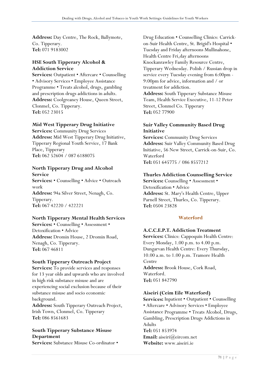**Address:** Day Centre, The Rock, Ballymote, Co. Tipperary. **Tel:** 071 9183002

# **HSE South Tipperary Alcohol & Addiction Service**

**Services:** Outpatient • Aftercare • Counselling • Advisory Services • Employee Assistance Programme • Treats alcohol, drugs, gambling and prescription drugs addictions in adults. **Address:** Coolgreaney House, Queen Street, Clonmel, Co. Tipperary. **Tel:** 052 23015

# **Mid West Tipperary Drug Initiative**

**Services: Community Drug Services Address:** Mid West Tipperary Drug Initiative, Tipperary Regional Youth Service, 17 Bank Place, Tipperary **Tel:** 062 52604 / 087 6188075

# **North Tipperary Drug and Alcohol Service**

**Services:** • Counselling • Advice • Outreach work **Address:** 94a Silver Street, Nenagh, Co. Tipperary. **Tel:** 067 42220 / 422221

# **North Tipperary Mental Health Services**

**Services:** • Counselling • Assessment • Detoxification • Advice **Address:** Dromin House, 2 Dromin Road, Nenagh, Co. Tipperary. **Tel:** 067 46811

# **South Tipperary Outreach Project**

**Services:** To provide services and responses for 13 year olds and upwards who are involved in high risk substance misuse and are experiencing social exclusion because of their substance misuse and socio economic background.

**Address:** South Tipperary Outreach Project, Irish Town, Clonmel, Co. Tipperary **Tel:** 086 8561683

# **South Tipperary Substance Misuse Department**

**Services:** Substance Misuse Co-ordinator •

Drug Education • Counselling Clinics: Carrickon-Suir Health Centre, St. Brigid's Hospital • Tuesday and Friday afternoons Mullinahone, Health Centre Fri,day afternoons Knockanrawley Family Resource Centre, Tipperary Wednesday. Polish / Russian drop in service every Tuesday evening from 6:00pm - 9:00pm for advice, information and / or treatment for addiction. **Address:** South Tipperary Substance Misuse Team, Health Service Executive, 11-12 Peter Street, Clonmel Co. Tipperary **Tel:** 052 77900

# **Suir Valley Community Based Drug Initiative**

**Services:** Community Drug Services **Address:** Suir Valley Community Based Drug Initiative, 56 New Street, Carrick-on-Suir, Co. Waterford **Tel:** 051 645775 / 086 8557212

# **Thurles Addiction Counselling Service**

**Services:** Counselling • Assessment • Detoxification • Advice **Address:** St. Mary's Health Centre, Upper Parnell Street, Thurles, Co. Tipperary. **Tel:** 0504 23828

# **Waterford**

# **A.C.C.E.P.T. Addiction Treatment**

**Services:** Clinics: Cappoquin Health Centre: Every Monday, 1.00 p.m. to 4.00 p.m. Dungarvan Health Centre: Every Thursday, 10.00 a.m. to 1.00 p.m. Tramore Health Centre **Address:** Brook House, Cork Road,

Waterford. **Tel:** 051 842790

# **Aiseiri (Ceim Eile Waterford)**

**Services:** Inpatient • Outpatient • Counselling • Aftercare • Advisory Services • Employee Assistance Programme • Treats Alcohol, Drugs, Gambling, Prescription Drugs Addictions in Adults **Tel:** 051 853974

**Email:** aiseiri@eircom.net **Website:** www.aiseiri.ie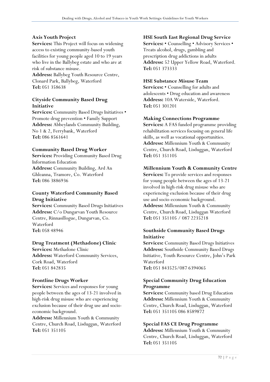## **Axis Youth Project**

**Services:** This Project will focus on widening access to existing community-based youth facilities for young people aged 10 to 19 years who live in the Ballybeg estate and who are at risk of substance misuse.

**Address:** Ballybeg Youth Resource Centre, Clonard Park, Ballybeg, Waterford **Tel:** 051 358638

## **Cityside Community Based Drug Initiative**

**Services:** Community Based Drugs Initiatives • Promote drug prevention • Family Support **Address:** Abbeylands Community Building, No 1 & 2, Ferrybank, Waterford **Tel:** 086 8561641

## **Community Based Drug Worker**

**Services:** Providing Community Based Drug Information Education **Address:** Community Building, Ard An Ghleanna, Tramore, Co. Waterford **Tel:** 086 3886936

# **County Waterford Community Based Drug Initiative**

**Services:** Community Based Drugs Initiatives **Address:** C/o Dungarvan Youth Resource Centre, Rinnasillogue, Dungarvan, Co. Waterford **Tel:** 058 48946

#### **Drug Treatment (Methadone) Clinic**

**Services:** Methadone Clinic **Address:** Waterford Community Services, Cork Road, Waterford **Tel:** 051 842835

#### **Frontline Drugs Worker**

**Services:** Services and responses for young people between the ages of 13-21 involved in high-risk drug misuse who are experiencing exclusion because of their drug use and socioeconomic background.

**Address:** Millennium Youth & Community Centre, Church Road, Lisduggan, Waterford **Tel:** 051 351105

# **HSE South East Regional Drug Service**

**Services:** • Counselling • Advisory Services • Treats alcohol, drugs, gambling and prescription drug addictions in adults **Address:** 52 Upper Yellow Road, Waterford. **Tel:** 051 373333

#### **HSE Substance Misuse Team**

**Services:** • Counselling for adults and adolescents • Drug education and awareness **Address:** 10A Waterside, Waterford. **Tel:** 051 301201

## **Making Connections Programme**

**Services:** A FAS funded programme providing rehabilitation services focusing on general life skills, as well as vocational opportunities. **Address:** Millennium Youth & Community Centre, Church Road, Lisduggan, Waterford **Tel:** 051 351105

## **Millennium Youth & Community Centre**

**Services:** To provide services and responses for young people between the ages of 13-21 involved in high-risk drug misuse who are experiencing exclusion because of their drug use and socio-economic background. **Address:** Millennium Youth & Community Centre, Church Road, Lisduggan Waterford **Tel:** 051 351105 / 087 2235218

## **Southside Community Based Drugs Initiative**

**Services:** Community Based Drugs Initiatives **Address:** Southside Community Based Drugs Initiative, Youth Resource Centre, John's Park Waterford

**Tel:** 051 843525/087 6394065

# **Special Community Drug Education Programme**

**Services:** Community based Drug Education **Address:** Millennium Youth & Community Centre, Church Road, Lisduggan, Waterford **Tel:** 051 351105 086 8589872

#### **Special FAS CE Drug Programme**

**Address:** Millennium Youth & Community Centre, Church Road, Lisduggan, Waterford **Tel:** 051 351105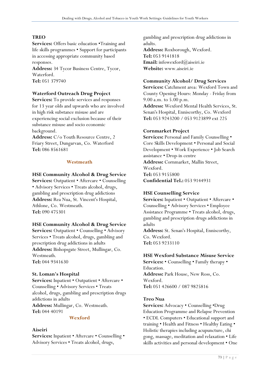### **TREO**

**Services:** Offers basic education •Training and life skills programmes • Support for participants in accessing appropriate community based responses.

**Address:** 34 Tycor Business Centre, Tycor, Waterford. **Tel:** 051 379740

#### **Waterford Outreach Drug Project**

**Services:** To provide services and responses for 13 year olds and upwards who are involved in high risk substance misuse and are experiencing social exclusion because of their substance misuse and socio economic background.

**Address:** C/o Youth Resource Centre, 2 Friary Street, Dungarvan, Co. Waterford **Tel:** 086 8561681

### **Westmeath**

**HSE Community Alcohol & Drug Service Services:** Outpatient • Aftercare • Counselling • Advisory Services • Treats alcohol, drugs,

gambling and prescription drug addictions **Address:** Rea Nua, St. Vincent's Hospital, Athlone, Co. Westmeath. **Tel:** 090 475301

### **HSE Community Alcohol & Drug Service**

**Services:** Outpatient • Counselling • Advisory Services • Treats alcohol, drugs, gambling and prescription drug addictions in adults **Address:** Bishopsgate Street, Mullingar, Co. Westmeath. **Tel:** 044 9341630

#### **St. Loman's Hospital**

**Services:** Inpatient • Outpatient • Aftercare • Counselling • Advisory Services • Treats alcohol, drugs, gambling and prescription drugs addictions in adults **Address:** Mullingar, Co. Westmeath. **Tel:** 044 40191

#### **Wexford**

#### **Aiseiri**

**Services:** Inpatient • Aftercare • Counselling • Advisory Services • Treats alcohol, drugs,

gambling and prescription drug addictions in adults. **Address:** Roxborough, Wexford. **Tel:** 053 9141818 **Email:** infowexford@aiseiri.ie **Website:** www.aiseiri.ie

#### **Community Alcohol/ Drug Services**

**Services:** Catchment area: Wexford Town and County Opening Hours: Monday - Friday from 9.00 a.m. to 5.00 p.m.

**Address:** Wexford Mental Health Services, St. Senan's Hospital, Enniscorthy, Co. Wexford **Tel:** 053 9243200 / 053 9123899 ext 225

### **Cornmarket Project**

**Services:** Personal and Family Counselling • Core Skills Development • Personal and Social Development • Work Experience • Job Search assistance • Drop-in centre **Address:** Cornmarket, Mallin Street, Wexford. **Tel:** 053 9155800 **Confidential Tel.:** 053 9144931

#### **HSE Counselling Service**

**Services:** Inpatient • Outpatient • Aftercare • Counselling • Advisory Services • Employee Assistance Programme • Treats alcohol, drugs, gambling and prescription drugs addictions in adults **Address:** St. Senan's Hospital, Enniscorthy,

Co. Wexford. **Tel:** 053 9233110

### **HSE Wexford Substance Misuse Service**

**Services:** • Counselling • Family therapy • Education.

**Address:** Park House, New Ross, Co. Wexford. **Tel:** 051 426600 / 087 9825816

#### **Treo Nua**

**Services:** Advocacy • Counselling •Drug Education Programme and Relapse Prevention • ECDL Computers • Educational support and training • Health and Fitness • Healthy Eating • Holistic therapies including acupuncture, chi gong, massage, meditation and relaxation • Life skills activities and personal development • One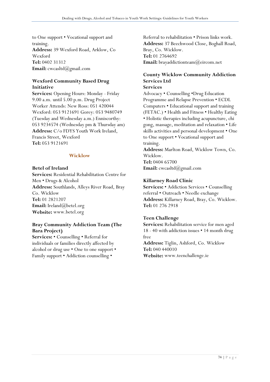to One support • Vocational support and training. **Address:** 39 Wexford Road, Arklow, Co Wexford **Tel:** 0402 31312 **Email:** cwcasltd@gmail.com

### **Wexford Community Based Drug Initiative**

**Services:** Opening Hours: Monday - Friday 9.00 a.m. until 5.00 p.m. Drug Project Worker Attends: New Ross: 051 420044 Wexford: 053 9121691 Gorey: 053 9480749 (Tuesday and Wednesday a.m.) Enniscorthy: 053 9234574 (Wednesday pm & Thursday am) **Address:** C/o FDYS Youth Work Ireland, Francis Street, Wexford **Tel:** 053 9121691

### **Wicklow**

### **Betel of Ireland**

**Services:** Residential Rehabilitation Centre for Men • Drugs & Alcohol **Address:** Southlands, Alleys River Road, Bray Co. Wicklow **Tel:** 01 2821207 **Email:** Ireland@betel.org **Website:** www.betel.org

### **Bray Community Addiction Team (The Bara Project)**

**Services:** • Counselling • Referral for individuals or families directly affected by alcohol or drug use • One to one support • Family support • Addiction counselling •

Referral to rehabilitation • Prison links work. **Address:** 37 Beechwood Close, Boghall Road, Bray, Co. Wicklow. **Tel:** 01 2764692 **Email:** brayaddictionteam@eircom.net

### **County Wicklow Community Addiction Services Ltd**

#### **Services**

Advocacy • Counselling •Drug Education Programme and Relapse Prevention • ECDL Computers • Educational support and training (FETAC.) • Health and Fitness • Healthy Eating • Holistic therapies including acupuncture, chi gong, massage, meditation and relaxation • Life skills activities and personal development • One to One support • Vocational support and training. **Address:** Marlton Road, Wicklow Town, Co. Wicklow. **Tel:** 0404 65700

**Email:** cwcasltd@gmail.com

### **Killarney Road Clinic**

**Services:** • Addiction Services • Counselling referral • Outreach • Needle exchange **Address:** Killarney Road, Bray, Co. Wicklow. **Tel:** 01 276 2918

### **Teen Challenge**

**Services:** Rehabilitation service for men aged 18 - 40 with addiction issues • 14 month drug free **Address:** Tiglin, Ashford, Co. Wicklow **Tel:** 040 440010 **Website:** www.teenchallenge.ie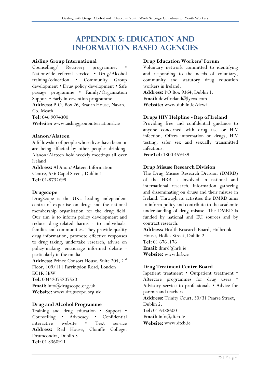# **APPENDIX 5: EDUCATION AND INFORMATION BASED AGENCIES**

### **Aisling Group International**

Counselling/ Recovery programme. Nationwide referral service. • Drug/Alcohol training/education • Community Group development • Drug policy development • Safe passage programme • Family/Organisation Support • Early intervention programme

**Address:** P.O. Box 26, Bradan House, Navan, Co. Meath.

**Tel:** 046 9074300

**Website:** www.aislinggroupinternational.ie

### **Alanon/Alateen**

A fellowship of people whose lives have been or are being affected by other peoples drinking. Alanon/Alateen hold weekly meetings all over Ireland

**Address:** Al Anon/Alateen Information Centre, 5/6 Capel Street, Dublin 1 **Tel:** 01-8732699

### **Drugscope**

DrugScope is the UK's leading independent centre of expertise on drugs and the national membership organisation for the drug field. Our aim is to inform policy development and reduce drug-related harms - to individuals, families and communities. They provide quality drug information, promote effective responses to drug taking, undertake research, advise on policy-making, encourage informed debate particularly in the media.

**Address:** Prince Consort House, Suite 204, 2nd Floor, 109/111 Farringdon Road, London EC1R 3BW **Tel:** 00442075207550 **Email:** info@drugscope.org.uk **Website:** www.drugscope.org.uk

### **Drug and Alcohol Programme**

Training and drug education • Support • Counselling • Advocacy • Confidential interactive website • Text service **Address:** Red House, Cloniffe College, Drumcondra, Dublin 3 **Tel:** 01 8360911

### **Drug Education Workers' Forum**

Voluntary network committed to identifying and responding to the needs of voluntary, community and statutory drug education workers in Ireland.

**Address:** PO Box 9364, Dublin 1. Email: dewfireland@lycos.com **Website:** www.dublin.ie/dewf

### **Drugs HIV Helpline - Rep of Ireland**

Providing free and confidential guidance to anyone concerned with drug use or HIV infection. Offers information on drugs, HIV testing, safer sex and sexually transmitted infections.

**FreeTel:** 1800 459459

### **Drug Misuse Research Division**

The Drug Misuse Research Division (DMRD) of the HRB is involved in national and international research, information gathering and disseminating on drugs and their misuse in Ireland. Through its activities the DMRD aims to inform policy and contribute to the academic understanding of drug misuse. The DMRD is funded by national and EU sources and by contract research.

**Address:** Health Research Board, Holbrook House, Holles Street, Dublin 2. **Tel:** 01 6761176 **Email:** dmrd@hrb.ie **Website:** www.hrb.ie

### **Drug Treatment Centre Board**

Inpatient treatment • Outpatient treatment • Aftercare programmes for drug users • Advisory service to professionals • Advice for parents and teachers **Address:** Trinity Court, 30/31 Pearse Street, Dublin 2. **Tel:** 01 6488600 **Email:** info@dtcb.ie **Website:** www.dtcb.ie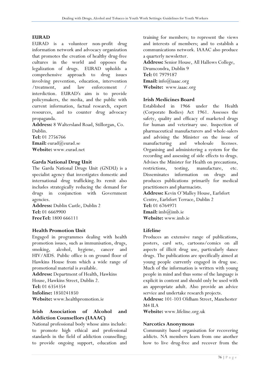### **EURAD**

EURAD is a volunteer non-profit drug information network and advocacy organization that promotes the creation of healthy drug-free cultures in the world and opposes the legalization of drugs. EURAD upholds a comprehensive approach to drug issues involving prevention, education, intervention /treatment, and law enforcement interdiction. EURAD's aim is to provide policymakers, the media, and the public with current information, factual research, expert resources, and to counter drug advocacy propaganda.

**Address:** 8 Waltersland Road, Stillorgan, Co. Dublin.

**Tel:** 01 2756766 **Email:** eurad@eurad.se **Website:** www.eurad.net

### **Garda National Drug Unit**

The Garda National Drugs Unit (GNDU) is a specialist agency that investigates domestic and international drug trafficking. Its remit also includes strategically reducing the demand for drugs in conjunction with Government agencies.

**Address:** Dublin Castle, Dublin 2 **Tel:** 01 6669900 **FreeTel:** 1800 666111

#### **Health Promotion Unit**

Engaged in programmes dealing with health promotion issues, such as immunisation, drugs, smoking, alcohol, hygiene, cancer and HIV/AIDS. Public office is on ground floor of Hawkins House from which a wide range of promotional material is available.

**Address:** Department of Health, Hawkins House, Hawkins Street, Dublin 2. **Tel:** 01 6354354 **Infoline:** 1850241850 **Website:** www.healthpromotion.ie

### **Irish Association of Alcohol and Addiction Counsellors (IAAAC)**

National professional body whose aims include: to promote high ethical and professional standards in the field of addiction counselling; to provide ongoing support, education and training for members; to represent the views and interests of members; and to establish a communications network. IAAAC also produce a quarterly newsletter.

**Address:** Senior House, All Hallows College, Drumcondra, Dublin 9 **Tel:** 01 7979187 **Email:** info@iaaac.org **Website:** www.iaaac.org

### **Irish Medicines Board**

Established in 1966 under the Health (Corporate Bodies) Act 1961. Assesses the safety, quality and efficacy of marketed drugs for human and veterinary use. Inspection of pharmaceutical manufacturers and whole-salers and advising the Minister on the issue of manufacturing and wholesale licenses. Organising and administering a system for the recording and assessing of side effects to drugs. Advises the Minister for Health on precautions, restrictions, testing, manufacture, etc. Disseminates information on drugs and produces publications primarily for medical practitioners and pharmacists. **Address:** Kevin O'Malley House, Earlsfort Centre, Earlsfort Terrace, Dublin 2

**Tel:** 01 6764971 **Email:** imb@imb.ie **Website:** www.imb.ie

### **Lifeline**

Produces an extensive range of publications, posters, card sets, cartoons/comics on all aspects of illicit drug use, particularly dance drugs. The publications are specifically aimed at young people currently engaged in drug use. Much of the information is written with young people in mind and thus some of the language is explicit in content and should only be used with an appropriate adult. Also provide an advice service and undertake research projects.

**Address:** 101-103 Oldham Street, Manchester M4 ILA

**Website:** www.lifeline.org.uk

### **Narcotics Anonymous**

Community based organisation for recovering addicts. NA members learn from one another how to live drug-free and recover from the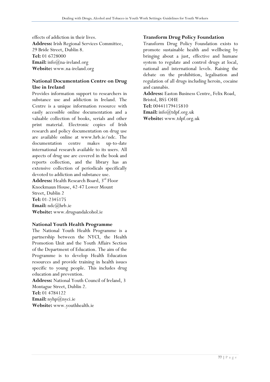effects of addiction in their lives. **Address:** Irish Regional Services Committee, 29 Bride Street, Dublin 8. **Tel:** 01 6728000 **Email:** info@na-ireland.org **Website:** www.na-ireland.org

### **National Documentation Centre on Drug Use in Ireland**

Provides information support to researchers in substance use and addiction in Ireland. The Centre is a unique information resource with easily accessible online documentation and a valuable collection of books, serials and other print material. Electronic copies of Irish research and policy documentation on drug use are available online at www.hrb.ie/ndc. The documentation centre makes up-to-date international research available to its users. All aspects of drug use are covered in the book and reports collection, and the library has an extensive collection of periodicals specifically devoted to addiction and substance use.

Address: Health Research Board, 3<sup>rd</sup> Floor Knockmaun House, 42-47 Lower Mount Street, Dublin 2 **Tel:** 01-2345175 **Email:** ndc@hrb.ie **Website:** www.drugsandalcohol.ie

### **National Youth Health Programme**

The National Youth Health Programme is a partnership between the NYCI, the Health Promotion Unit and the Youth Affairs Section of the Department of Education. The aim of the Programme is to develop Health Education resources and provide training in health issues specific to young people. This includes drug education and prevention.

**Address:** National Youth Council of Ireland, 3 Montague Street, Dublin 2. **Tel:** 01 4784122 **Email:** nyhp@nyci.ie **Website:** www.youthhealth.ie

### **Transform Drug Policy Foundation**

Transform Drug Policy Foundation exists to promote sustainable health and wellbeing by bringing about a just, effective and humane system to regulate and control drugs at local, national and international levels. Raising the debate on the prohibition, legalisation and regulation of all drugs including heroin, cocaine and cannabis.

**Address:** Easton Business Centre, Felix Road, Bristol, BS5 OHE **Tel:** 00441179415810 **Email:** info@tdpf.org.uk **Website:** www.tdpf.org.uk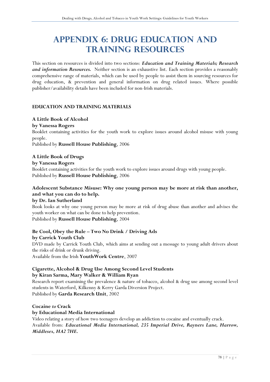# **ApPENDIX 6: Drug Education and Training Resources**

This section on resources is divided into two sections: *Education and Training Materials; Research and information Resources.* Neither section is an exhaustive list. Each section provides a reasonably comprehensive range of materials, which can be used by people to assist them in sourcing resources for drug education, & prevention and general information on drug related issues. Where possible publisher/availability details have been included for non-Irish materials.

### **EDUCATION AND TRAINING MATERIALS**

### **A Little Book of Alcohol**

### **by Vanessa Rogers**

Booklet containing activities for the youth work to explore issues around alcohol misuse with young people.

Published by **Russell House Publishing**, 2006

### **A Little Book of Drugs**

### **by Vanessa Rogers**

Booklet containing activities for the youth work to explore issues around drugs with young people. Published by **Russell House Publishing**, 2006

### **Adolescent Substance Misuse: Why one young person may be more at risk than another, and what you can do to help.**

### **by Dr. Ian Sutherland**

Book looks at why one young person may be more at risk of drug abuse than another and advises the youth worker on what can be done to help prevention.

Published by **Russell House Publishing**, 2004

# **Be Cool, Obey the Rule – Two No Drink / Driving Ads**

### **by Carrick Youth Club**

DVD made by Carrick Youth Club, which aims at sending out a message to young adult drivers about the risks of drink or drunk driving.

Available from the Irish **YouthWork Centre**, 2007

### **Cigarette, Alcohol & Drug Use Among Second Level Students by Kiran Sarma, Mary Walker & William Ryan**

Research report examining the prevalence & nature of tobacco, alcohol & drug use among second level students in Waterford, Kilkenny & Kerry Garda Diversion Project. Published by **Garda Research Unit**, 2002

### **Cocaine** *to* **Crack**

### **by Educational Media International**

Video relating a story of how two teenagers develop an addiction to cocaine and eventually crack. Available from: *Educational Media International, 235 Imperial Drive, Rayners Lane, Harrow, Middlesex, HA2 7HE.*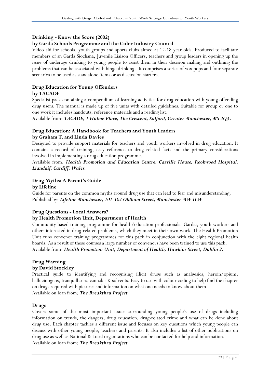### **Drinking - Know the Score (2002)**

### **by Garda Schools Programme and the Cider Industry Council**

Video aid for schools, youth groups and sports clubs aimed at 12-18 year olds. Produced to facilitate members of an Garda Siochana, Juvenile Liaison Officers, teachers and group leaders in opening up the issue of underage drinking to young people to assist them in their decision making and outlining the problems that can be associated with binge drinking. It comprises a series of vox pops and four separate scenarios to be used as standalone items or as discussion starters.

### **Drug Education for Young Offenders**

### **by TACADE**

Specialist pack containing a compendium of learning activities for drug education with young offending drug users. The manual is made up of five units with detailed guidelines. Suitable for group or one to one work it includes handouts, reference materials and a reading list.

Available from: *TACADE, 1 Hulme Place, The Crescent, Salford, Greater Manchester, MS 4QA.*

### **Drug Education: A Handbook for Teachers and Youth Leaders**

### **by Graham T. and Linda Davies**

Designed to provide support materials for teachers and youth workers involved in drug education. It contains a record of training, easy reference to drug related facts and the primary considerations involved in implementing a drug education programme.

Available from: *Health Promotion and Education Centre, Carville House, Rookwood Hospital, Liandaif, Cardiff, Wales.* 

### **Drug Myths: A Parent's Guide**

#### **by Lifeline**

Guide for parents on the common myths around drug use that can lead to fear and misunderstanding. Published by: *Lifeline Manchester, 101-103 Oldham Street, Manchester MW ILW* 

### **Drug Questions - Local Answers?**

### **by Health Promotion Unit, Department of Health**

Community-based training programme for health/education professionals, Gardai, youth workers and others interested in drug-related problems, which they meet in their own work. The Health Promotion Unit runs convenor training programmes for this pack in conjunction with the eight regional health boards. As a result of these courses a large number of convenors have been trained to use this pack. Available from: *Health Promotion Unit, Department of Health, Hawkins Street, Dublin 2.* 

### **Drug Warning**

### **by David Stockley**

Practical guide to identifying and recognising illicit drugs such as analgesics, heroin/opium, hallucinogens, tranquillisers, cannabis & solvents. Easy to use with colour coding to help find the chapter on drugs required with pictures and information on what one needs to know about them. Available on loan from: *The Breakthru Project.* 

#### **Drugs**

Covers some of the most important issues surrounding young people's use of drugs including information on trends, the dangers, drug education, drug-related crime and what can be done about drug use. Each chapter tackles a different issue and focuses on key questions which young people can discuss with other young people, teachers and parents. It also includes a list of other publications on drug use as well as National & Local organisations who can be contacted for help and information. Available on loan from: *The Breakthru Project.*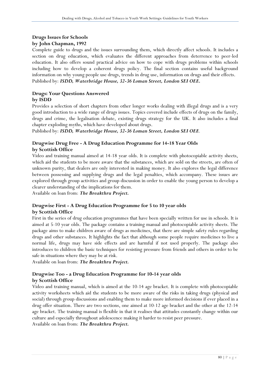### **Drugs Issues for Schools**

### **by John Chapman, 1992**

Complete guide to drugs and the issues surrounding them, which directly affect schools. It includes a section on drug education, which evaluates the different approaches from deterrence to peer-led education. It also offers sound practical advice on how to cope with drugs problems within schools including how to develop a coherent drugs policy. The final section contains useful background information on why young people use drugs, trends in drug use, information on drugs and their effects. Published by: *ISDD, Waterbridge House, 32-36 Loman Street, London SEI OEE.* 

### **Drugs: Your Questions Answered by ISDD**

Provides a selection of short chapters from other longer works dealing with illegal drugs and is a very good introduction to a wide range of drugs issues. Topics covered include effects of drugs on the family, drugs and crime, the legalisation debate, existing drugs strategy for the UK. It also includes a final chapter exploding myths, which have developed about drugs.

Published by: *ISDD, Waterbridge House, 32-36 Loman Street, London SEI OEE.* 

### **Drugwise Drug Free - A Drug Education Programme for 14-18 Year Olds by Scottish Office**

Video and training manual aimed at 14-18 year olds. It is complete with photocopiable activity sheets, which aid the students to be more aware that the substances, which are sold on the streets, are often of unknown purity, that dealers are only interested in making money. It also explores the legal difference between possessing and supplying drugs and the legal penalties, which accompany. These issues are explored through group activities and group discussion in order to enable the young person to develop a clearer understanding of the implications for them.

Available on loan from: *The Breakthru Project.* 

### **Drugwise First - A Drug Education Programme for 5 to 10 year olds by Scottish Office**

First in the series of drug education programmes that have been specially written for use in schools. It is aimed at 5-10 year olds. The package contains a training manual and photocopiable activity sheets. The package aims to make children aware of drugs as medicines, that there are simple safety rules regarding drugs and other substances. It highlights the fact that although some people require medicines to live a normal life, drugs may have side effects and are harmful if not used properly. The package also introduces to children the basic techniques for resisting pressure from friends and others in order to be safe in situations where they may be at risk.

Available on loan from: *The Breakthru Project.* 

### **Drugwise Too - a Drug Education Programme for 10-14 year olds by Scottish Office**

Video and training manual, which is aimed at the 10-14 age bracket. It is complete with photocopiable activity worksheets which aid the students to be more aware of the risks in taking drugs (physical and social) through group discussions and enabling them to make more informed decisions if ever placed in a drug offer situation. There are two sections, one aimed at 10-12 age bracket and the other at the 12-14 age bracket. The training manual is flexible in that it realises that attitudes constantly change within our culture and especially throughout adolescence making it harder to resist peer pressure. Available on loan from: *The Breakthru Project.*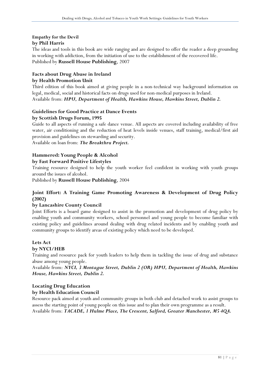### **Empathy for the Devil by Phil Harris**

The ideas and tools in this book are wide ranging and are designed to offer the reader a deep grounding in working with addiction, from the initiation of use to the establishment of the recovered life. Published by **Russell House Publishing**, 2007

### **Facts about Drug Abuse in Ireland by Health Promotion Unit**

Third edition of this book aimed at giving people in a non-technical way background information on legal, medical, social and historical facts on drugs used for non-medical purposes in Ireland. Available from: *HPU, Department of Health, Hawkins House, Hawkins Street, Dublin 2.* 

### **Guidelines for Good Practice at Dance Events by Scottish Drugs Forum, 1995**

Guide to all aspects of running a safe dance venue. All aspects are covered including availability of free water, air conditioning and the reduction of heat levels inside venues, staff training, medical/first aid provision and guidelines on stewarding and security.

Available on loan from: *The Breakthru Project.* 

### **Hammered: Young People & Alcohol**

### **by Fast Forward Positive Lifestyles**

Training resource designed to help the youth worker feel confident in working with youth groups around the issues of alcohol.

Published by **Russell House Publishing**, 2004

### **Joint Effort: A Training Game Promoting Awareness & Development of Drug Policy (2002)**

### **by Lancashire County Council**

Joint Efforts is a board game designed to assist in the promotion and development of drug policy by enabling youth and community workers, school personnel and young people to become familiar with existing policy and guidelines around dealing with drug related incidents and by enabling youth and community groups to identify areas of existing policy which need to be developed.

### **Lets Act**

### **by NYCI/HEB**

Training and resource pack for youth leaders to help them in tackling the issue of drug and substance abuse among young people.

Available from: *NYCI, 3 Montague Street, Dublin 2 (OR) HPU, Department of Health, Hawkins House, Hawkins Street, Dublin 2.* 

### **Locating Drug Education by Health Education Council**

Resource pack aimed at youth and community groups in both club and detached work to assist groups to assess the starting point of young people on this issue and to plan their own programme as a result. Available from: *TACADE, 1 Hulme Place, The Crescent, Salford, Greater Manchester, M5 4QA.*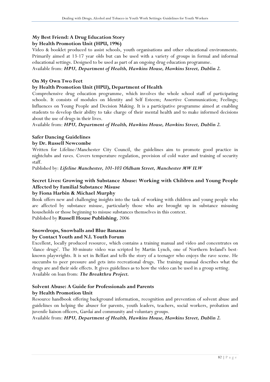### **My Best Friend: A Drug Education Story**

### **by Health Promotion Unit (HPU, 1996)**

Video & booklet produced to assist schools, youth organisations and other educational environments. Primarily aimed at 13-17 year olds but can be used with a variety of groups in formal and informal educational settings. Designed to be used as part of an ongoing drug education programme.

Available from: *HPU, Department of Health, Hawkins House, Hawkins Street, Dublin 2.* 

### **On My Own Two Feet**

### **by Health Promotion Unit (HPU), Department of Health**

Comprehensive drug education programme, which involves the whole school staff of participating schools. It consists of modules on Identity and Self Esteem; Assertive Communication; Feelings; Influences on Young People and Decision Making. It is a participative programme aimed at enabling students to develop their ability to take charge of their mental health and to make informed decisions about the use of drugs in their lives.

Available from: *HPU, Department of Health, Hawkins House, Hawkins Street, Dublin 2.* 

### **Safer Dancing Guidelines**

### **by Dr. Russell Newcombe**

Written for Lifeline/Manchester City Council, the guidelines aim to promote good practice in nightclubs and raves. Covers temperature regulation, provision of cold water and training of security staff.

Published by: *Lifeline Manchester, 101-103 Oldham Street, Manchester MW ILW* 

### **Secret Lives: Growing with Substance Abuse: Working with Children and Young People Affected by Familial Substance Misuse**

### **by Fiona Harbin & Michael Murphy**

Book offers new and challenging insights into the task of working with children and young people who are affected by substance misuse, particularly those who are brought up in substance misusing households or those beginning to misuse substances themselves in this context.

Published by **Russell House Publishing**, 2006

### **Snowdrops, Snowballs and Blue Bananas**

### **by Contact Youth and N.l. Youth Forum**

Excellent, locally produced resource, which contains a training manual and video and concentrates on 'dance drugs'. The 30-minute video was scripted by Martin Lynch, one of Northern Ireland's bestknown playwrights. It is set in Belfast and tells the story of a teenager who enjoys the rave scene. He succumbs to peer pressure and gets into recreational drugs. The training manual describes what the drugs are and their side effects. It gives guidelines as to how the video can be used in a group setting. Available on loan from: *The Breakthru Project.* 

# **Solvent Abuse: A Guide for Professionals and Parents**

### **by Health Promotion Unit**

Resource handbook offering background information, recognition and prevention of solvent abuse and guidelines on helping the abuser for parents, youth leaders, teachers, social workers, probation and juvenile liaison officers, Gardaí and community and voluntary groups.

Available from: *HPU, Department of Health, Hawkins House, Hawkins Street, Dublin 2.*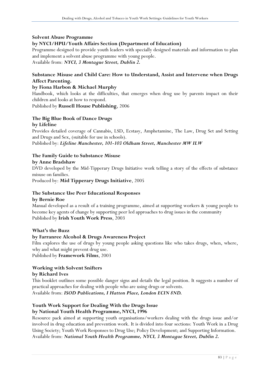### **Solvent Abuse Programme**

### **by NYCI/HPU/Youth Affairs Section (Department of Education)**

Programme designed to provide youth leaders with specially designed materials and information to plan and implement a solvent abuse programme with young people. Available from: *NYCI, 3 Montague Street, Dublin 2.* 

### **Substance Misuse and Child Care: How to Understand, Assist and Intervene when Drugs Affect Parenting.**

#### **by Fiona Harbon & Michael Murphy**

Handbook, which looks at the difficulties, that emerges when drug use by parents impact on their children and looks at how to respond.

Published by **Russell House Publishing**, 2006

### **The Big Blue Book of Dance Drugs**

#### **by Lifeline**

Provides detailed coverage of Cannabis, LSD, Ecstasy, Amphetamine, The Law, Drug Set and Setting and Drugs and Sex, (suitable for use in schools). Published by: *Lifeline Manchester, 101-103 Oldham Street, Manchester MW ILW* 

### **The Family Guide to Substance Misuse**

### **by Anne Bradshaw**

DVD developed by the Mid-Tipperary Drugs Initiative work telling a story of the effects of substance misuse on families.

Produced by: **Mid Tipperary Drugs Initiative**, 2005

### **The Substance Use Peer Educational Responses**

#### **by Bernie Roe**

Manual developed as a result of a training programme, aimed at supporting workers & young people to become key agents of change by supporting peer led approaches to drug issues in the community Published by **Irish Youth Work Press**, 2003

#### **What's the Buzz**

#### **by Farranree Alcohol & Drugs Awareness Project**

Film explores the use of drugs by young people asking questions like who takes drugs, when, where, why and what might prevent drug use.

Published by **Framework Films**, 2003

#### **Working with Solvent Snifters**

#### **by Richard Ives**

This booklet outlines some possible danger signs and details the legal position. It suggests a number of practical approaches for dealing with people who are using drugs or solvents.

Available from: *ISOD Publications, I Hatton Place, London ECIN 8ND.* 

### **Youth Work Support for Dealing With the Drugs Issue**

### **by National Youth Health Programme, NYCI, 1996**

Resource pack aimed at supporting youth organisations/workers dealing with the drugs issue and/or involved in drug education and prevention work. It is divided into four sections: Youth Work in a Drug Using Society; Youth Work Responses to Drug Use; Policy Development; and Supporting Information. Available from: *National Youth Health Programme, NYCI, 3 Montague Street, Dublin 2.*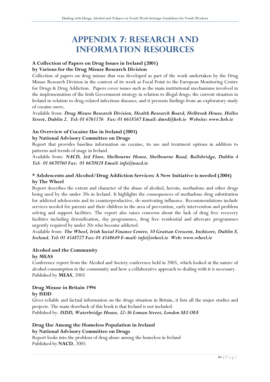# **APPENDIX 7: Research and Information Resources**

### **A Collection of Papers on Drug Issues in Ireland (2001) by Various for the Drug Misuse Research Division**

Collection of papers on drug misuse that was developed as part of the work undertaken by the Drug Misuse Research Division in the context of its work as Focal Point to the European Monitoring Centre for Drugs & Drug Addiction. Papers cover issues such as the main institutional mechanisms involved in the implementation of the Irish Government strategy in relation to illegal drugs; the current situation in Ireland in relation to drug-related infectious diseases; and it presents findings from an exploratory study of cocaine users.

Available from: *Drug Misuse Research Division, Health Research Board, Holbrook House, Holles Street, Dublin 2. Tel: 01 6761176 Fax: 01 6618567 Email: dmrd@hrb.ie Website: www.hrb.ie* 

## **An Overview of Cocaine Use in Ireland (2003)**

### **by National Advisory Committee on Drugs**

Report that provides baseline information on cocaine, its use and treatment options in addition to patterns and trends of usage in Ireland.

Available from: *NACD, 3rd Floor, Shelbourne House, Shelbourne Road, Ballsbridge, Dublin 4 Tel: 01 6670760 Fax: 01 6670828 Email: info@nacd.ie* 

### **\* Adolescents and Alcohol/Drug Addiction Services: A New Initiative is needed (2004) by The Wheel**

Report describes the extent and character of the abuse of alcohol, heroin, methadone and other drugs being used by the under 20s in Ireland. It highlights the consequences of methadone drug substitution for addicted adolescents and its counterproductive, de-motivating influence. Recommendations include services needed for parents and their children in the area of prevention, early intervention and problem solving and support facilities. The report also raises concerns about the lack of drug free recovery facilities including detoxification, day programmes, drug free residential and aftercare programmes urgently required by under 20s who become addicted.

Available from: *The Wheel, Irish Social Finance Centre, 10 Grattan Crescent, Inchicore, Dublin 8, Ireland. Tel: 01 4548727 Fax: 01 4548649 E-mail: info@wheel.ie Web: www.wheel.ie* 

## **Alcohol and the Community**

### **by MEAS**

Conference report from the Alcohol and Society conference held in 2005, which looked at the nature of alcohol consumption in the community and how a collaborative approach to dealing with it is necessary. Published by **MEAS**, 2005

### **Drug Misuse in Britain 1994**

### **by ISDD**

Gives reliable and factual information on the drugs situation in Britain, it lists all the major studies and projects. The main drawback of this book is that Ireland is not included. Published by: *ISDD, Waterbridge House, 32-36 Loman Street, London SEI OEE* 

### **Drug Use Among the Homeless Population in Ireland by National Advisory Committee on Drugs**

Report looks into the problem of drug abuse among the homeless in Ireland Published by **NACD**, 2005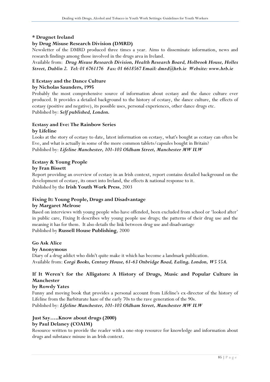### **\* Drugnet Ireland**

### **by Drug Misuse Research Division (DMRD)**

Newsletter of the DMRD produced three times a year. Aims to disseminate information, news and research findings among those involved in the drugs area in Ireland.

Available from: *Drug Misuse Research Division, Health Research Board, Holbrook House, Holles Street, Dublin 2. Tel: 01 6761176 Fax: 01 6618567 Email: dmrd@hrb.ie Website: www.hrb.ie* 

### **E Ecstasy and the Dance Culture**

#### **by Nicholas Saunders, 1995**

Probably the most comprehensive source of information about ecstasy and the dance culture ever produced. It provides a detailed background to the history of ecstasy, the dance culture, the effects of ecstasy (positive and negative), its possible uses, personal experiences, other dance drugs etc. Published by: *Self published, London.* 

### **Ecstasy and Eve: The Rainbow Series by Lifeline**

Looks at the story of ecstasy to date, latest information on ecstasy, what's bought as ecstasy can often be Eve, and what is actually in some of the more common tablets/capsules bought in Britain? Published by: *Lifeline Manchester, 101-103 Oldham Street, Manchester MW ILW* 

### **Ecstasy & Young People**

### **by Fran Bissett**

Report providing an overview of ecstasy in an Irish context, report contains detailed background on the development of ecstasy, its onset into Ireland, the effects & national response to it. Published by the **Irish Youth Work Press**, 2003

### **Fixing It: Young People, Drugs and Disadvantage**

#### **by Margaret Melrose**

Based on interviews with young people who have offended, been excluded from school or 'looked after' in public care, Fixing It describes why young people use drugs; the patterns of their drug use and the meaning it has for them. It also details the link between drug use and disadvantage Published by **Russell House Publishing**, 2000

#### **Go Ask Alice**

#### **by Anonymous**

Diary of a drug addict who didn't quite make it which has become a landmark publication. Available from: *Corgi Books, Century House, 61-63 Onbridge Road, Ealing, London, W5 55A.* 

### **If It Weren't for the Alligators: A History of Drugs, Music and Popular Culture in Manchester**

#### **by Rowdy Yates**

Funny and moving book that provides a personal account from Lifeline's ex-director of the history of Lifeline from the Barbiturate haze of the early 70s to the rave generation of the 90s. Published by: *Lifeline Manchester, 101-103 Oldham Street, Manchester MW ILW* 

### **Just Say…..Know about drugs (2000) by Paul Delaney (COAIM)**

Resource written to provide the reader with a one-stop resource for knowledge and information about drugs and substance misuse in an Irish context.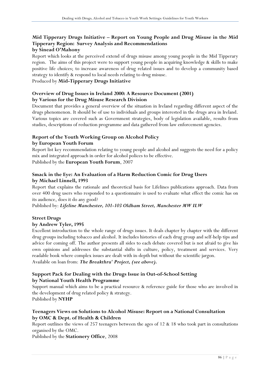### **Mid Tipperary Drugs Initiative – Report on Young People and Drug Misuse in the Mid Tipperary Region: Survey Analysis and Recommendations by Sinead O'Mahony**

Report which looks at the perceived extend of drugs misuse among young people in the Mid Tipperary region. The aims of this project were to support young people in acquiring knowledge & skills to make positive life choices; to increase awareness of drug related issues and to develop a community based strategy to identify & respond to local needs relating to drug misuse.

### Produced by **Mid-Tipperary Drugs Initiative**

### **Overview of Drug Issues in Ireland 2000: A Resource Document (2001) by Various for the Drug Misuse Research Division**

Document that provides a general overview of the situation in Ireland regarding different aspect of the drugs phenomenon. It should be of use to individuals and groups interested in the drugs area in Ireland. Various topics are covered such as Government strategies, body of legislation available, results from studies, descriptions of reduction programme and data gathered from law enforcement agencies.

### **Report of the Youth Working Group on Alcohol Policy by European Youth Forum**

Report list key recommendation relating to young people and alcohol and suggests the need for a policy mix and integrated approach in order for alcohol polices to be effective.

Published by the **European Youth Forum**, 2007

### **Smack in the Eye: An Evaluation of a Harm Reduction Comic for Drug Users by Michael Linnell, 1993**

Report that explains the rationale and theoretical basis for Lifelines publications approach. Data from over 400 drug users who responded to a questionnaire is used to evaluate what effect the comic has on its audience, does it do any good?

Published by: *Lifeline Manchester, 101-103 Oldham Street, Manchester MW ILW* 

### **Street Drugs**

### **by Andrew Tyler, 1995**

Excellent introduction to the whole range of drugs issues. It deals chapter by chapter with the different drug groups including tobacco and alcohol. It includes histories of each drug group and self-help tips and advice for coming off. The author presents all sides to each debate covered but is not afraid to give his own opinions and addresses the substantial shifts in culture, policy, treatment and services. Very readable book where complex issues are dealt with in-depth but without the scientific jargon. Available on loan from: *The Breakthru' Project, (see above).* 

### **Support Pack for Dealing with the Drugs Issue in Out-of-School Setting by National Youth Health Programme**

Support manual which aims to be a practical resource & reference guide for those who are involved in the development of drug related policy & strategy.

Published by **NYHP** 

### **Teenagers Views on Solutions to Alcohol Misuse: Report on a National Consultation by OMC & Dept. of Health & Children**

Report outlines the views of 257 teenagers between the ages of 12 & 18 who took part in consultations organised by the OMC.

Published by the **Stationery Office**, 2008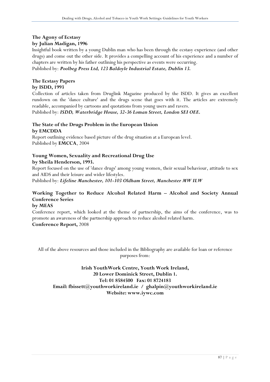### **The Agony of Ecstasy by Julian Madigan, 1996**

Insightful book written by a young Dublin man who has been through the ecstasy experience (and other drugs) and come out the other side. It provides a compelling account of his experience and a number of chapters are written by his father outlining his perspective as events were occurring. Published by: *Poolbeg Press Ltd, 123 Baldoyle Industrial Estate, Dublin 13.* 

# **The Ecstasy Papers**

### **by ISDD, 1993**

Collection of articles taken from Druglink Magazine produced by the ISDD. It gives an excellent rundown on the 'dance culture' and the drugs scene that goes with it. The articles are extremely readable, accompanied by cartoons and quotations from young users and ravers.

Published by: *ISDD, Waterbridge House, 32-36 Loman Street, London SEI OEE.* 

### **The State of the Drugs Problem in the European Union by EMCDDA**

Report outlining evidence based picture of the drug situation at a European level. Published by **EMCCA**, 2004

### **Young Women, Sexuality and Recreational Drug Use by Sheila Henderson, 1993.**

Report focused on the use of 'dance drugs' among young women, their sexual behaviour, attitude to sex and AIDS and their leisure and wider lifestyles.

Published by: *Lifeline Manchester, 101-103 Oldham Street, Manchester MW ILW* 

### **Working Together to Reduce Alcohol Related Harm – Alcohol and Society Annual Conference Series**

#### **by MEAS**

Conference report, which looked at the theme of partnership, the aims of the conference, was to promote an awareness of the partnership approach to reduce alcohol related harm. **Conference Report,** 2008

All of the above resources and those included in the Bibliography are available for loan or reference purposes from:

**Irish YouthWork Centre, Youth Work Ireland, 20 Lower Dominick Street, Dublin 1. Tel: 01 8584500 Fax: 01 8724183 Email: fbissett@youthworkireland.ie / ghalpin@youthworkireland.ie Website: www.iywc.com**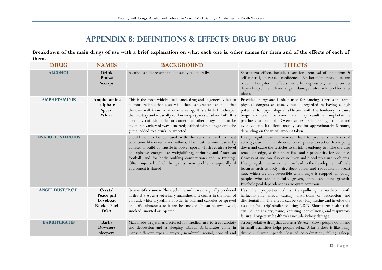# **Appendix 8: Definitions & Effects: Drug by Drug**

**Breakdown of the main drugs of use with a brief explanation on what each one is, other names for them and of the effects of each of them.**

| <b>DRUG</b>              | <b>NAMES</b>                                                          | <b>BACKGROUND</b>                                                                                                                                                                                                                                                                                                                                                                                                                                                       | <b>EFFECTS</b>                                                                                                                                                                                                                                                                                                                                                                                                                                                                                                                                                                                                                                                 |
|--------------------------|-----------------------------------------------------------------------|-------------------------------------------------------------------------------------------------------------------------------------------------------------------------------------------------------------------------------------------------------------------------------------------------------------------------------------------------------------------------------------------------------------------------------------------------------------------------|----------------------------------------------------------------------------------------------------------------------------------------------------------------------------------------------------------------------------------------------------------------------------------------------------------------------------------------------------------------------------------------------------------------------------------------------------------------------------------------------------------------------------------------------------------------------------------------------------------------------------------------------------------------|
| <b>ALCOHOL</b>           | <b>Drink</b><br><b>Booze</b><br><b>Scoops</b>                         | Alcohol is a depressant and is usually taken orally.                                                                                                                                                                                                                                                                                                                                                                                                                    | Short-term effects include relaxation, removal of inhibitions &<br>self-control, increased confidence. Blackouts/memory loss can<br>occur. Long-term effects include depression, addiction &<br>dependency, brain/liver organ damage, stomach problems &<br>ulcers.                                                                                                                                                                                                                                                                                                                                                                                            |
| <b>AMPHETAMINES</b>      | Amphetamine-<br>sulphate<br>Speed<br>Whizz                            | This is the most widely used dance drug and is generally felt to<br>be more reliable than ecstasy i.e. there is a greater likelihood that<br>the user will know what s/he is using. It is a little bit cheaper<br>than ecstasy and is usually sold in wraps (packs of silver foil). It is<br>normally cut with filler or sometimes other drugs. It can be<br>taken in a variety of ways; snorted; dabbed with a finger onto the<br>gums; added to a drink; or injected. | Provides energy and is often used for dancing. Carries the same<br>physical dangers as ecstasy but is regarded as having a high<br>potential for psychological addiction with the tendency to cause<br>binge and crash behaviour and may result in amphetamine<br>psychosis or paranoia. Overdose results in feeling irritable and<br>even violent. Its effects usually last for approximately 8 hours,<br>depending on the initial amount taken.                                                                                                                                                                                                              |
| <b>ANABOLIC STEROIDS</b> |                                                                       | Should not to be confused with the steroids used to treat<br>conditions like eczema and asthma. The most common use is by<br>athletes to build up muscle in power sports which require a level<br>of explosive energy like weightlifting, sprinting and American<br>football, and for body building competitions and in training.<br>Often injected which brings its own problems especially if<br>equipment is shared.                                                 | Heavy regular use in men can lead to problems with sexual<br>activity, can inhibit male erection or prevent erection from going<br>down and cause the testicles to shrink. Tendency to make the user<br>tense, on edge, with a short fuse and a propensity for violence.<br>Consistent use can also cause liver and blood pressure problems.<br>Heavy regular use in women can lead to the development of male<br>features such as body hair, deep voice, and reduction in breast<br>size, which are not reversible when usage is stopped. In young<br>people who are not fully grown, they can stunt growth.<br>Psychological dependence is also quite common |
| ANGEL DUST/P.C.P.        | Crystal<br>Peace pill<br>Loveboat<br><b>Rocket Fuel</b><br><b>DOA</b> | Its scientific name is Phencyclidine and it was originally produced<br>in the U.S.A. as a veterinary anaesthetic. It comes in the form of<br>a liquid, white crystalline powder in pills and capsules or sprayed<br>on leafy substances so it can be smoked. It can be swallowed,<br>smoked, snorted or injected.                                                                                                                                                       | Has the properties of a tranquillising anaesthetic with<br>hallucinogenic effects causing distortions of perception and<br>disorientation. The effects can be very long lasting and involve the<br>risk of a 'bad trip' similar to using L.S.D. Short term health risks<br>can include anxiety, panic, vomiting, convulsions, and respiratory<br>failure. Long-term health risks include kidney damage.                                                                                                                                                                                                                                                        |
| <b>BARBITURATES</b>      | <b>Barbs</b><br>Downers<br>sleepers                                   | Man-made drugs manufactured for medical use to treat anxiety<br>and depression and as sleeping tablets. Barbiturates come in<br>many different types - amytal, nembutal, seonal, soneryl and                                                                                                                                                                                                                                                                            | Strong sedative drug that acts as a 'downer'. Slows people down and<br>in small quantities helps people relax. A large dose is like being<br>drunk - slurred speech, loss of co-ordination, falling asleep.                                                                                                                                                                                                                                                                                                                                                                                                                                                    |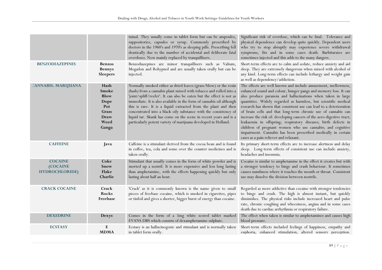|                                                            |                                                                        | tuinal. They usually come in tablet form but can be ampoules,<br>suppositories, capsules or syrup. Commonly prescribed by<br>doctors in the 1960's and 1970's as sleeping pills. Prescribing fell<br>drastically due to the number of accidental and deliberate fatal<br>overdoses. Now mainly replaced by tranquillisers.                                                                                                                                                                                                                                        | Significant risk of overdose, which can be fatal. Tolerance and<br>physical dependence can develop quite quickly. Dependent users<br>who try to stop abruptly may experience severe withdrawal<br>symptoms, fits and in some cases death. Barbiturates are<br>sometimes injected and this adds to the many dangers.                                                                                                                                                                                                                                                                                                                                                                                                            |
|------------------------------------------------------------|------------------------------------------------------------------------|-------------------------------------------------------------------------------------------------------------------------------------------------------------------------------------------------------------------------------------------------------------------------------------------------------------------------------------------------------------------------------------------------------------------------------------------------------------------------------------------------------------------------------------------------------------------|--------------------------------------------------------------------------------------------------------------------------------------------------------------------------------------------------------------------------------------------------------------------------------------------------------------------------------------------------------------------------------------------------------------------------------------------------------------------------------------------------------------------------------------------------------------------------------------------------------------------------------------------------------------------------------------------------------------------------------|
| <b>BENZODIAZEPINES</b>                                     | <b>Benzos</b><br><b>Bennys</b><br>Sleepers                             | Benzodiazepines are minor tranquillisers such as Valium,<br>Mogadon and Rohypnol and are usually taken orally but can be<br>injected.                                                                                                                                                                                                                                                                                                                                                                                                                             | Short-term effects are to calm and sedate, reduce anxiety and aid<br>sleep. They are extremely dangerous when mixed with alcohol of<br>any kind. Long-term effects can include lethargy and weight gain<br>as well as dependency/addiction.                                                                                                                                                                                                                                                                                                                                                                                                                                                                                    |
| <b>CANNABIS. MARIJUANA</b>                                 | Hash<br>Smoke<br>Blow<br>Dope<br>Pot<br>Grass<br>Draw<br>Weed<br>Ganga | Normally smoked either as dried leaves (grass/blow) or the resin<br>(hash) from a cannabis plant mixed with tobacco and rolled into a<br>'joint/spliff/reefer'. It can also be eaten but the effect is not as<br>immediate. It is also available in the form of cannabis oil although<br>this is rare. It is a liquid extracted from the plant and then<br>concentrated into a black oily substance with the consistency of<br>liquid tar. Skunk has come on the scene in recent years and is a<br>particularly potent variety of marijuana developed in Holland. | The effects are well known and include amusement, mellowness,<br>enhanced sound and colour, hunger pangs and memory loss. It can<br>also produce paranoia and hallucinations when taken in large<br>quantities. Widely regarded as harmless, but scientific medical<br>research has shown that consistent use can lead to a deterioration<br>of brain cells and that long-term chronic use of cannabis can<br>increase the risk of: developing cancers of the aero-digestive tract;<br>leukaemia in offspring; respiratory diseases; birth defects in<br>children of pregnant women who use cannabis; and cognitive<br>impairment. Cannabis has been prescribed medically in certain<br>cases as a pain reliever and relaxant. |
| <b>CAFFEINE</b>                                            | Java                                                                   | Caffeine is a stimulant derived from the cocoa bean and is found<br>in coffee, tea, cola and some over the counter medicines and is<br>taken orally.                                                                                                                                                                                                                                                                                                                                                                                                              | Its primary short-term effects are to increase alertness and delay<br>sleep. Long-term effects of consistent use can include anxiety,<br>headaches and insomnia.                                                                                                                                                                                                                                                                                                                                                                                                                                                                                                                                                               |
| <b>COCAINE</b><br><b>(COCAINE</b><br><b>HYDROCHLORIDE)</b> | Coke<br>Snow<br>Flake<br>Charlie                                       | Stimulant that usually comes in the form of white powder and is<br>snorted up a nostril. It is more expensive and less long lasting<br>than amphetamine, with the effects happening quickly but only<br>lasting about half an hour.                                                                                                                                                                                                                                                                                                                               | Cocaine is similar to amphetamine in the effect it creates but with<br>a stronger tendency to binge and crash behaviour. It sometimes<br>causes numbness where it touches the mouth or throat. Consistent<br>use may dissolve the division between nostrils.                                                                                                                                                                                                                                                                                                                                                                                                                                                                   |
| <b>CRACK COCAINE</b>                                       | Crack<br>Rocks<br>Freebase                                             | 'Crack' as it is commonly known is the name given to small<br>pieces of freebase cocaine, which is smoked in cigarettes, pipes<br>or tinfoil and gives a shorter, bigger burst of energy than cocaine.                                                                                                                                                                                                                                                                                                                                                            | Regarded as more addictive than cocaine with stronger tendencies<br>to binge and crash. The high is almost instant, but quickly<br>diminishes. The physical risks include increased heart and pulse<br>rate, chronic coughing and wheeziness, angina and in some cases<br>death due to cardiac arrhythmia or respiratory failure.                                                                                                                                                                                                                                                                                                                                                                                              |
| <b>DEXEDRINE</b>                                           | Dexys                                                                  | Comes in the form of a 5mg white scored tablet marked<br>EVANS.DBS which consists of dexamphetamine sulphate.                                                                                                                                                                                                                                                                                                                                                                                                                                                     | The effect when taken is similar to amphetamines and causes high<br>blood pressure.                                                                                                                                                                                                                                                                                                                                                                                                                                                                                                                                                                                                                                            |
| <b>ECSTASY</b>                                             | E<br><b>MDMA</b>                                                       | Ecstasy is an hallucinogenic and stimulant and is normally taken<br>in tablet form orally.                                                                                                                                                                                                                                                                                                                                                                                                                                                                        | Short-term effects included feelings of happiness, empathy and<br>euphoria, enhanced stimulation, altered sensory perception.                                                                                                                                                                                                                                                                                                                                                                                                                                                                                                                                                                                                  |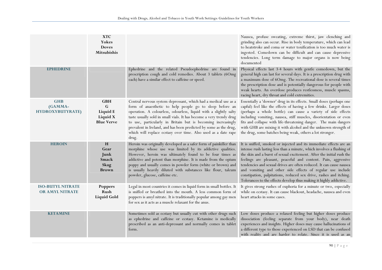|                                                  | <b>XTC</b><br>Yokes<br><b>Doves</b><br>Mitsubishis               |                                                                                                                                                                                                                                                                                                                                                                                                                                                                                        | Nausea, profuse sweating, extreme thirst, jaw clenching and<br>grinding also can occur. Rise in body temperature, which can lead<br>to heatstroke and coma or water toxification is too much water is<br>ingested. Comedown can be difficult and can cause depressive<br>tendencies. Long term damage to major organs is now being<br>documented                                                                                                                                                                                                                       |
|--------------------------------------------------|------------------------------------------------------------------|----------------------------------------------------------------------------------------------------------------------------------------------------------------------------------------------------------------------------------------------------------------------------------------------------------------------------------------------------------------------------------------------------------------------------------------------------------------------------------------|------------------------------------------------------------------------------------------------------------------------------------------------------------------------------------------------------------------------------------------------------------------------------------------------------------------------------------------------------------------------------------------------------------------------------------------------------------------------------------------------------------------------------------------------------------------------|
| <b>EPHEDRINE</b>                                 |                                                                  | Ephedrine and the related Pseudoephedrine are found in<br>prescription cough and cold remedies. About 3 tablets (6Omg<br>each) have a similar effect to caffeine or speed.                                                                                                                                                                                                                                                                                                             | Physical effects last 3-4 hours with gentle comedown, but the<br>general high can last for several days. It is a prescription drug with<br>a maximum dose of 6Omg. The recreational dose is several times<br>the prescription dose and is potentially dangerous for people with<br>weak hearts. An overdose produces restlessness, muscle spasms,<br>racing heart, dry throat and cold extremities.                                                                                                                                                                    |
| <b>GHB</b><br>(GAMMA-<br><b>HYDROXYBUTYRATE)</b> | <b>GBH</b><br>G<br>Liquid E<br>Liquid X<br><b>Blue Verve</b>     | Central nervous system depressant, which had a medical use as a<br>form of anaesthetic to help people go to sleep before an<br>operation. A colourless, odourless, liquid with a slightly salty<br>taste usually sold in small vials. It has become a very trendy drug<br>to use, particularly in Britain but is becoming increasingly<br>prevalent in Ireland, and has been predicted by some as the drug,<br>which will replace ecstasy over time. Also used as a date rape<br>drug. | Essentially a 'downer' drug in its effects. Small doses (perhaps one<br>capful) feel like the effects of having a few drinks. Larger doses<br>(perhaps a whole bottle) can cause a variety of side effects<br>including vomiting, nausea, stiff muscles, disorientation or even<br>fits and collapse with life-threatening danger. The main dangers<br>with GHB are mixing it with alcohol and the unknown strength of<br>the drug, some batches being weak, others a lot stronger.                                                                                    |
| <b>HEROIN</b>                                    | H<br>Gear<br>Junk<br><b>Smack</b><br><b>Skag</b><br><b>Brown</b> | Heroin was originally developed as a safer form of painkiller than<br>morphine whose use was limited by its addictive qualities.<br>However, heroin was ultimately found to be four times as<br>addictive and potent than morphine. It is made from the opium<br>poppy and usually comes in powder form (white or brown) and<br>is usually heavily diluted with substances like flour, talcum<br>powder, glucose, caffeine etc.                                                        | It is sniffed, smoked or injected and its immediate effects are an<br>intense rush lasting less than a minute, which involves a flushing of<br>the skin and a burst of sexual excitement. After the initial rush the<br>feelings are pleasant, peaceful and content. Pain, aggressive<br>tendencies and sexual drives are often reduced. It can cause nausea<br>and vomiting and other side effects of regular use include<br>constipation, palpitations, reduced sex drive, rashes and itching.<br>Tolerances to the effects develop thus making it highly addictive. |
| <b>ISO-BUTYL NITRATE</b><br>OR AMYL NITRATE      | Poppers<br>Rush<br><b>Liquid Gold</b>                            | Legal in most countries it comes in liquid form in small bottles. It<br>is sniffed or breathed into the mouth. A less common form of<br>poppers is amyl nitrate. It is traditionally popular among gay men<br>for sex as it acts as a muscle relaxant for the anus.                                                                                                                                                                                                                    | It gives strong rushes of euphoria for a minute or two, especially<br>while on ecstasy. It can cause blackout, headache, nausea and even<br>heart attacks in some cases.                                                                                                                                                                                                                                                                                                                                                                                               |
| <b>KETAMINE</b>                                  |                                                                  | Sometimes sold as ecstasy but usually cut with other drugs such<br>as ephedrine and caffeine or ecstasy. Ketamine is medically<br>prescribed as an anti-depressant and normally comes in tablet<br>form.                                                                                                                                                                                                                                                                               | Low doses produce a relaxed feeling but higher doses produce<br>dissociation (feeling separate from your body), near death<br>experiences and insights. Higher doses may cause hallucinations of<br>a different type to those experienced on LSD that can be confused<br>with reality and are harder to relate. Since it is used as an                                                                                                                                                                                                                                 |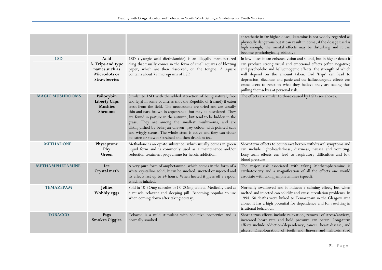|                        |                                                                            |                                                                                                                                                                                                                                                                                                                                                                                                                                                                                                                                                                                               | anaesthetic in far higher doses, ketamine is not widely regarded as<br>physically dangerous but it can result in coma, if the dosage used is<br>high enough, the mental effects may be disturbing and it can<br>become psychologically addictive.                                                                                                                                                                                                         |
|------------------------|----------------------------------------------------------------------------|-----------------------------------------------------------------------------------------------------------------------------------------------------------------------------------------------------------------------------------------------------------------------------------------------------------------------------------------------------------------------------------------------------------------------------------------------------------------------------------------------------------------------------------------------------------------------------------------------|-----------------------------------------------------------------------------------------------------------------------------------------------------------------------------------------------------------------------------------------------------------------------------------------------------------------------------------------------------------------------------------------------------------------------------------------------------------|
| <b>LSD</b>             | Acid<br>A. Trips and type<br>names such as<br>Microdots or<br>Strawberries | LSD (lysergic acid diethylamide) is an illegally manufactured<br>drug that usually comes in the form of small squares of blotting<br>paper, which are then dissolved, on the tongue. A square<br>contains about 75 micrograms of LSD.                                                                                                                                                                                                                                                                                                                                                         | In low doses it can enhance vision and sound, but in higher doses it<br>can produce strong visual and emotional effects (often negative)<br>and psychedelic and hallucinogenic effects, the strength of which<br>will depend on the amount taken. Bad 'trips' can lead to<br>depression, dizziness and panic and the hallucinogenic effects can<br>cause users to react to what they believe they are seeing thus<br>pulling themselves at personal risk. |
| <b>MAGIC MUSHROOMS</b> | Psilocybin<br><b>Liberty Caps</b><br><b>Mushies</b><br><b>Shrooms</b>      | Similar to LSD with the added attraction of being natural, free<br>and legal in some countries (not the Republic of Ireland) if eaten<br>fresh from the field. The mushrooms are dried and are usually<br>thin and dark brown in appearance, but may be powdered. They<br>are found in pasture in the autumn, but tend to be hidden in the<br>grass. They are among the smallest mushrooms, and are<br>distinguished by being an uneven grey colour with pointed caps<br>and wiggly stems. The whole stem is active and they can either<br>be eaten or stewed/strained and then drunk as tea. | The effects are similar to those caused by LSD (see above).                                                                                                                                                                                                                                                                                                                                                                                               |
| <b>METHADONE</b>       | Physeptone<br>Phy<br>Green                                                 | Methadone is an opiate substance, which usually comes in green<br>liquid form and is commonly used as a maintenance and/or<br>reduction treatment programme for heroin addiction.                                                                                                                                                                                                                                                                                                                                                                                                             | Short-term effects to counteract heroin withdrawal symptoms and<br>can include light-headedness, dizziness, nausea and vomiting.<br>Long-term effects can lead to respiratory difficulties and low<br>blood pressure                                                                                                                                                                                                                                      |
| <b>METHAMPHETAMINE</b> | <b>Ice</b><br>Crystal meth                                                 | A very pure form of amphetamine, which comes in the form of a<br>white crystalline solid. It can be smoked, snorted or injected and<br>its effects last up to 24 hours. When heated it gives off a vapour<br>which is inhaled.                                                                                                                                                                                                                                                                                                                                                                | The major risk associated with taking Methamphetamine is<br>cardiotoxicity and a magnification of all the effects one would<br>associate with taking amphetamines (speed).                                                                                                                                                                                                                                                                                |
| <b>TEMAZEPAM</b>       | <b>Jellies</b><br>Wobbly eggs                                              | Sold in 10-3Omg capsules or I 0-2Omg tablets. Medically used as<br>a muscle relaxant and sleeping pill. Becoming popular to use<br>when coming down after taking ecstasy.                                                                                                                                                                                                                                                                                                                                                                                                                     | Normally swallowed and it induces a calming effect, but when<br>melted and injected can solidify and cause circulation problems. In<br>1994, 50 deaths were linked to Temazepam in the Glasgow area<br>alone. It has a high potential for dependence and for resulting in<br>irrational behaviour.                                                                                                                                                        |
| <b>TOBACCO</b>         | Fags<br><b>Smokes Ciggies</b>                                              | Tobacco is a mild stimulant with addictive properties and is<br>normally smoked                                                                                                                                                                                                                                                                                                                                                                                                                                                                                                               | Short terms effects include relaxation, removal of stress/anxiety,<br>increased heart rate and bold pressure can occur. Long-term<br>effects include addiction/dependency, cancer, heart disease, and<br>ulcers. Discolouration of teeth and fingers and halitosis (bad                                                                                                                                                                                   |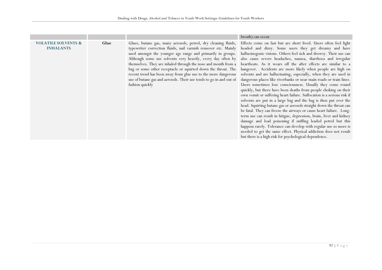|                                                    |      |                                                                                                                                                                                                                                                                                                                                                                                                                                                                                                                                                               | breath) can occur.                                                                                                                                                                                                                                                                                                                                                                                                                                                                                                                                                                                                                                                                                                                                                                                                                                                                                                                                                                                                                                                                                                                                                                                                                                                                                                     |
|----------------------------------------------------|------|---------------------------------------------------------------------------------------------------------------------------------------------------------------------------------------------------------------------------------------------------------------------------------------------------------------------------------------------------------------------------------------------------------------------------------------------------------------------------------------------------------------------------------------------------------------|------------------------------------------------------------------------------------------------------------------------------------------------------------------------------------------------------------------------------------------------------------------------------------------------------------------------------------------------------------------------------------------------------------------------------------------------------------------------------------------------------------------------------------------------------------------------------------------------------------------------------------------------------------------------------------------------------------------------------------------------------------------------------------------------------------------------------------------------------------------------------------------------------------------------------------------------------------------------------------------------------------------------------------------------------------------------------------------------------------------------------------------------------------------------------------------------------------------------------------------------------------------------------------------------------------------------|
| <b>VOLATILE SOLVENTS &amp;</b><br><b>INHALANTS</b> | Glue | Glues, butane gas, many aerosols, petrol, dry cleaning fluids,<br>typewriter correction fluids, nail varnish remover etc. Mainly<br>used amongst the younger age range and primarily in groups.<br>Although some use solvents very heavily, every day often by<br>themselves. They are inhaled through the nose and mouth from a<br>bag or some other receptacle or squirted down the throat. The<br>recent trend has been away from glue use to the more dangerous<br>use of butane gas and aerosols. Their use tends to go in and out of<br>fashion quickly | Effects come on fast but are short lived. Users often feel light<br>headed and dizzy. Some users they get dreamy and have<br>hallucinogenic visions. Others feel sick and drowsy. Their use can<br>also cause severe headaches, nausea, diarrhoea and irregular<br>heartbeats. As it wears off the after effects are similar to a<br>hangover. Accidents are more likely when people are high on<br>solvents and are hallucinating, especially, when they are used in<br>dangerous places like riverbanks or near main roads or train lines.<br>Users sometimes lose consciousness. Usually they come round<br>quickly, but there have been deaths from people choking on their<br>own vomit or suffering heart failure. Suffocation is a serious risk if<br>solvents are put in a large bag and the bag is then put over the<br>head. Squirting butane gas or aerosols straight down the throat can<br>be fatal. They can freeze the airways or cause heart failure. Long-<br>term use can result in fatigue, depression, brain, liver and kidney<br>damage and lead poisoning if sniffing leaded petrol but this<br>happens rarely. Tolerance can develop with regular use so more is<br>needed to get the same effect. Physical addiction does not result<br>but there is a high risk for psychological dependence. |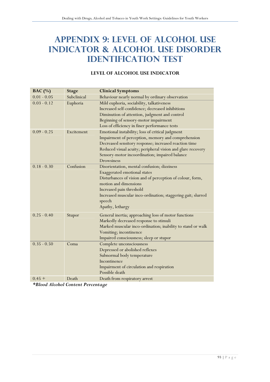# **Appendix 9: Level of Alcohol Use Indicator & Alcohol Use Disorder Identification Test**

### **LEVEL OF ALCOHOL USE INDICATOR**

| <b>BAC</b> (%) | <b>Stage</b> | <b>Clinical Symptoms</b>                                     |
|----------------|--------------|--------------------------------------------------------------|
| $0.01 - 0.05$  | Subclinical  | Behaviour nearly normal by ordinary observation              |
| $0.03 - 0.12$  | Euphoria     | Mild euphoria, sociability, talkativeness                    |
|                |              | Increased self-confidence; decreased inhibitions             |
|                |              | Diminution of attention, judgment and control                |
|                |              | Beginning of sensory-motor impairment                        |
|                |              | Loss of efficiency in finer performance tests                |
| $0.09 - 0.25$  | Excitement   | Emotional instability; loss of critical judgment             |
|                |              | Impairment of perception, memory and comprehension           |
|                |              | Decreased sensitory response; increased reaction time        |
|                |              | Reduced visual acuity; peripheral vision and glare recovery  |
|                |              | Sensory-motor incoordination; impaired balance               |
|                |              | <b>Drowsiness</b>                                            |
| $0.18 - 0.30$  | Confusion    | Disorientation, mental confusion; dizziness                  |
|                |              | Exaggerated emotional states                                 |
|                |              | Disturbances of vision and of perception of colour, form,    |
|                |              | motion and dimensions                                        |
|                |              | Increased pain threshold                                     |
|                |              | Increased muscular inco-ordination; staggering gait; slurred |
|                |              | speech                                                       |
|                |              | Apathy, lethargy                                             |
| $0.25 - 0.40$  | Stupor       | General inertia; approaching loss of motor functions         |
|                |              | Markedly decreased response to stimuli                       |
|                |              | Marked muscular inco-ordination; inability to stand or walk  |
|                |              | Vomiting; incontinence                                       |
|                |              | Impaired consciousness; sleep or stupor                      |
| $0.35 - 0.50$  | Coma         | Complete unconsciousness                                     |
|                |              | Depressed or abolished reflexes                              |
|                |              | Subnormal body temperature                                   |
|                |              | Incontinence                                                 |
|                |              | Impairment of circulation and respiration                    |
|                |              | Possible death                                               |
| $0.45 +$       | Death        | Death from respiratory arrest                                |

*\*Blood Alcohol Content Percentage*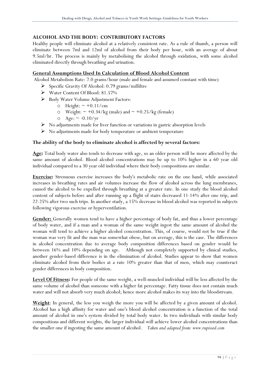### **ALCOHOL AND THE BODY: CONTRIBUTORY FACTORS**

Healthy people will eliminate alcohol at a relatively consistent rate. As a rule of thumb, a person will eliminate between 7ml and 12ml of alcohol from their body per hour, with an average of about 9.5ml/hr. The process is mainly by metabolising the alcohol through oxidation, with some alcohol eliminated directly through breathing and urination.

### **General Assumptions Used In Calculation of Blood Alcohol Content**

Alcohol Metabolism Rate: 7.0 grams/hour (male and female and assumed constant with time)

- ¾ Specific Gravity Of Alcohol: 0.79 grams/milliltre
- $\triangleright$  Water Content Of Blood: 81.57%
- ¾ Body Water Volume Adjustment Factors:
	- $\circ$  Height: ~ +0.11/cm
	- $\circ$  Weight:  $\sim +0.34/kg$  (male) and  $\sim +0.25/kg$  (female)
	- $O$  Age: ~ -0.10/yr
- ¾ No adjustments made for liver function or variations in gastric absorption levels
- $\triangleright$  No adjustments made for body temperature or ambient temperature

### **The ability of the body to eliminate alcohol is affected by several factors:**

**Age:** Total body water also tends to decrease with age, so an older person will be more affected by the same amount of alcohol. Blood alcohol concentrations may be up to 10% higher in a 60 year old individual compared to a 30 year old individual where their body compositions are similar.

**Exercise:** Strenuous exercise increases the body's metabolic rate on the one hand, while associated increases in breathing rates and air volumes increase the flow of alcohol across the lung membranes, caused the alcohol to be expelled through breathing at a greater rate. In one study the blood alcohol content of subjects before and after running up a flight of stairs decreased 11-14% after one trip, and 22-25% after two such trips. In another study, a 15% decrease in blood alcohol was reported in subjects following vigorous exercise or hyperventilation.

**Gender:** Generally women tend to have a higher percentage of body fat, and thus a lower percentage of body water, and if a man and a woman of the same weight ingest the same amount of alcohol the woman will tend to achieve a higher alcohol concentration. This, of course, would not be true if the woman was very fit and the man was somewhat obese, but on average, this is the case. The differences in alcohol concentration due to average body composition differences based on gender would be between 16% and 10% depending on age. Although not completely supported by clinical studies, another gender-based difference is in the elimination of alcohol. Studies appear to show that women eliminate alcohol from their bodies at a rate 10% greater than that of men, which may counteract gender differences in body composition.

**Level Of Fitness:** For people of the same weight, a well-muscled individual will be less affected by the same volume of alcohol than someone with a higher fat percentage. Fatty tissue does not contain much water and will not absorb very much alcohol; hence more alcohol makes its way into the bloodstream.

**Weight**: In general, the less you weigh the more you will be affected by a given amount of alcohol. Alcohol has a high affinity for water and one's blood alcohol concentration is a function of the total amount of alcohol in one's system divided by total body water. In two individuals with similar body compositions and different weights, the larger individual will achieve lower alcohol concentrations than the smaller one if ingesting the same amount of alcohol. *Taken and adapted from: www.rupissed.com*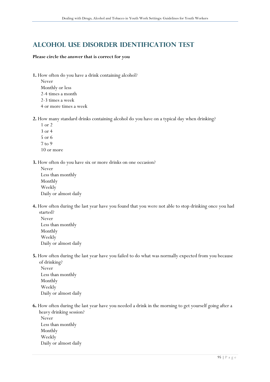# **ALCOHOL USE DISORDER IDENTIFICATION TEST**

#### **Please circle the answer that is correct for you**

- **1.** How often do you have a drink containing alcohol?
	- Never
	- Monthly or less
	- 2-4 times a month
	- 2-3 times a week
	- 4 or more times a week
- **2.** How many standard drinks containing alcohol do you have on a typical day when drinking?
	- 1 or 2 3 or 4 5 or 6 7 to 9 10 or more
- **3.** How often do you have six or more drinks on one occasion?
	- Never Less than monthly Monthly Weekly Daily or almost daily
- **4.** How often during the last year have you found that you were not able to stop drinking once you had started? Never
	- Less than monthly Monthly Weekly Daily or almost daily
- **5.** How often during the last year have you failed to do what was normally expected from you because of drinking?
	- Never Less than monthly Monthly Weekly Daily or almost daily
- **6.** How often during the last year have you needed a drink in the morning to get yourself going after a heavy drinking session?

Never Less than monthly Monthly Weekly Daily or almost daily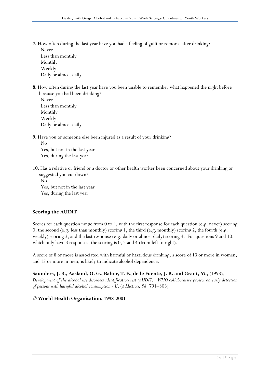- **7.** How often during the last year have you had a feeling of guilt or remorse after drinking?
	- Never Less than monthly Monthly Weekly Daily or almost daily
- **8.** How often during the last year have you been unable to remember what happened the night before because you had been drinking?
	- Never Less than monthly Monthly Weekly Daily or almost daily
- **9.** Have you or someone else been injured as a result of your drinking?
	- No Yes, but not in the last year Yes, during the last year
- **10.** Has a relative or friend or a doctor or other health worker been concerned about your drinking or suggested you cut down?

No Yes, but not in the last year Yes, during the last year

### **Scoring the AUDIT**

Scores for each question range from 0 to 4, with the first response for each question (e.g. never) scoring 0, the second (e.g. less than monthly) scoring 1, the third (e.g. monthly) scoring 2, the fourth (e.g. weekly) scoring 3, and the last response (e.g. daily or almost daily) scoring 4. For questions 9 and 10, which only have 3 responses, the scoring is 0, 2 and 4 (from left to right).

A score of 8 or more is associated with harmful or hazardous drinking, a score of 13 or more in women, and 15 or more in men, is likely to indicate alcohol dependence.

### **Saunders, J. B., Aasland, O. G., Babor, T. F., de le Fuente, J. R. and Grant, M.,** (1993), *Development of the alcohol use disorders identification test (AUDIT): WHO collaborative project on early detection*

*of persons with harmful alcohol consumption - II*, (*Addiction, 88,* 791–803)

### **© World Health Organisation, 1998-2001**